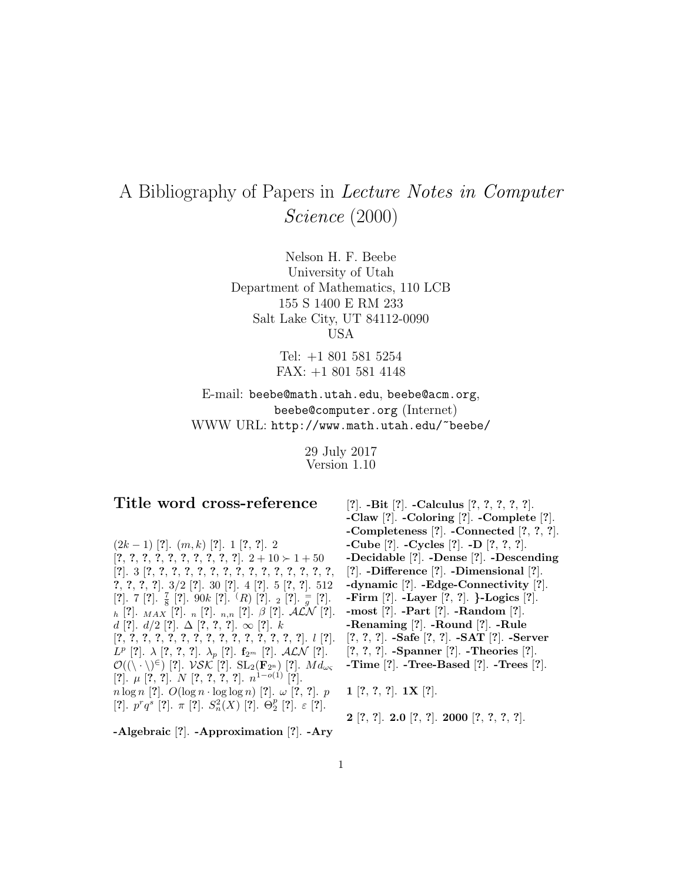## A Bibliography of Papers in Lecture Notes in Computer Science (2000)

Nelson H. F. Beebe University of Utah Department of Mathematics, 110 LCB 155 S 1400 E RM 233 Salt Lake City, UT 84112-0090 USA

> Tel: +1 801 581 5254 FAX: +1 801 581 4148

E-mail: beebe@math.utah.edu, beebe@acm.org, beebe@computer.org (Internet) WWW URL: http://www.math.utah.edu/~beebe/

> 29 July 2017 Version 1.10

## **Title word cross-reference**

(2k − 1) [**?**]. (m, k) [**?**]. 1 [**?**, **?**]. 2 [**?**, **?**, **?**, **?**, **?**, **?**, **?**, **?**, **?**, **?**]. 2 + 10 1 + 50 [**?**]. 3 [**?**, **?**, **?**, **?**, **?**, **?**, **?**, **?**, **?**, **?**, **?**, **?**, **?**, **?**, **?**, **?**, **?**, **?**, **?**]. 3/2 [**?**]. 30 [**?**]. 4 [**?**]. 5 [**?**, **?**]. 512  $[?]$ . 7  $[?]$ .  $\frac{7}{8}$   $[?]$ . 90k  $[?]$ .  $(R)$   $[?]$ .  $_2$   $[?]$ .  $\frac{1}{g}$   $[?]$ . <sup>h</sup> [**?**]. MAX [**?**]. <sup>n</sup> [**?**]. n,n [**?**]. β [**?**]. ALN [**?**]. d [**?**]. d/2 [**?**]. ∆ [**?**, **?**, **?**]. ∞ [**?**]. k [**?**, **?**, **?**, **?**, **?**, **?**, **?**, **?**, **?**, **?**, **?**, **?**, **?**, **?**, **?**]. l [**?**]. <sup>L</sup><sup>p</sup> [**?**]. <sup>λ</sup> [**?**, **?**, **?**]. <sup>λ</sup><sup>p</sup> [**?**]. **<sup>f</sup>**2<sup>m</sup> [**?**]. ALN [**?**].  $\mathcal{O}((\setminus \cdot \setminus)^{\epsilon})$  [?]. *VSK* [?]. SL<sub>2</sub>(**F**<sub>2n</sub>) [?]. *Md*<sub>ως</sub> [**?**]. µ [**?**, **?**]. N [**?**, **?**, **?**, **?**]. n<sup>1</sup>−o(1) [**?**].  $n \log n$  [?].  $O(\log n \cdot \log \log n)$  [?].  $\omega$  [?, ?]. p  $\left[? \right]$ ,  $p^r q^s$   $\left[? \right]$ ,  $\pi$   $\left[? \right]$ ,  $S_n^2(X)$   $\left[? \right]$ ,  $\Theta_2^p$   $\left[? \right]$ ,  $\varepsilon$   $\left[? \right]$ ,

[**?**]. **-Bit** [**?**]. **-Calculus** [**?**, **?**, **?**, **?**, **?**]. **-Claw** [**?**]. **-Coloring** [**?**]. **-Complete** [**?**]. **-Completeness** [**?**]. **-Connected** [**?**, **?**, **?**]. **-Cube** [**?**]. **-Cycles** [**?**]. **-D** [**?**, **?**, **?**]. **-Decidable** [**?**]. **-Dense** [**?**]. **-Descending** [**?**]. **-Difference** [**?**]. **-Dimensional** [**?**]. **-dynamic** [**?**]. **-Edge-Connectivity** [**?**]. **-Firm** [**?**]. **-Layer** [**?**, **?**]. *}***-Logics** [**?**]. **-most** [**?**]. **-Part** [**?**]. **-Random** [**?**]. **-Renaming** [**?**]. **-Round** [**?**]. **-Rule** [**?**, **?**, **?**]. **-Safe** [**?**, **?**]. **-SAT** [**?**]. **-Server** [**?**, **?**, **?**]. **-Spanner** [**?**]. **-Theories** [**?**]. **-Time** [**?**]. **-Tree-Based** [**?**]. **-Trees** [**?**].

**1** [**?**, **?**, **?**]. **1X** [**?**].

**2** [**?**, **?**]. **2.0** [**?**, **?**]. **2000** [**?**, **?**, **?**, **?**].

**-Algebraic** [**?**]. **-Approximation** [**?**]. **-Ary**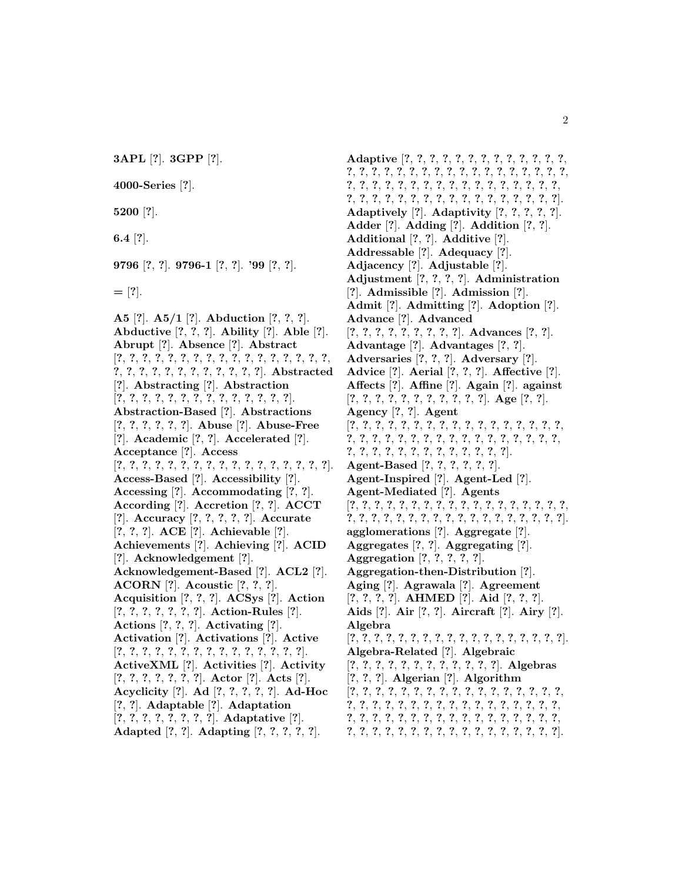**3APL** [**?**]. **3GPP** [**?**].

**4000-Series** [**?**].

**5200** [**?**].

**6.4** [**?**].

**9796** [**?**, **?**]. **9796-1** [**?**, **?**]. **'99** [**?**, **?**].

**=** [**?**].

**A5** [**?**]. **A5/1** [**?**]. **Abduction** [**?**, **?**, **?**]. **Abductive** [**?**, **?**, **?**]. **Ability** [**?**]. **Able** [**?**]. **Abrupt** [**?**]. **Absence** [**?**]. **Abstract** [**?**, **?**, **?**, **?**, **?**, **?**, **?**, **?**, **?**, **?**, **?**, **?**, **?**, **?**, **?**, **?**, **?**, **?**, **?**, **?**, **?**, **?**, **?**, **?**, **?**, **?**, **?**, **?**, **?**]. **Abstracted** [**?**]. **Abstracting** [**?**]. **Abstraction** [**?**, **?**, **?**, **?**, **?**, **?**, **?**, **?**, **?**, **?**, **?**, **?**, **?**, **?**]. **Abstraction-Based** [**?**]. **Abstractions** [**?**, **?**, **?**, **?**, **?**, **?**]. **Abuse** [**?**]. **Abuse-Free** [**?**]. **Academic** [**?**, **?**]. **Accelerated** [**?**]. **Acceptance** [**?**]. **Access** [**?**, **?**, **?**, **?**, **?**, **?**, **?**, **?**, **?**, **?**, **?**, **?**, **?**, **?**, **?**, **?**, **?**]. **Access-Based** [**?**]. **Accessibility** [**?**]. **Accessing** [**?**]. **Accommodating** [**?**, **?**]. **According** [**?**]. **Accretion** [**?**, **?**]. **ACCT** [**?**]. **Accuracy** [**?**, **?**, **?**, **?**, **?**]. **Accurate** [**?**, **?**, **?**]. **ACE** [**?**]. **Achievable** [**?**]. **Achievements** [**?**]. **Achieving** [**?**]. **ACID** [**?**]. **Acknowledgement** [**?**]. **Acknowledgement-Based** [**?**]. **ACL2** [**?**]. **ACORN** [**?**]. **Acoustic** [**?**, **?**, **?**]. **Acquisition** [**?**, **?**, **?**]. **ACSys** [**?**]. **Action** [**?**, **?**, **?**, **?**, **?**, **?**, **?**]. **Action-Rules** [**?**]. **Actions** [**?**, **?**, **?**]. **Activating** [**?**]. **Activation** [**?**]. **Activations** [**?**]. **Active** [**?**, **?**, **?**, **?**, **?**, **?**, **?**, **?**, **?**, **?**, **?**, **?**, **?**, **?**, **?**]. **ActiveXML** [**?**]. **Activities** [**?**]. **Activity** [**?**, **?**, **?**, **?**, **?**, **?**, **?**]. **Actor** [**?**]. **Acts** [**?**]. **Acyclicity** [**?**]. **Ad** [**?**, **?**, **?**, **?**, **?**]. **Ad-Hoc** [**?**, **?**]. **Adaptable** [**?**]. **Adaptation** [**?**, **?**, **?**, **?**, **?**, **?**, **?**, **?**]. **Adaptative** [**?**]. **Adapted** [**?**, **?**]. **Adapting** [**?**, **?**, **?**, **?**, **?**].

**Adaptive** [**?**, **?**, **?**, **?**, **?**, **?**, **?**, **?**, **?**, **?**, **?**, **?**, **?**, **?**, **?**, **?**, **?**, **?**, **?**, **?**, **?**, **?**, **?**, **?**, **?**, **?**, **?**, **?**, **?**, **?**, **?**, **?**, **?**, **?**, **?**, **?**, **?**, **?**, **?**, **?**, **?**, **?**, **?**, **?**, **?**, **?**, **?**, **?**, **?**, **?**, **?**, **?**, **?**, **?**, **?**, **?**, **?**, **?**, **?**, **?**, **?**, **?**, **?**, **?**, **?**]. **Adaptively** [**?**]. **Adaptivity** [**?**, **?**, **?**, **?**, **?**]. **Adder** [**?**]. **Adding** [**?**]. **Addition** [**?**, **?**]. **Additional** [**?**, **?**]. **Additive** [**?**]. **Addressable** [**?**]. **Adequacy** [**?**]. **Adjacency** [**?**]. **Adjustable** [**?**]. **Adjustment** [**?**, **?**, **?**, **?**]. **Administration** [**?**]. **Admissible** [**?**]. **Admission** [**?**]. **Admit** [**?**]. **Admitting** [**?**]. **Adoption** [**?**]. **Advance** [**?**]. **Advanced** [**?**, **?**, **?**, **?**, **?**, **?**, **?**, **?**, **?**]. **Advances** [**?**, **?**]. **Advantage** [**?**]. **Advantages** [**?**, **?**]. **Adversaries** [**?**, **?**, **?**]. **Adversary** [**?**]. **Advice** [**?**]. **Aerial** [**?**, **?**, **?**]. **Affective** [**?**]. **Affects** [**?**]. **Affine** [**?**]. **Again** [**?**]. **against** [**?**, **?**, **?**, **?**, **?**, **?**, **?**, **?**, **?**, **?**, **?**]. **Age** [**?**, **?**]. **Agency** [**?**, **?**]. **Agent** [**?**, **?**, **?**, **?**, **?**, **?**, **?**, **?**, **?**, **?**, **?**, **?**, **?**, **?**, **?**, **?**, **?**, **?**, **?**, **?**, **?**, **?**, **?**, **?**, **?**, **?**, **?**, **?**, **?**, **?**, **?**, **?**, **?**, **?**, **?**, **?**, **?**, **?**, **?**, **?**, **?**, **?**, **?**, **?**, **?**, **?**, **?**]. **Agent-Based** [**?**, **?**, **?**, **?**, **?**, **?**]. **Agent-Inspired** [**?**]. **Agent-Led** [**?**]. **Agent-Mediated** [**?**]. **Agents** [**?**, **?**, **?**, **?**, **?**, **?**, **?**, **?**, **?**, **?**, **?**, **?**, **?**, **?**, **?**, **?**, **?**, **?**, **?**, **?**, **?**, **?**, **?**, **?**, **?**, **?**, **?**, **?**, **?**, **?**, **?**, **?**, **?**, **?**, **?**, **?**]. **agglomerations** [**?**]. **Aggregate** [**?**]. **Aggregates** [**?**, **?**]. **Aggregating** [**?**]. **Aggregation** [**?**, **?**, **?**, **?**, **?**]. **Aggregation-then-Distribution** [**?**]. **Aging** [**?**]. **Agrawala** [**?**]. **Agreement** [**?**, **?**, **?**, **?**]. **AHMED** [**?**]. **Aid** [**?**, **?**, **?**]. **Aids** [**?**]. **Air** [**?**, **?**]. **Aircraft** [**?**]. **Airy** [**?**]. **Algebra** [**?**, **?**, **?**, **?**, **?**, **?**, **?**, **?**, **?**, **?**, **?**, **?**, **?**, **?**, **?**, **?**, **?**, **?**]. **Algebra-Related** [**?**]. **Algebraic** [**?**, **?**, **?**, **?**, **?**, **?**, **?**, **?**, **?**, **?**, **?**, **?**]. **Algebras** [**?**, **?**, **?**]. **Algerian** [**?**]. **Algorithm** [**?**, **?**, **?**, **?**, **?**, **?**, **?**, **?**, **?**, **?**, **?**, **?**, **?**, **?**, **?**, **?**, **?**, **?**, **?**, **?**, **?**, **?**, **?**, **?**, **?**, **?**, **?**, **?**, **?**, **?**, **?**, **?**, **?**, **?**, **?**, **?**, **?**, **?**, **?**, **?**, **?**, **?**, **?**, **?**, **?**, **?**, **?**, **?**, **?**, **?**, **?**, **?**, **?**, **?**, **?**, **?**, **?**, **?**, **?**, **?**, **?**, **?**, **?**, **?**, **?**, **?**, **?**, **?**].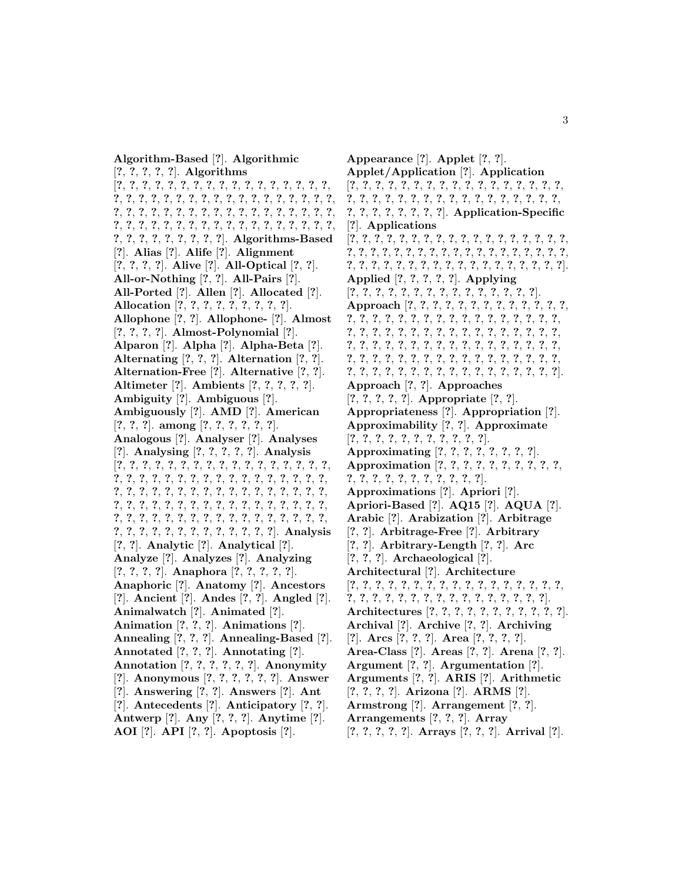**Algorithm-Based** [**?**]. **Algorithmic** [**?**, **?**, **?**, **?**, **?**]. **Algorithms** [**?**, **?**, **?**, **?**, **?**, **?**, **?**, **?**, **?**, **?**, **?**, **?**, **?**, **?**, **?**, **?**, **?**, **?**, **?**, **?**, **?**, **?**, **?**, **?**, **?**, **?**, **?**, **?**, **?**, **?**, **?**, **?**, **?**, **?**, **?**, **?**, **?**, **?**, **?**, **?**, **?**, **?**, **?**, **?**, **?**, **?**, **?**, **?**, **?**, **?**, **?**, **?**, **?**, **?**, **?**, **?**, **?**, **?**, **?**, **?**, **?**, **?**, **?**, **?**, **?**, **?**, **?**, **?**, **?**, **?**, **?**, **?**, **?**, **?**, **?**, **?**, **?**, **?**, **?**, **?**]. **Algorithms-Based** [**?**]. **Alias** [**?**]. **Alife** [**?**]. **Alignment** [**?**, **?**, **?**, **?**]. **Alive** [**?**]. **All-Optical** [**?**, **?**]. **All-or-Nothing** [**?**, **?**]. **All-Pairs** [**?**]. **All-Ported** [**?**]. **Allen** [**?**]. **Allocated** [**?**]. **Allocation** [**?**, **?**, **?**, **?**, **?**, **?**, **?**, **?**, **?**]. **Allophone** [**?**, **?**]. **Allophone-** [**?**]. **Almost** [**?**, **?**, **?**, **?**]. **Almost-Polynomial** [**?**]. **Alparon** [**?**]. **Alpha** [**?**]. **Alpha-Beta** [**?**]. **Alternating** [**?**, **?**, **?**]. **Alternation** [**?**, **?**]. **Alternation-Free** [**?**]. **Alternative** [**?**, **?**]. **Altimeter** [**?**]. **Ambients** [**?**, **?**, **?**, **?**, **?**]. **Ambiguity** [**?**]. **Ambiguous** [**?**]. **Ambiguously** [**?**]. **AMD** [**?**]. **American** [**?**, **?**, **?**]. **among** [**?**, **?**, **?**, **?**, **?**, **?**]. **Analogous** [**?**]. **Analyser** [**?**]. **Analyses** [**?**]. **Analysing** [**?**, **?**, **?**, **?**, **?**]. **Analysis** [**?**, **?**, **?**, **?**, **?**, **?**, **?**, **?**, **?**, **?**, **?**, **?**, **?**, **?**, **?**, **?**, **?**, **?**, **?**, **?**, **?**, **?**, **?**, **?**, **?**, **?**, **?**, **?**, **?**, **?**, **?**, **?**, **?**, **?**, **?**, **?**, **?**, **?**, **?**, **?**, **?**, **?**, **?**, **?**, **?**, **?**, **?**, **?**, **?**, **?**, **?**, **?**, **?**, **?**, **?**, **?**, **?**, **?**, **?**, **?**, **?**, **?**, **?**, **?**, **?**, **?**, **?**, **?**, **?**, **?**, **?**, **?**, **?**, **?**, **?**, **?**, **?**, **?**, **?**, **?**, **?**, **?**, **?**, **?**, **?**, **?**, **?**, **?**, **?**, **?**, **?**, **?**, **?**, **?**, **?**, **?**, **?**, **?**]. **Analysis** [**?**, **?**]. **Analytic** [**?**]. **Analytical** [**?**]. **Analyze** [**?**]. **Analyzes** [**?**]. **Analyzing** [**?**, **?**, **?**, **?**]. **Anaphora** [**?**, **?**, **?**, **?**, **?**]. **Anaphoric** [**?**]. **Anatomy** [**?**]. **Ancestors** [**?**]. **Ancient** [**?**]. **Andes** [**?**, **?**]. **Angled** [**?**]. **Animalwatch** [**?**]. **Animated** [**?**]. **Animation** [**?**, **?**, **?**]. **Animations** [**?**]. **Annealing** [**?**, **?**, **?**]. **Annealing-Based** [**?**]. **Annotated** [**?**, **?**, **?**]. **Annotating** [**?**]. **Annotation** [**?**, **?**, **?**, **?**, **?**, **?**]. **Anonymity** [**?**]. **Anonymous** [**?**, **?**, **?**, **?**, **?**, **?**]. **Answer** [**?**]. **Answering** [**?**, **?**]. **Answers** [**?**]. **Ant** [**?**]. **Antecedents** [**?**]. **Anticipatory** [**?**, **?**]. **Antwerp** [**?**]. **Any** [**?**, **?**, **?**]. **Anytime** [**?**]. **AOI** [**?**]. **API** [**?**, **?**]. **Apoptosis** [**?**].

**Appearance** [**?**]. **Applet** [**?**, **?**]. **Applet/Application** [**?**]. **Application** [**?**, **?**, **?**, **?**, **?**, **?**, **?**, **?**, **?**, **?**, **?**, **?**, **?**, **?**, **?**, **?**, **?**, **?**, **?**, **?**, **?**, **?**, **?**, **?**, **?**, **?**, **?**, **?**, **?**, **?**, **?**, **?**, **?**, **?**, **?**, **?**, **?**, **?**, **?**, **?**, **?**, **?**]. **Application-Specific** [**?**]. **Applications** [**?**, **?**, **?**, **?**, **?**, **?**, **?**, **?**, **?**, **?**, **?**, **?**, **?**, **?**, **?**, **?**, **?**, **?**, **?**, **?**, **?**, **?**, **?**, **?**, **?**, **?**, **?**, **?**, **?**, **?**, **?**, **?**, **?**, **?**, **?**, **?**, **?**, **?**, **?**, **?**, **?**, **?**, **?**, **?**, **?**, **?**, **?**, **?**, **?**, **?**, **?**, **?**, **?**, **?**, **?**]. **Applied** [**?**, **?**, **?**, **?**, **?**]. **Applying** [**?**, **?**, **?**, **?**, **?**, **?**, **?**, **?**, **?**, **?**, **?**, **?**, **?**, **?**, **?**]. **Approach** [**?**, **?**, **?**, **?**, **?**, **?**, **?**, **?**, **?**, **?**, **?**, **?**, **?**, **?**, **?**, **?**, **?**, **?**, **?**, **?**, **?**, **?**, **?**, **?**, **?**, **?**, **?**, **?**, **?**, **?**, **?**, **?**, **?**, **?**, **?**, **?**, **?**, **?**, **?**, **?**, **?**, **?**, **?**, **?**, **?**, **?**, **?**, **?**, **?**, **?**, **?**, **?**, **?**, **?**, **?**, **?**, **?**, **?**, **?**, **?**, **?**, **?**, **?**, **?**, **?**, **?**, **?**, **?**, **?**, **?**, **?**, **?**, **?**, **?**, **?**, **?**, **?**, **?**, **?**, **?**, **?**, **?**, **?**, **?**, **?**, **?**, **?**, **?**, **?**, **?**, **?**, **?**, **?**, **?**, **?**, **?**, **?**, **?**]. **Approach** [**?**, **?**]. **Approaches** [**?**, **?**, **?**, **?**, **?**]. **Appropriate** [**?**, **?**]. **Appropriateness** [**?**]. **Appropriation** [**?**]. **Approximability** [**?**, **?**]. **Approximate** [**?**, **?**, **?**, **?**, **?**, **?**, **?**, **?**, **?**, **?**, **?**]. **Approximating** [**?**, **?**, **?**, **?**, **?**, **?**, **?**, **?**]. **Approximation** [**?**, **?**, **?**, **?**, **?**, **?**, **?**, **?**, **?**, **?**, **?**, **?**, **?**, **?**, **?**, **?**, **?**, **?**, **?**, **?**, **?**]. **Approximations** [**?**]. **Apriori** [**?**]. **Apriori-Based** [**?**]. **AQ15** [**?**]. **AQUA** [**?**]. **Arabic** [**?**]. **Arabization** [**?**]. **Arbitrage** [**?**, **?**]. **Arbitrage-Free** [**?**]. **Arbitrary** [**?**, **?**]. **Arbitrary-Length** [**?**, **?**]. **Arc** [**?**, **?**, **?**]. **Archaeological** [**?**]. **Architectural** [**?**]. **Architecture** [**?**, **?**, **?**, **?**, **?**, **?**, **?**, **?**, **?**, **?**, **?**, **?**, **?**, **?**, **?**, **?**, **?**, **?**, **?**, **?**, **?**, **?**, **?**, **?**, **?**, **?**, **?**, **?**, **?**, **?**, **?**, **?**, **?**]. **Architectures** [**?**, **?**, **?**, **?**, **?**, **?**, **?**, **?**, **?**, **?**, **?**]. **Archival** [**?**]. **Archive** [**?**, **?**]. **Archiving** [**?**]. **Arcs** [**?**, **?**, **?**]. **Area** [**?**, **?**, **?**, **?**]. **Area-Class** [**?**]. **Areas** [**?**, **?**]. **Arena** [**?**, **?**]. **Argument** [**?**, **?**]. **Argumentation** [**?**]. **Arguments** [**?**, **?**]. **ARIS** [**?**]. **Arithmetic** [**?**, **?**, **?**, **?**]. **Arizona** [**?**]. **ARMS** [**?**]. **Armstrong** [**?**]. **Arrangement** [**?**, **?**]. **Arrangements** [**?**, **?**, **?**]. **Array** [**?**, **?**, **?**, **?**, **?**]. **Arrays** [**?**, **?**, **?**]. **Arrival** [**?**].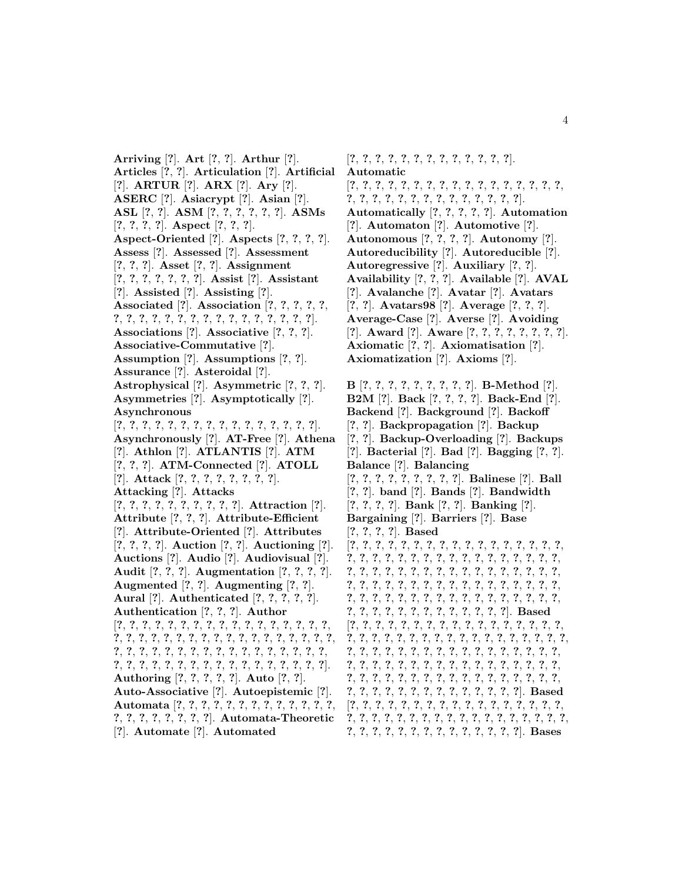**Arriving** [**?**]. **Art** [**?**, **?**]. **Arthur** [**?**]. **Articles** [**?**, **?**]. **Articulation** [**?**]. **Artificial** [**?**]. **ARTUR** [**?**]. **ARX** [**?**]. **Ary** [**?**]. **ASERC** [**?**]. **Asiacrypt** [**?**]. **Asian** [**?**]. **ASL** [**?**, **?**]. **ASM** [**?**, **?**, **?**, **?**, **?**, **?**]. **ASMs** [**?**, **?**, **?**, **?**]. **Aspect** [**?**, **?**, **?**]. **Aspect-Oriented** [**?**]. **Aspects** [**?**, **?**, **?**, **?**]. **Assess** [**?**]. **Assessed** [**?**]. **Assessment** [**?**, **?**, **?**]. **Asset** [**?**, **?**]. **Assignment** [**?**, **?**, **?**, **?**, **?**, **?**, **?**]. **Assist** [**?**]. **Assistant** [**?**]. **Assisted** [**?**]. **Assisting** [**?**]. **Associated** [**?**]. **Association** [**?**, **?**, **?**, **?**, **?**, **?**, **?**, **?**, **?**, **?**, **?**, **?**, **?**, **?**, **?**, **?**, **?**, **?**, **?**, **?**, **?**]. **Associations** [**?**]. **Associative** [**?**, **?**, **?**]. **Associative-Commutative** [**?**]. **Assumption** [**?**]. **Assumptions** [**?**, **?**]. **Assurance** [**?**]. **Asteroidal** [**?**]. **Astrophysical** [**?**]. **Asymmetric** [**?**, **?**, **?**]. **Asymmetries** [**?**]. **Asymptotically** [**?**]. **Asynchronous** [**?**, **?**, **?**, **?**, **?**, **?**, **?**, **?**, **?**, **?**, **?**, **?**, **?**, **?**, **?**, **?**]. **Asynchronously** [**?**]. **AT-Free** [**?**]. **Athena** [**?**]. **Athlon** [**?**]. **ATLANTIS** [**?**]. **ATM** [**?**, **?**, **?**]. **ATM-Connected** [**?**]. **ATOLL** [**?**]. **Attack** [**?**, **?**, **?**, **?**, **?**, **?**, **?**, **?**]. **Attacking** [**?**]. **Attacks** [**?**, **?**, **?**, **?**, **?**, **?**, **?**, **?**, **?**, **?**]. **Attraction** [**?**]. **Attribute** [**?**, **?**, **?**]. **Attribute-Efficient** [**?**]. **Attribute-Oriented** [**?**]. **Attributes** [**?**, **?**, **?**, **?**]. **Auction** [**?**, **?**]. **Auctioning** [**?**]. **Auctions** [**?**]. **Audio** [**?**]. **Audiovisual** [**?**]. **Audit** [**?**, **?**, **?**]. **Augmentation** [**?**, **?**, **?**, **?**]. **Augmented** [**?**, **?**]. **Augmenting** [**?**, **?**]. **Aural** [**?**]. **Authenticated** [**?**, **?**, **?**, **?**, **?**]. **Authentication** [**?**, **?**, **?**]. **Author** [**?**, **?**, **?**, **?**, **?**, **?**, **?**, **?**, **?**, **?**, **?**, **?**, **?**, **?**, **?**, **?**, **?**, **?**, **?**, **?**, **?**, **?**, **?**, **?**, **?**, **?**, **?**, **?**, **?**, **?**, **?**, **?**, **?**, **?**, **?**, **?**, **?**, **?**, **?**, **?**, **?**, **?**, **?**, **?**, **?**, **?**, **?**, **?**, **?**, **?**, **?**, **?**, **?**, **?**, **?**, **?**, **?**, **?**, **?**, **?**, **?**, **?**, **?**, **?**, **?**, **?**, **?**, **?**, **?**]. **Authoring** [**?**, **?**, **?**, **?**, **?**]. **Auto** [**?**, **?**]. **Auto-Associative** [**?**]. **Autoepistemic** [**?**]. **Automata** [**?**, **?**, **?**, **?**, **?**, **?**, **?**, **?**, **?**, **?**, **?**, **?**, **?**, **?**, **?**, **?**, **?**, **?**, **?**, **?**, **?**]. **Automata-Theoretic** [**?**]. **Automate** [**?**]. **Automated**

[**?**, **?**, **?**, **?**, **?**, **?**, **?**, **?**, **?**, **?**, **?**, **?**, **?**]. **Automatic** [**?**, **?**, **?**, **?**, **?**, **?**, **?**, **?**, **?**, **?**, **?**, **?**, **?**, **?**, **?**, **?**, **?**, **?**, **?**, **?**, **?**, **?**, **?**, **?**, **?**, **?**, **?**, **?**, **?**, **?**, **?**]. **Automatically** [**?**, **?**, **?**, **?**, **?**]. **Automation** [**?**]. **Automaton** [**?**]. **Automotive** [**?**]. **Autonomous** [**?**, **?**, **?**, **?**]. **Autonomy** [**?**]. **Autoreducibility** [**?**]. **Autoreducible** [**?**]. **Autoregressive** [**?**]. **Auxiliary** [**?**, **?**]. **Availability** [**?**, **?**, **?**]. **Available** [**?**]. **AVAL** [**?**]. **Avalanche** [**?**]. **Avatar** [**?**]. **Avatars** [**?**, **?**]. **Avatars98** [**?**]. **Average** [**?**, **?**, **?**]. **Average-Case** [**?**]. **Averse** [**?**]. **Avoiding** [**?**]. **Award** [**?**]. **Aware** [**?**, **?**, **?**, **?**, **?**, **?**, **?**, **?**]. **Axiomatic** [**?**, **?**]. **Axiomatisation** [**?**]. **Axiomatization** [**?**]. **Axioms** [**?**].

**B** [**?**, **?**, **?**, **?**, **?**, **?**, **?**, **?**, **?**]. **B-Method** [**?**]. **B2M** [**?**]. **Back** [**?**, **?**, **?**, **?**]. **Back-End** [**?**]. **Backend** [**?**]. **Background** [**?**]. **Backoff** [**?**, **?**]. **Backpropagation** [**?**]. **Backup** [**?**, **?**]. **Backup-Overloading** [**?**]. **Backups** [**?**]. **Bacterial** [**?**]. **Bad** [**?**]. **Bagging** [**?**, **?**]. **Balance** [**?**]. **Balancing** [**?**, **?**, **?**, **?**, **?**, **?**, **?**, **?**, **?**]. **Balinese** [**?**]. **Ball** [**?**, **?**]. **band** [**?**]. **Bands** [**?**]. **Bandwidth** [**?**, **?**, **?**, **?**]. **Bank** [**?**, **?**]. **Banking** [**?**]. **Bargaining** [**?**]. **Barriers** [**?**]. **Base** [**?**, **?**, **?**, **?**]. **Based** [**?**, **?**, **?**, **?**, **?**, **?**, **?**, **?**, **?**, **?**, **?**, **?**, **?**, **?**, **?**, **?**, **?**, **?**, **?**, **?**, **?**, **?**, **?**, **?**, **?**, **?**, **?**, **?**, **?**, **?**, **?**, **?**, **?**, **?**, **?**, **?**, **?**, **?**, **?**, **?**, **?**, **?**, **?**, **?**, **?**, **?**, **?**, **?**, **?**, **?**, **?**, **?**, **?**, **?**, **?**, **?**, **?**, **?**, **?**, **?**, **?**, **?**, **?**, **?**, **?**, **?**, **?**, **?**, **?**, **?**, **?**, **?**, **?**, **?**, **?**, **?**, **?**, **?**, **?**, **?**, **?**, **?**, **?**, **?**, **?**, **?**, **?**, **?**, **?**, **?**, **?**, **?**, **?**, **?**, **?**, **?**, **?**, **?**]. **Based** [**?**, **?**, **?**, **?**, **?**, **?**, **?**, **?**, **?**, **?**, **?**, **?**, **?**, **?**, **?**, **?**, **?**, **?**, **?**, **?**, **?**, **?**, **?**, **?**, **?**, **?**, **?**, **?**, **?**, **?**, **?**, **?**, **?**, **?**, **?**, **?**, **?**, **?**, **?**, **?**, **?**, **?**, **?**, **?**, **?**, **?**, **?**, **?**, **?**, **?**, **?**, **?**, **?**, **?**, **?**, **?**, **?**, **?**, **?**, **?**, **?**, **?**, **?**, **?**, **?**, **?**, **?**, **?**, **?**, **?**, **?**, **?**, **?**, **?**, **?**, **?**, **?**, **?**, **?**, **?**, **?**, **?**, **?**, **?**, **?**, **?**, **?**, **?**, **?**, **?**, **?**, **?**, **?**, **?**, **?**, **?**, **?**, **?**, **?**, **?**]. **Based** [**?**, **?**, **?**, **?**, **?**, **?**, **?**, **?**, **?**, **?**, **?**, **?**, **?**, **?**, **?**, **?**, **?**, **?**, **?**, **?**, **?**, **?**, **?**, **?**, **?**, **?**, **?**, **?**, **?**, **?**, **?**, **?**, **?**, **?**, **?**, **?**, **?**, **?**, **?**, **?**, **?**, **?**, **?**, **?**, **?**, **?**, **?**, **?**, **?**]. **Bases**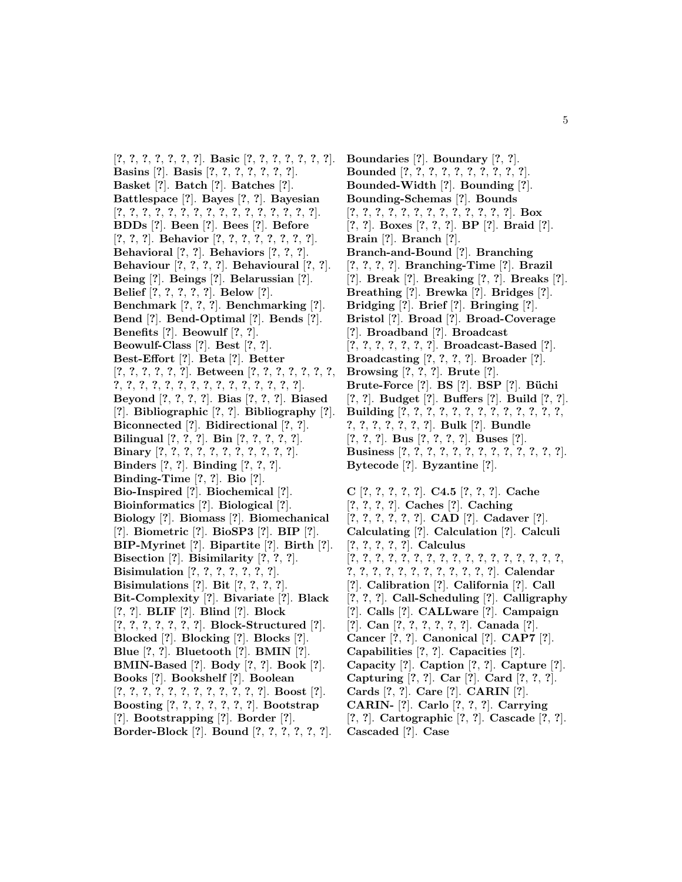[**?**, **?**, **?**, **?**, **?**, **?**, **?**]. **Basic** [**?**, **?**, **?**, **?**, **?**, **?**, **?**]. **Basins** [**?**]. **Basis** [**?**, **?**, **?**, **?**, **?**, **?**, **?**]. **Basket** [**?**]. **Batch** [**?**]. **Batches** [**?**]. **Battlespace** [**?**]. **Bayes** [**?**, **?**]. **Bayesian** [**?**, **?**, **?**, **?**, **?**, **?**, **?**, **?**, **?**, **?**, **?**, **?**, **?**, **?**, **?**, **?**]. **BDDs** [**?**]. **Been** [**?**]. **Bees** [**?**]. **Before** [**?**, **?**, **?**]. **Behavior** [**?**, **?**, **?**, **?**, **?**, **?**, **?**, **?**]. **Behavioral** [**?**, **?**]. **Behaviors** [**?**, **?**, **?**]. **Behaviour** [**?**, **?**, **?**, **?**]. **Behavioural** [**?**, **?**]. **Being** [**?**]. **Beings** [**?**]. **Belarussian** [**?**]. **Belief** [**?**, **?**, **?**, **?**, **?**]. **Below** [**?**]. **Benchmark** [**?**, **?**, **?**]. **Benchmarking** [**?**]. **Bend** [**?**]. **Bend-Optimal** [**?**]. **Bends** [**?**]. **Benefits** [**?**]. **Beowulf** [**?**, **?**]. **Beowulf-Class** [**?**]. **Best** [**?**, **?**]. **Best-Effort** [**?**]. **Beta** [**?**]. **Better** [**?**, **?**, **?**, **?**, **?**, **?**]. **Between** [**?**, **?**, **?**, **?**, **?**, **?**, **?**, **?**, **?**, **?**, **?**, **?**, **?**, **?**, **?**, **?**, **?**, **?**, **?**, **?**, **?**, **?**]. **Beyond** [**?**, **?**, **?**, **?**]. **Bias** [**?**, **?**, **?**]. **Biased** [**?**]. **Bibliographic** [**?**, **?**]. **Bibliography** [**?**]. **Biconnected** [**?**]. **Bidirectional** [**?**, **?**]. **Bilingual** [**?**, **?**, **?**]. **Bin** [**?**, **?**, **?**, **?**, **?**]. **Binary** [**?**, **?**, **?**, **?**, **?**, **?**, **?**, **?**, **?**, **?**, **?**]. **Binders** [**?**, **?**]. **Binding** [**?**, **?**, **?**]. **Binding-Time** [**?**, **?**]. **Bio** [**?**]. **Bio-Inspired** [**?**]. **Biochemical** [**?**]. **Bioinformatics** [**?**]. **Biological** [**?**]. **Biology** [**?**]. **Biomass** [**?**]. **Biomechanical** [**?**]. **Biometric** [**?**]. **BioSP3** [**?**]. **BIP** [**?**]. **BIP-Myrinet** [**?**]. **Bipartite** [**?**]. **Birth** [**?**]. **Bisection** [**?**]. **Bisimilarity** [**?**, **?**, **?**]. **Bisimulation** [**?**, **?**, **?**, **?**, **?**, **?**, **?**]. **Bisimulations** [**?**]. **Bit** [**?**, **?**, **?**, **?**]. **Bit-Complexity** [**?**]. **Bivariate** [**?**]. **Black** [**?**, **?**]. **BLIF** [**?**]. **Blind** [**?**]. **Block** [**?**, **?**, **?**, **?**, **?**, **?**, **?**]. **Block-Structured** [**?**]. **Blocked** [**?**]. **Blocking** [**?**]. **Blocks** [**?**]. **Blue** [**?**, **?**]. **Bluetooth** [**?**]. **BMIN** [**?**]. **BMIN-Based** [**?**]. **Body** [**?**, **?**]. **Book** [**?**]. **Books** [**?**]. **Bookshelf** [**?**]. **Boolean** [**?**, **?**, **?**, **?**, **?**, **?**, **?**, **?**, **?**, **?**, **?**, **?**]. **Boost** [**?**]. **Boosting** [**?**, **?**, **?**, **?**, **?**, **?**, **?**]. **Bootstrap** [**?**]. **Bootstrapping** [**?**]. **Border** [**?**]. **Border-Block** [**?**]. **Bound** [**?**, **?**, **?**, **?**, **?**, **?**].

**Boundaries** [**?**]. **Boundary** [**?**, **?**]. **Bounded** [**?**, **?**, **?**, **?**, **?**, **?**, **?**, **?**, **?**, **?**]. **Bounded-Width** [**?**]. **Bounding** [**?**]. **Bounding-Schemas** [**?**]. **Bounds** [**?**, **?**, **?**, **?**, **?**, **?**, **?**, **?**, **?**, **?**, **?**, **?**, **?**]. **Box** [**?**, **?**]. **Boxes** [**?**, **?**, **?**]. **BP** [**?**]. **Braid** [**?**]. **Brain** [**?**]. **Branch** [**?**]. **Branch-and-Bound** [**?**]. **Branching** [**?**, **?**, **?**, **?**]. **Branching-Time** [**?**]. **Brazil** [**?**]. **Break** [**?**]. **Breaking** [**?**, **?**]. **Breaks** [**?**]. **Breathing** [**?**]. **Brewka** [**?**]. **Bridges** [**?**]. **Bridging** [**?**]. **Brief** [**?**]. **Bringing** [**?**]. **Bristol** [**?**]. **Broad** [**?**]. **Broad-Coverage** [**?**]. **Broadband** [**?**]. **Broadcast** [**?**, **?**, **?**, **?**, **?**, **?**, **?**]. **Broadcast-Based** [**?**]. **Broadcasting** [**?**, **?**, **?**, **?**]. **Broader** [**?**]. **Browsing** [**?**, **?**, **?**]. **Brute** [**?**]. **Brute-Force** [**?**]. **BS** [**?**]. **BSP** [**?**]. **B¨uchi** [**?**, **?**]. **Budget** [**?**]. **Buffers** [**?**]. **Build** [**?**, **?**]. **Building** [**?**, **?**, **?**, **?**, **?**, **?**, **?**, **?**, **?**, **?**, **?**, **?**, **?**, **?**, **?**, **?**, **?**, **?**, **?**, **?**]. **Bulk** [**?**]. **Bundle** [**?**, **?**, **?**]. **Bus** [**?**, **?**, **?**, **?**]. **Buses** [**?**]. **Business** [**?**, **?**, **?**, **?**, **?**, **?**, **?**, **?**, **?**, **?**, **?**, **?**, **?**]. **Bytecode** [**?**]. **Byzantine** [**?**].

**C** [**?**, **?**, **?**, **?**, **?**]. **C4.5** [**?**, **?**, **?**]. **Cache** [**?**, **?**, **?**, **?**]. **Caches** [**?**]. **Caching** [**?**, **?**, **?**, **?**, **?**, **?**]. **CAD** [**?**]. **Cadaver** [**?**]. **Calculating** [**?**]. **Calculation** [**?**]. **Calculi** [**?**, **?**, **?**, **?**, **?**]. **Calculus** [**?**, **?**, **?**, **?**, **?**, **?**, **?**, **?**, **?**, **?**, **?**, **?**, **?**, **?**, **?**, **?**, **?**, **?**, **?**, **?**, **?**, **?**, **?**, **?**, **?**, **?**, **?**, **?**, **?**]. **Calendar** [**?**]. **Calibration** [**?**]. **California** [**?**]. **Call** [**?**, **?**, **?**]. **Call-Scheduling** [**?**]. **Calligraphy** [**?**]. **Calls** [**?**]. **CALLware** [**?**]. **Campaign** [**?**]. **Can** [**?**, **?**, **?**, **?**, **?**, **?**]. **Canada** [**?**]. **Cancer** [**?**, **?**]. **Canonical** [**?**]. **CAP7** [**?**]. **Capabilities** [**?**, **?**]. **Capacities** [**?**]. **Capacity** [**?**]. **Caption** [**?**, **?**]. **Capture** [**?**]. **Capturing** [**?**, **?**]. **Car** [**?**]. **Card** [**?**, **?**, **?**]. **Cards** [**?**, **?**]. **Care** [**?**]. **CARIN** [**?**]. **CARIN-** [**?**]. **Carlo** [**?**, **?**, **?**]. **Carrying** [**?**, **?**]. **Cartographic** [**?**, **?**]. **Cascade** [**?**, **?**]. **Cascaded** [**?**]. **Case**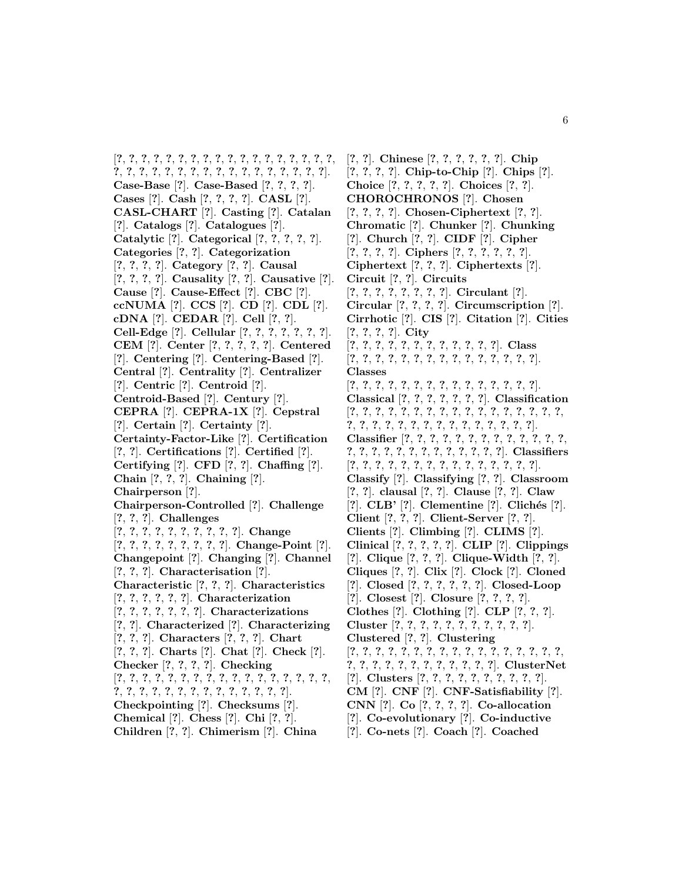[**?**, **?**, **?**, **?**, **?**, **?**, **?**, **?**, **?**, **?**, **?**, **?**, **?**, **?**, **?**, **?**, **?**, **?**, **?**, **?**, **?**, **?**, **?**, **?**, **?**, **?**, **?**, **?**, **?**, **?**, **?**, **?**, **?**, **?**, **?**]. **Case-Base** [**?**]. **Case-Based** [**?**, **?**, **?**, **?**]. **Cases** [**?**]. **Cash** [**?**, **?**, **?**, **?**]. **CASL** [**?**]. **CASL-CHART** [**?**]. **Casting** [**?**]. **Catalan** [**?**]. **Catalogs** [**?**]. **Catalogues** [**?**]. **Catalytic** [**?**]. **Categorical** [**?**, **?**, **?**, **?**, **?**]. **Categories** [**?**, **?**]. **Categorization** [**?**, **?**, **?**, **?**]. **Category** [**?**, **?**]. **Causal** [**?**, **?**, **?**, **?**]. **Causality** [**?**, **?**]. **Causative** [**?**]. **Cause** [**?**]. **Cause-Effect** [**?**]. **CBC** [**?**]. **ccNUMA** [**?**]. **CCS** [**?**]. **CD** [**?**]. **CDL** [**?**]. **cDNA** [**?**]. **CEDAR** [**?**]. **Cell** [**?**, **?**]. **Cell-Edge** [**?**]. **Cellular** [**?**, **?**, **?**, **?**, **?**, **?**, **?**]. **CEM** [**?**]. **Center** [**?**, **?**, **?**, **?**, **?**]. **Centered** [**?**]. **Centering** [**?**]. **Centering-Based** [**?**]. **Central** [**?**]. **Centrality** [**?**]. **Centralizer** [**?**]. **Centric** [**?**]. **Centroid** [**?**]. **Centroid-Based** [**?**]. **Century** [**?**]. **CEPRA** [**?**]. **CEPRA-1X** [**?**]. **Cepstral** [**?**]. **Certain** [**?**]. **Certainty** [**?**]. **Certainty-Factor-Like** [**?**]. **Certification** [**?**, **?**]. **Certifications** [**?**]. **Certified** [**?**]. **Certifying** [**?**]. **CFD** [**?**, **?**]. **Chaffing** [**?**]. **Chain** [**?**, **?**, **?**]. **Chaining** [**?**]. **Chairperson** [**?**]. **Chairperson-Controlled** [**?**]. **Challenge** [**?**, **?**, **?**]. **Challenges** [**?**, **?**, **?**, **?**, **?**, **?**, **?**, **?**, **?**, **?**]. **Change** [**?**, **?**, **?**, **?**, **?**, **?**, **?**, **?**, **?**]. **Change-Point** [**?**]. **Changepoint** [**?**]. **Changing** [**?**]. **Channel** [**?**, **?**, **?**]. **Characterisation** [**?**]. **Characteristic** [**?**, **?**, **?**]. **Characteristics** [**?**, **?**, **?**, **?**, **?**, **?**]. **Characterization** [**?**, **?**, **?**, **?**, **?**, **?**, **?**]. **Characterizations** [**?**, **?**]. **Characterized** [**?**]. **Characterizing** [**?**, **?**, **?**]. **Characters** [**?**, **?**, **?**]. **Chart** [**?**, **?**, **?**]. **Charts** [**?**]. **Chat** [**?**]. **Check** [**?**]. **Checker** [**?**, **?**, **?**, **?**]. **Checking** [**?**, **?**, **?**, **?**, **?**, **?**, **?**, **?**, **?**, **?**, **?**, **?**, **?**, **?**, **?**, **?**, **?**, **?**, **?**, **?**, **?**, **?**, **?**, **?**, **?**, **?**, **?**, **?**, **?**, **?**, **?**]. **Checkpointing** [**?**]. **Checksums** [**?**]. **Chemical** [**?**]. **Chess** [**?**]. **Chi** [**?**, **?**]. **Children** [**?**, **?**]. **Chimerism** [**?**]. **China**

[**?**, **?**]. **Chinese** [**?**, **?**, **?**, **?**, **?**, **?**]. **Chip** [**?**, **?**, **?**, **?**]. **Chip-to-Chip** [**?**]. **Chips** [**?**]. **Choice** [**?**, **?**, **?**, **?**, **?**]. **Choices** [**?**, **?**]. **CHOROCHRONOS** [**?**]. **Chosen** [**?**, **?**, **?**, **?**]. **Chosen-Ciphertext** [**?**, **?**]. **Chromatic** [**?**]. **Chunker** [**?**]. **Chunking** [**?**]. **Church** [**?**, **?**]. **CIDF** [**?**]. **Cipher** [**?**, **?**, **?**, **?**]. **Ciphers** [**?**, **?**, **?**, **?**, **?**, **?**]. **Ciphertext** [**?**, **?**, **?**]. **Ciphertexts** [**?**]. **Circuit** [**?**, **?**]. **Circuits** [**?**, **?**, **?**, **?**, **?**, **?**, **?**, **?**]. **Circulant** [**?**]. **Circular** [**?**, **?**, **?**, **?**]. **Circumscription** [**?**]. **Cirrhotic** [**?**]. **CIS** [**?**]. **Citation** [**?**]. **Cities** [**?**, **?**, **?**, **?**]. **City** [**?**, **?**, **?**, **?**, **?**, **?**, **?**, **?**, **?**, **?**, **?**, **?**]. **Class** [**?**, **?**, **?**, **?**, **?**, **?**, **?**, **?**, **?**, **?**, **?**, **?**, **?**, **?**, **?**]. **Classes** [**?**, **?**, **?**, **?**, **?**, **?**, **?**, **?**, **?**, **?**, **?**, **?**, **?**, **?**, **?**]. **Classical** [**?**, **?**, **?**, **?**, **?**, **?**, **?**]. **Classification** [**?**, **?**, **?**, **?**, **?**, **?**, **?**, **?**, **?**, **?**, **?**, **?**, **?**, **?**, **?**, **?**, **?**, **?**, **?**, **?**, **?**, **?**, **?**, **?**, **?**, **?**, **?**, **?**, **?**, **?**, **?**, **?**]. **Classifier** [**?**, **?**, **?**, **?**, **?**, **?**, **?**, **?**, **?**, **?**, **?**, **?**, **?**, **?**, **?**, **?**, **?**, **?**, **?**, **?**, **?**, **?**, **?**, **?**, **?**, **?**]. **Classifiers** [**?**, **?**, **?**, **?**, **?**, **?**, **?**, **?**, **?**, **?**, **?**, **?**, **?**, **?**, **?**]. **Classify** [**?**]. **Classifying** [**?**, **?**]. **Classroom** [**?**, **?**]. **clausal** [**?**, **?**]. **Clause** [**?**, **?**]. **Claw** [**?**]. **CLB'** [**?**]. **Clementine** [**?**]. **Clich´es** [**?**]. **Client** [**?**, **?**, **?**]. **Client-Server** [**?**, **?**]. **Clients** [**?**]. **Climbing** [**?**]. **CLIMS** [**?**]. **Clinical** [**?**, **?**, **?**, **?**, **?**]. **CLIP** [**?**]. **Clippings** [**?**]. **Clique** [**?**, **?**, **?**]. **Clique-Width** [**?**, **?**]. **Cliques** [**?**, **?**]. **Clix** [**?**]. **Clock** [**?**]. **Cloned** [**?**]. **Closed** [**?**, **?**, **?**, **?**, **?**, **?**]. **Closed-Loop** [**?**]. **Closest** [**?**]. **Closure** [**?**, **?**, **?**, **?**]. **Clothes** [**?**]. **Clothing** [**?**]. **CLP** [**?**, **?**, **?**]. **Cluster** [**?**, **?**, **?**, **?**, **?**, **?**, **?**, **?**, **?**, **?**, **?**]. **Clustered** [**?**, **?**]. **Clustering** [**?**, **?**, **?**, **?**, **?**, **?**, **?**, **?**, **?**, **?**, **?**, **?**, **?**, **?**, **?**, **?**, **?**, **?**, **?**, **?**, **?**, **?**, **?**, **?**, **?**, **?**, **?**, **?**, **?**]. **ClusterNet** [**?**]. **Clusters** [**?**, **?**, **?**, **?**, **?**, **?**, **?**, **?**, **?**, **?**]. **CM** [**?**]. **CNF** [**?**]. **CNF-Satisfiability** [**?**]. **CNN** [**?**]. **Co** [**?**, **?**, **?**, **?**]. **Co-allocation** [**?**]. **Co-evolutionary** [**?**]. **Co-inductive**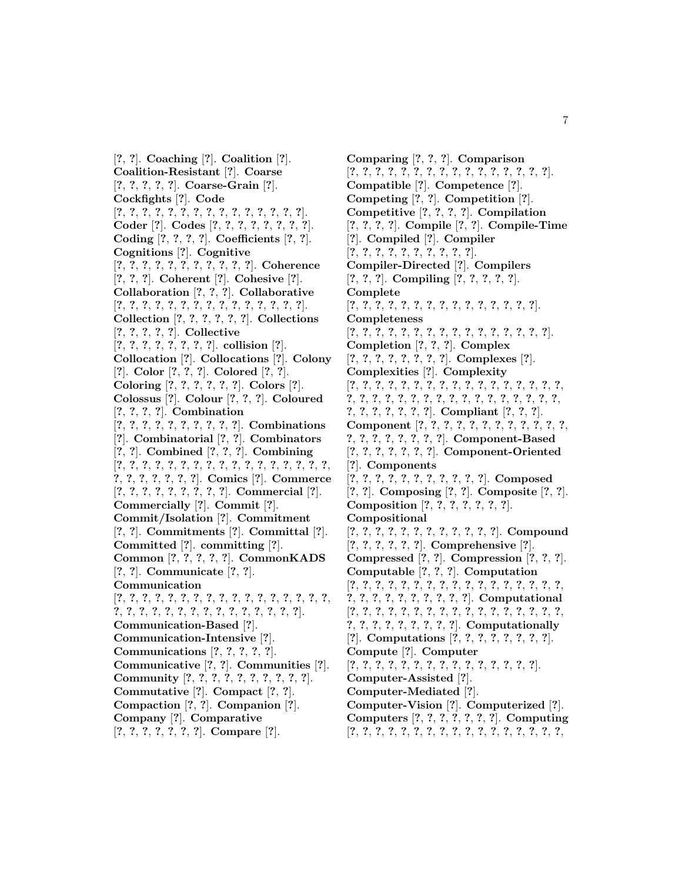[**?**, **?**]. **Coaching** [**?**]. **Coalition** [**?**]. **Coalition-Resistant** [**?**]. **Coarse** [**?**, **?**, **?**, **?**, **?**]. **Coarse-Grain** [**?**]. **Cockfights** [**?**]. **Code** [**?**, **?**, **?**, **?**, **?**, **?**, **?**, **?**, **?**, **?**, **?**, **?**, **?**, **?**, **?**]. **Coder** [**?**]. **Codes** [**?**, **?**, **?**, **?**, **?**, **?**, **?**, **?**]. **Coding** [**?**, **?**, **?**, **?**]. **Coefficients** [**?**, **?**]. **Cognitions** [**?**]. **Cognitive** [**?**, **?**, **?**, **?**, **?**, **?**, **?**, **?**, **?**, **?**, **?**]. **Coherence** [**?**, **?**, **?**]. **Coherent** [**?**]. **Cohesive** [**?**]. **Collaboration** [**?**, **?**, **?**]. **Collaborative** [**?**, **?**, **?**, **?**, **?**, **?**, **?**, **?**, **?**, **?**, **?**, **?**, **?**, **?**, **?**]. **Collection** [**?**, **?**, **?**, **?**, **?**, **?**]. **Collections** [**?**, **?**, **?**, **?**, **?**]. **Collective** [**?**, **?**, **?**, **?**, **?**, **?**, **?**, **?**]. **collision** [**?**]. **Collocation** [**?**]. **Collocations** [**?**]. **Colony** [**?**]. **Color** [**?**, **?**, **?**]. **Colored** [**?**, **?**]. **Coloring** [**?**, **?**, **?**, **?**, **?**, **?**]. **Colors** [**?**]. **Colossus** [**?**]. **Colour** [**?**, **?**, **?**]. **Coloured** [**?**, **?**, **?**, **?**]. **Combination** [**?**, **?**, **?**, **?**, **?**, **?**, **?**, **?**, **?**, **?**]. **Combinations** [**?**]. **Combinatorial** [**?**, **?**]. **Combinators** [**?**, **?**]. **Combined** [**?**, **?**, **?**]. **Combining** [**?**, **?**, **?**, **?**, **?**, **?**, **?**, **?**, **?**, **?**, **?**, **?**, **?**, **?**, **?**, **?**, **?**, **?**, **?**, **?**, **?**, **?**, **?**, **?**]. **Comics** [**?**]. **Commerce** [**?**, **?**, **?**, **?**, **?**, **?**, **?**, **?**, **?**]. **Commercial** [**?**]. **Commercially** [**?**]. **Commit** [**?**]. **Commit/Isolation** [**?**]. **Commitment** [**?**, **?**]. **Commitments** [**?**]. **Committal** [**?**]. **Committed** [**?**]. **committing** [**?**]. **Common** [**?**, **?**, **?**, **?**, **?**]. **CommonKADS** [**?**, **?**]. **Communicate** [**?**, **?**]. **Communication** [**?**, **?**, **?**, **?**, **?**, **?**, **?**, **?**, **?**, **?**, **?**, **?**, **?**, **?**, **?**, **?**, **?**, **?**, **?**, **?**, **?**, **?**, **?**, **?**, **?**, **?**, **?**, **?**, **?**, **?**, **?**, **?**]. **Communication-Based** [**?**]. **Communication-Intensive** [**?**]. **Communications** [**?**, **?**, **?**, **?**, **?**]. **Communicative** [**?**, **?**]. **Communities** [**?**]. **Community** [**?**, **?**, **?**, **?**, **?**, **?**, **?**, **?**, **?**, **?**]. **Commutative** [**?**]. **Compact** [**?**, **?**]. **Compaction** [**?**, **?**]. **Companion** [**?**]. **Company** [**?**]. **Comparative** [**?**, **?**, **?**, **?**, **?**, **?**, **?**]. **Compare** [**?**].

**Comparing** [**?**, **?**, **?**]. **Comparison** [**?**, **?**, **?**, **?**, **?**, **?**, **?**, **?**, **?**, **?**, **?**, **?**, **?**, **?**, **?**, **?**]. **Compatible** [**?**]. **Competence** [**?**]. **Competing** [**?**, **?**]. **Competition** [**?**]. **Competitive** [**?**, **?**, **?**, **?**]. **Compilation** [**?**, **?**, **?**, **?**]. **Compile** [**?**, **?**]. **Compile-Time** [**?**]. **Compiled** [**?**]. **Compiler** [**?**, **?**, **?**, **?**, **?**, **?**, **?**, **?**, **?**, **?**]. **Compiler-Directed** [**?**]. **Compilers** [**?**, **?**, **?**]. **Compiling** [**?**, **?**, **?**, **?**, **?**]. **Complete** [**?**, **?**, **?**, **?**, **?**, **?**, **?**, **?**, **?**, **?**, **?**, **?**, **?**, **?**, **?**]. **Completeness** [**?**, **?**, **?**, **?**, **?**, **?**, **?**, **?**, **?**, **?**, **?**, **?**, **?**, **?**, **?**, **?**]. **Completion** [**?**, **?**, **?**]. **Complex** [**?**, **?**, **?**, **?**, **?**, **?**, **?**, **?**]. **Complexes** [**?**]. **Complexities** [**?**]. **Complexity** [**?**, **?**, **?**, **?**, **?**, **?**, **?**, **?**, **?**, **?**, **?**, **?**, **?**, **?**, **?**, **?**, **?**, **?**, **?**, **?**, **?**, **?**, **?**, **?**, **?**, **?**, **?**, **?**, **?**, **?**, **?**, **?**, **?**, **?**, **?**, **?**, **?**, **?**, **?**, **?**, **?**]. **Compliant** [**?**, **?**, **?**]. **Component** [**?**, **?**, **?**, **?**, **?**, **?**, **?**, **?**, **?**, **?**, **?**, **?**, **?**, **?**, **?**, **?**, **?**, **?**, **?**, **?**]. **Component-Based** [**?**, **?**, **?**, **?**, **?**, **?**, **?**]. **Component-Oriented** [**?**]. **Components** [**?**, **?**, **?**, **?**, **?**, **?**, **?**, **?**, **?**, **?**, **?**]. **Composed** [**?**, **?**]. **Composing** [**?**, **?**]. **Composite** [**?**, **?**]. **Composition** [**?**, **?**, **?**, **?**, **?**, **?**, **?**]. **Compositional** [**?**, **?**, **?**, **?**, **?**, **?**, **?**, **?**, **?**, **?**, **?**, **?**]. **Compound** [**?**, **?**, **?**, **?**, **?**, **?**]. **Comprehensive** [**?**]. **Compressed** [**?**, **?**]. **Compression** [**?**, **?**, **?**]. **Computable** [**?**, **?**, **?**]. **Computation** [**?**, **?**, **?**, **?**, **?**, **?**, **?**, **?**, **?**, **?**, **?**, **?**, **?**, **?**, **?**, **?**, **?**, **?**, **?**, **?**, **?**, **?**, **?**, **?**, **?**, **?**, **?**]. **Computational** [**?**, **?**, **?**, **?**, **?**, **?**, **?**, **?**, **?**, **?**, **?**, **?**, **?**, **?**, **?**, **?**, **?**, **?**, **?**, **?**, **?**, **?**, **?**, **?**, **?**, **?**]. **Computationally** [**?**]. **Computations** [**?**, **?**, **?**, **?**, **?**, **?**, **?**, **?**]. **Compute** [**?**]. **Computer** [**?**, **?**, **?**, **?**, **?**, **?**, **?**, **?**, **?**, **?**, **?**, **?**, **?**, **?**, **?**]. **Computer-Assisted** [**?**]. **Computer-Mediated** [**?**]. **Computer-Vision** [**?**]. **Computerized** [**?**]. **Computers** [**?**, **?**, **?**, **?**, **?**, **?**, **?**]. **Computing** [**?**, **?**, **?**, **?**, **?**, **?**, **?**, **?**, **?**, **?**, **?**, **?**, **?**, **?**, **?**, **?**, **?**,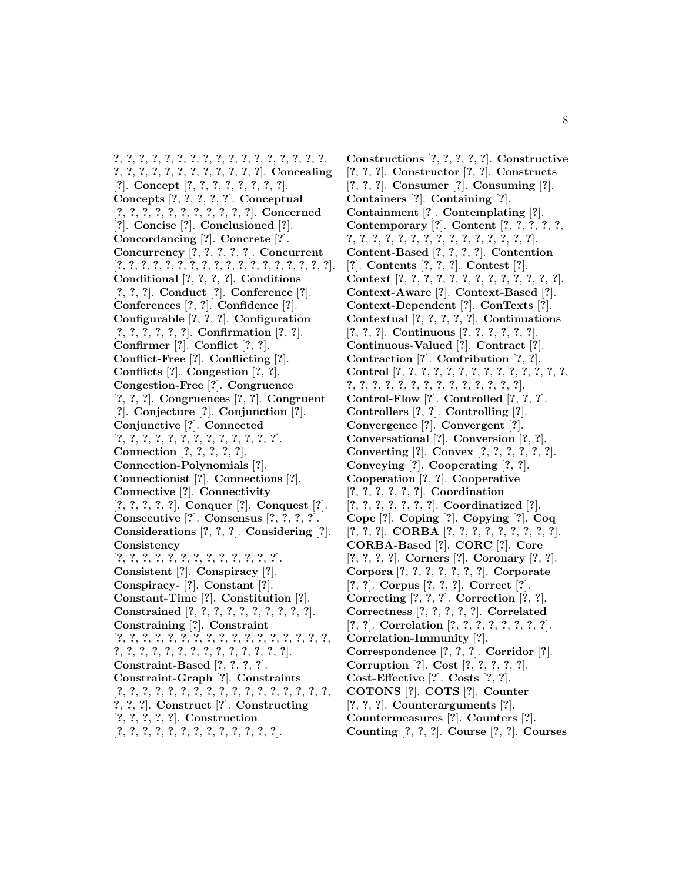**?**, **?**, **?**, **?**, **?**, **?**, **?**, **?**, **?**, **?**, **?**, **?**, **?**, **?**, **?**, **?**, **?**, **?**, **?**, **?**, **?**, **?**, **?**, **?**, **?**, **?**, **?**, **?**, **?**]. **Concealing** [**?**]. **Concept** [**?**, **?**, **?**, **?**, **?**, **?**, **?**, **?**]. **Concepts** [**?**, **?**, **?**, **?**, **?**]. **Conceptual** [**?**, **?**, **?**, **?**, **?**, **?**, **?**, **?**, **?**, **?**, **?**]. **Concerned** [**?**]. **Concise** [**?**]. **Conclusioned** [**?**]. **Concordancing** [**?**]. **Concrete** [**?**]. **Concurrency** [**?**, **?**, **?**, **?**, **?**]. **Concurrent** [**?**, **?**, **?**, **?**, **?**, **?**, **?**, **?**, **?**, **?**, **?**, **?**, **?**, **?**, **?**, **?**, **?**, **?**]. **Conditional** [**?**, **?**, **?**, **?**]. **Conditions** [**?**, **?**, **?**]. **Conduct** [**?**]. **Conference** [**?**]. **Conferences** [**?**, **?**]. **Confidence** [**?**]. **Configurable** [**?**, **?**, **?**]. **Configuration** [**?**, **?**, **?**, **?**, **?**, **?**]. **Confirmation** [**?**, **?**]. **Confirmer** [**?**]. **Conflict** [**?**, **?**]. **Conflict-Free** [**?**]. **Conflicting** [**?**]. **Conflicts** [**?**]. **Congestion** [**?**, **?**]. **Congestion-Free** [**?**]. **Congruence** [**?**, **?**, **?**]. **Congruences** [**?**, **?**]. **Congruent** [**?**]. **Conjecture** [**?**]. **Conjunction** [**?**]. **Conjunctive** [**?**]. **Connected** [**?**, **?**, **?**, **?**, **?**, **?**, **?**, **?**, **?**, **?**, **?**, **?**, **?**]. **Connection** [**?**, **?**, **?**, **?**, **?**]. **Connection-Polynomials** [**?**]. **Connectionist** [**?**]. **Connections** [**?**]. **Connective** [**?**]. **Connectivity** [**?**, **?**, **?**, **?**, **?**]. **Conquer** [**?**]. **Conquest** [**?**]. **Consecutive** [**?**]. **Consensus** [**?**, **?**, **?**, **?**]. **Considerations** [**?**, **?**, **?**]. **Considering** [**?**]. **Consistency** [**?**, **?**, **?**, **?**, **?**, **?**, **?**, **?**, **?**, **?**, **?**, **?**, **?**]. **Consistent** [**?**]. **Conspiracy** [**?**]. **Conspiracy-** [**?**]. **Constant** [**?**]. **Constant-Time** [**?**]. **Constitution** [**?**]. **Constrained** [**?**, **?**, **?**, **?**, **?**, **?**, **?**, **?**, **?**, **?**]. **Constraining** [**?**]. **Constraint** [**?**, **?**, **?**, **?**, **?**, **?**, **?**, **?**, **?**, **?**, **?**, **?**, **?**, **?**, **?**, **?**, **?**, **?**, **?**, **?**, **?**, **?**, **?**, **?**, **?**, **?**, **?**, **?**, **?**, **?**, **?**]. **Constraint-Based** [**?**, **?**, **?**, **?**]. **Constraint-Graph** [**?**]. **Constraints** [**?**, **?**, **?**, **?**, **?**, **?**, **?**, **?**, **?**, **?**, **?**, **?**, **?**, **?**, **?**, **?**, **?**, **?**, **?**, **?**]. **Construct** [**?**]. **Constructing** [**?**, **?**, **?**, **?**, **?**]. **Construction** [**?**, **?**, **?**, **?**, **?**, **?**, **?**, **?**, **?**, **?**, **?**, **?**, **?**].

**Constructions** [**?**, **?**, **?**, **?**, **?**]. **Constructive** [**?**, **?**, **?**]. **Constructor** [**?**, **?**]. **Constructs** [**?**, **?**, **?**]. **Consumer** [**?**]. **Consuming** [**?**]. **Containers** [**?**]. **Containing** [**?**]. **Containment** [**?**]. **Contemplating** [**?**]. **Contemporary** [**?**]. **Content** [**?**, **?**, **?**, **?**, **?**, **?**, **?**, **?**, **?**, **?**, **?**, **?**, **?**, **?**, **?**, **?**, **?**, **?**, **?**, **?**]. **Content-Based** [**?**, **?**, **?**, **?**]. **Contention** [**?**]. **Contents** [**?**, **?**, **?**]. **Contest** [**?**]. **Context** [**?**, **?**, **?**, **?**, **?**, **?**, **?**, **?**, **?**, **?**, **?**, **?**, **?**]. **Context-Aware** [**?**]. **Context-Based** [**?**]. **Context-Dependent** [**?**]. **ConTexts** [**?**]. **Contextual** [**?**, **?**, **?**, **?**, **?**]. **Continuations** [**?**, **?**, **?**]. **Continuous** [**?**, **?**, **?**, **?**, **?**, **?**]. **Continuous-Valued** [**?**]. **Contract** [**?**]. **Contraction** [**?**]. **Contribution** [**?**, **?**]. **Control** [**?**, **?**, **?**, **?**, **?**, **?**, **?**, **?**, **?**, **?**, **?**, **?**, **?**, **?**, **?**, **?**, **?**, **?**, **?**, **?**, **?**, **?**, **?**, **?**, **?**, **?**, **?**, **?**]. **Control-Flow** [**?**]. **Controlled** [**?**, **?**, **?**]. **Controllers** [**?**, **?**]. **Controlling** [**?**]. **Convergence** [**?**]. **Convergent** [**?**]. **Conversational** [**?**]. **Conversion** [**?**, **?**]. **Converting** [**?**]. **Convex** [**?**, **?**, **?**, **?**, **?**, **?**]. **Conveying** [**?**]. **Cooperating** [**?**, **?**]. **Cooperation** [**?**, **?**]. **Cooperative** [**?**, **?**, **?**, **?**, **?**, **?**]. **Coordination** [**?**, **?**, **?**, **?**, **?**, **?**, **?**]. **Coordinatized** [**?**]. **Cope** [**?**]. **Coping** [**?**]. **Copying** [**?**]. **Coq** [**?**, **?**, **?**]. **CORBA** [**?**, **?**, **?**, **?**, **?**, **?**, **?**, **?**, **?**]. **CORBA-Based** [**?**]. **CORC** [**?**]. **Core** [**?**, **?**, **?**, **?**]. **Corners** [**?**]. **Coronary** [**?**, **?**]. **Corpora** [**?**, **?**, **?**, **?**, **?**, **?**, **?**]. **Corporate** [**?**, **?**]. **Corpus** [**?**, **?**, **?**]. **Correct** [**?**]. **Correcting** [**?**, **?**, **?**]. **Correction** [**?**, **?**]. **Correctness** [**?**, **?**, **?**, **?**, **?**]. **Correlated** [**?**, **?**]. **Correlation** [**?**, **?**, **?**, **?**, **?**, **?**, **?**, **?**]. **Correlation-Immunity** [**?**]. **Correspondence** [**?**, **?**, **?**]. **Corridor** [**?**]. **Corruption** [**?**]. **Cost** [**?**, **?**, **?**, **?**, **?**]. **Cost-Effective** [**?**]. **Costs** [**?**, **?**]. **COTONS** [**?**]. **COTS** [**?**]. **Counter** [**?**, **?**, **?**]. **Counterarguments** [**?**]. **Countermeasures** [**?**]. **Counters** [**?**]. **Counting** [**?**, **?**, **?**]. **Course** [**?**, **?**]. **Courses**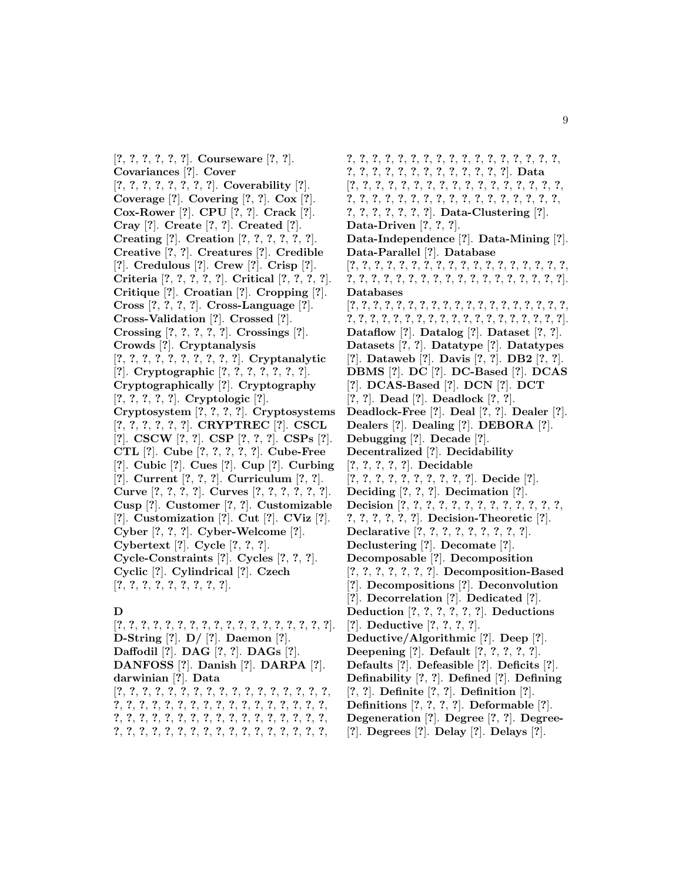[**?**, **?**, **?**, **?**, **?**, **?**]. **Courseware** [**?**, **?**]. **Covariances** [**?**]. **Cover** [**?**, **?**, **?**, **?**, **?**, **?**, **?**, **?**]. **Coverability** [**?**]. **Coverage** [**?**]. **Covering** [**?**, **?**]. **Cox** [**?**]. **Cox-Rower** [**?**]. **CPU** [**?**, **?**]. **Crack** [**?**]. **Cray** [**?**]. **Create** [**?**, **?**]. **Created** [**?**]. **Creating** [**?**]. **Creation** [**?**, **?**, **?**, **?**, **?**, **?**]. **Creative** [**?**, **?**]. **Creatures** [**?**]. **Credible** [**?**]. **Credulous** [**?**]. **Crew** [**?**]. **Crisp** [**?**]. **Criteria** [**?**, **?**, **?**, **?**, **?**]. **Critical** [**?**, **?**, **?**, **?**]. **Critique** [**?**]. **Croatian** [**?**]. **Cropping** [**?**]. **Cross** [**?**, **?**, **?**, **?**]. **Cross-Language** [**?**]. **Cross-Validation** [**?**]. **Crossed** [**?**]. **Crossing** [**?**, **?**, **?**, **?**, **?**]. **Crossings** [**?**]. **Crowds** [**?**]. **Cryptanalysis** [**?**, **?**, **?**, **?**, **?**, **?**, **?**, **?**, **?**, **?**]. **Cryptanalytic** [**?**]. **Cryptographic** [**?**, **?**, **?**, **?**, **?**, **?**, **?**]. **Cryptographically** [**?**]. **Cryptography** [**?**, **?**, **?**, **?**, **?**]. **Cryptologic** [**?**]. **Cryptosystem** [**?**, **?**, **?**, **?**]. **Cryptosystems** [**?**, **?**, **?**, **?**, **?**, **?**]. **CRYPTREC** [**?**]. **CSCL** [**?**]. **CSCW** [**?**, **?**]. **CSP** [**?**, **?**, **?**]. **CSPs** [**?**]. **CTL** [**?**]. **Cube** [**?**, **?**, **?**, **?**, **?**]. **Cube-Free** [**?**]. **Cubic** [**?**]. **Cues** [**?**]. **Cup** [**?**]. **Curbing** [**?**]. **Current** [**?**, **?**, **?**]. **Curriculum** [**?**, **?**]. **Curve** [**?**, **?**, **?**, **?**]. **Curves** [**?**, **?**, **?**, **?**, **?**, **?**]. **Cusp** [**?**]. **Customer** [**?**, **?**]. **Customizable** [**?**]. **Customization** [**?**]. **Cut** [**?**]. **CViz** [**?**]. **Cyber** [**?**, **?**, **?**]. **Cyber-Welcome** [**?**]. **Cybertext** [**?**]. **Cycle** [**?**, **?**, **?**]. **Cycle-Constraints** [**?**]. **Cycles** [**?**, **?**, **?**]. **Cyclic** [**?**]. **Cylindrical** [**?**]. **Czech** [**?**, **?**, **?**, **?**, **?**, **?**, **?**, **?**, **?**].

## **D**

[**?**, **?**, **?**, **?**, **?**, **?**, **?**, **?**, **?**, **?**, **?**, **?**, **?**, **?**, **?**, **?**, **?**, **?**]. **D-String** [**?**]. **D/** [**?**]. **Daemon** [**?**]. **Daffodil** [**?**]. **DAG** [**?**, **?**]. **DAGs** [**?**]. **DANFOSS** [**?**]. **Danish** [**?**]. **DARPA** [**?**]. **darwinian** [**?**]. **Data** [**?**, **?**, **?**, **?**, **?**, **?**, **?**, **?**, **?**, **?**, **?**, **?**, **?**, **?**, **?**, **?**, **?**, **?**, **?**, **?**, **?**, **?**, **?**, **?**, **?**, **?**, **?**, **?**, **?**, **?**, **?**, **?**, **?**, **?**, **?**, **?**, **?**, **?**, **?**, **?**, **?**, **?**, **?**, **?**, **?**, **?**, **?**, **?**, **?**, **?**, **?**, **?**, **?**, **?**, **?**, **?**, **?**, **?**, **?**, **?**, **?**, **?**, **?**, **?**, **?**, **?**, **?**, **?**,

**?**, **?**, **?**, **?**, **?**, **?**, **?**, **?**, **?**, **?**, **?**, **?**, **?**, **?**, **?**, **?**, **?**, **?**, **?**, **?**, **?**, **?**, **?**, **?**, **?**, **?**, **?**, **?**, **?**, **?**]. **Data** [**?**, **?**, **?**, **?**, **?**, **?**, **?**, **?**, **?**, **?**, **?**, **?**, **?**, **?**, **?**, **?**, **?**, **?**, **?**, **?**, **?**, **?**, **?**, **?**, **?**, **?**, **?**, **?**, **?**, **?**, **?**, **?**, **?**, **?**, **?**, **?**, **?**, **?**, **?**, **?**, **?**]. **Data-Clustering** [**?**]. **Data-Driven** [**?**, **?**, **?**]. **Data-Independence** [**?**]. **Data-Mining** [**?**]. **Data-Parallel** [**?**]. **Database** [**?**, **?**, **?**, **?**, **?**, **?**, **?**, **?**, **?**, **?**, **?**, **?**, **?**, **?**, **?**, **?**, **?**, **?**, **?**, **?**, **?**, **?**, **?**, **?**, **?**, **?**, **?**, **?**, **?**, **?**, **?**, **?**, **?**, **?**, **?**, **?**]. **Databases** [**?**, **?**, **?**, **?**, **?**, **?**, **?**, **?**, **?**, **?**, **?**, **?**, **?**, **?**, **?**, **?**, **?**, **?**, **?**, **?**, **?**, **?**, **?**, **?**, **?**, **?**, **?**, **?**, **?**, **?**, **?**, **?**, **?**, **?**, **?**, **?**, **?**, **?**]. **Dataflow** [**?**]. **Datalog** [**?**]. **Dataset** [**?**, **?**]. **Datasets** [**?**, **?**]. **Datatype** [**?**]. **Datatypes** [**?**]. **Dataweb** [**?**]. **Davis** [**?**, **?**]. **DB2** [**?**, **?**]. **DBMS** [**?**]. **DC** [**?**]. **DC-Based** [**?**]. **DCAS** [**?**]. **DCAS-Based** [**?**]. **DCN** [**?**]. **DCT** [**?**, **?**]. **Dead** [**?**]. **Deadlock** [**?**, **?**]. **Deadlock-Free** [**?**]. **Deal** [**?**, **?**]. **Dealer** [**?**]. **Dealers** [**?**]. **Dealing** [**?**]. **DEBORA** [**?**]. **Debugging** [**?**]. **Decade** [**?**]. **Decentralized** [**?**]. **Decidability** [**?**, **?**, **?**, **?**, **?**]. **Decidable** [**?**, **?**, **?**, **?**, **?**, **?**, **?**, **?**, **?**, **?**]. **Decide** [**?**]. **Deciding** [**?**, **?**, **?**]. **Decimation** [**?**]. **Decision** [**?**, **?**, **?**, **?**, **?**, **?**, **?**, **?**, **?**, **?**, **?**, **?**, **?**, **?**, **?**, **?**, **?**, **?**, **?**]. **Decision-Theoretic** [**?**]. **Declarative** [**?**, **?**, **?**, **?**, **?**, **?**, **?**, **?**, **?**]. **Declustering** [**?**]. **Decomate** [**?**]. **Decomposable** [**?**]. **Decomposition** [**?**, **?**, **?**, **?**, **?**, **?**, **?**]. **Decomposition-Based** [**?**]. **Decompositions** [**?**]. **Deconvolution** [**?**]. **Decorrelation** [**?**]. **Dedicated** [**?**]. **Deduction** [**?**, **?**, **?**, **?**, **?**, **?**]. **Deductions** [**?**]. **Deductive** [**?**, **?**, **?**, **?**]. **Deductive/Algorithmic** [**?**]. **Deep** [**?**]. **Deepening** [**?**]. **Default** [**?**, **?**, **?**, **?**, **?**]. **Defaults** [**?**]. **Defeasible** [**?**]. **Deficits** [**?**]. **Definability** [**?**, **?**]. **Defined** [**?**]. **Defining** [**?**, **?**]. **Definite** [**?**, **?**]. **Definition** [**?**]. **Definitions** [**?**, **?**, **?**, **?**]. **Deformable** [**?**]. **Degeneration** [**?**]. **Degree** [**?**, **?**]. **Degree-** [**?**]. **Degrees** [**?**]. **Delay** [**?**]. **Delays** [**?**].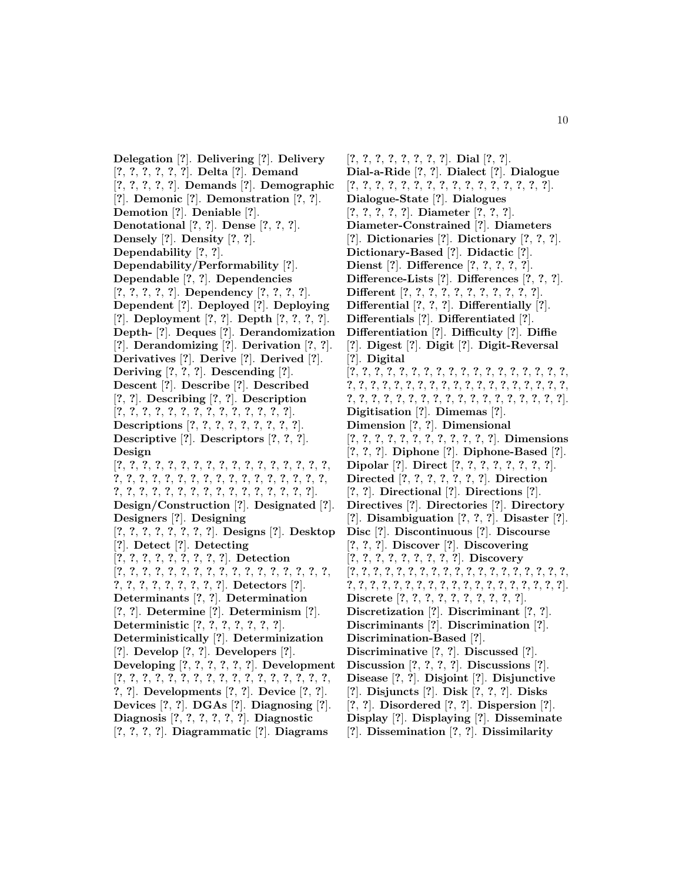**Delegation** [**?**]. **Delivering** [**?**]. **Delivery** [**?**, **?**, **?**, **?**, **?**, **?**]. **Delta** [**?**]. **Demand** [**?**, **?**, **?**, **?**, **?**]. **Demands** [**?**]. **Demographic** [**?**]. **Demonic** [**?**]. **Demonstration** [**?**, **?**]. **Demotion** [**?**]. **Deniable** [**?**]. **Denotational** [**?**, **?**]. **Dense** [**?**, **?**, **?**]. **Densely** [**?**]. **Density** [**?**, **?**]. **Dependability** [**?**, **?**]. **Dependability/Performability** [**?**]. **Dependable** [**?**, **?**]. **Dependencies** [**?**, **?**, **?**, **?**, **?**]. **Dependency** [**?**, **?**, **?**, **?**]. **Dependent** [**?**]. **Deployed** [**?**]. **Deploying** [**?**]. **Deployment** [**?**, **?**]. **Depth** [**?**, **?**, **?**, **?**]. **Depth-** [**?**]. **Deques** [**?**]. **Derandomization** [**?**]. **Derandomizing** [**?**]. **Derivation** [**?**, **?**]. **Derivatives** [**?**]. **Derive** [**?**]. **Derived** [**?**]. **Deriving** [**?**, **?**, **?**]. **Descending** [**?**]. **Descent** [**?**]. **Describe** [**?**]. **Described** [**?**, **?**]. **Describing** [**?**, **?**]. **Description** [**?**, **?**, **?**, **?**, **?**, **?**, **?**, **?**, **?**, **?**, **?**, **?**, **?**, **?**]. **Descriptions** [**?**, **?**, **?**, **?**, **?**, **?**, **?**, **?**, **?**]. **Descriptive** [**?**]. **Descriptors** [**?**, **?**, **?**]. **Design** [**?**, **?**, **?**, **?**, **?**, **?**, **?**, **?**, **?**, **?**, **?**, **?**, **?**, **?**, **?**, **?**, **?**, **?**, **?**, **?**, **?**, **?**, **?**, **?**, **?**, **?**, **?**, **?**, **?**, **?**, **?**, **?**, **?**, **?**, **?**, **?**, **?**, **?**, **?**, **?**, **?**, **?**, **?**, **?**, **?**, **?**, **?**, **?**, **?**, **?**]. **Design/Construction** [**?**]. **Designated** [**?**]. **Designers** [**?**]. **Designing** [**?**, **?**, **?**, **?**, **?**, **?**, **?**, **?**]. **Designs** [**?**]. **Desktop** [**?**]. **Detect** [**?**]. **Detecting** [**?**, **?**, **?**, **?**, **?**, **?**, **?**, **?**, **?**]. **Detection** [**?**, **?**, **?**, **?**, **?**, **?**, **?**, **?**, **?**, **?**, **?**, **?**, **?**, **?**, **?**, **?**, **?**, **?**, **?**, **?**, **?**, **?**, **?**, **?**, **?**, **?**]. **Detectors** [**?**]. **Determinants** [**?**, **?**]. **Determination** [**?**, **?**]. **Determine** [**?**]. **Determinism** [**?**]. **Deterministic** [**?**, **?**, **?**, **?**, **?**, **?**, **?**]. **Deterministically** [**?**]. **Determinization** [**?**]. **Develop** [**?**, **?**]. **Developers** [**?**]. **Developing** [**?**, **?**, **?**, **?**, **?**, **?**]. **Development** [**?**, **?**, **?**, **?**, **?**, **?**, **?**, **?**, **?**, **?**, **?**, **?**, **?**, **?**, **?**, **?**, **?**, **?**, **?**]. **Developments** [**?**, **?**]. **Device** [**?**, **?**]. **Devices** [**?**, **?**]. **DGAs** [**?**]. **Diagnosing** [**?**]. **Diagnosis** [**?**, **?**, **?**, **?**, **?**, **?**]. **Diagnostic** [**?**, **?**, **?**, **?**]. **Diagrammatic** [**?**]. **Diagrams**

[**?**, **?**, **?**, **?**, **?**, **?**, **?**, **?**]. **Dial** [**?**, **?**]. **Dial-a-Ride** [**?**, **?**]. **Dialect** [**?**]. **Dialogue** [**?**, **?**, **?**, **?**, **?**, **?**, **?**, **?**, **?**, **?**, **?**, **?**, **?**, **?**, **?**, **?**]. **Dialogue-State** [**?**]. **Dialogues** [**?**, **?**, **?**, **?**, **?**]. **Diameter** [**?**, **?**, **?**]. **Diameter-Constrained** [**?**]. **Diameters** [**?**]. **Dictionaries** [**?**]. **Dictionary** [**?**, **?**, **?**]. **Dictionary-Based** [**?**]. **Didactic** [**?**]. **Dienst** [**?**]. **Difference** [**?**, **?**, **?**, **?**, **?**]. **Difference-Lists** [**?**]. **Differences** [**?**, **?**, **?**]. **Different** [**?**, **?**, **?**, **?**, **?**, **?**, **?**, **?**, **?**, **?**, **?**]. **Differential** [**?**, **?**, **?**]. **Differentially** [**?**]. **Differentials** [**?**]. **Differentiated** [**?**]. **Differentiation** [**?**]. **Difficulty** [**?**]. **Diffie** [**?**]. **Digest** [**?**]. **Digit** [**?**]. **Digit-Reversal** [**?**]. **Digital** [**?**, **?**, **?**, **?**, **?**, **?**, **?**, **?**, **?**, **?**, **?**, **?**, **?**, **?**, **?**, **?**, **?**, **?**, **?**, **?**, **?**, **?**, **?**, **?**, **?**, **?**, **?**, **?**, **?**, **?**, **?**, **?**, **?**, **?**, **?**, **?**, **?**, **?**, **?**, **?**, **?**, **?**, **?**, **?**, **?**, **?**, **?**, **?**, **?**, **?**, **?**, **?**, **?**, **?**, **?**]. **Digitisation** [**?**]. **Dimemas** [**?**]. **Dimension** [**?**, **?**]. **Dimensional** [**?**, **?**, **?**, **?**, **?**, **?**, **?**, **?**, **?**, **?**, **?**, **?**]. **Dimensions** [**?**, **?**, **?**]. **Diphone** [**?**]. **Diphone-Based** [**?**]. **Dipolar** [**?**]. **Direct** [**?**, **?**, **?**, **?**, **?**, **?**, **?**, **?**]. **Directed** [**?**, **?**, **?**, **?**, **?**, **?**, **?**]. **Direction** [**?**, **?**]. **Directional** [**?**]. **Directions** [**?**]. **Directives** [**?**]. **Directories** [**?**]. **Directory** [**?**]. **Disambiguation** [**?**, **?**, **?**]. **Disaster** [**?**]. **Disc** [**?**]. **Discontinuous** [**?**]. **Discourse** [**?**, **?**, **?**]. **Discover** [**?**]. **Discovering** [**?**, **?**, **?**, **?**, **?**, **?**, **?**, **?**, **?**]. **Discovery** [**?**, **?**, **?**, **?**, **?**, **?**, **?**, **?**, **?**, **?**, **?**, **?**, **?**, **?**, **?**, **?**, **?**, **?**, **?**, **?**, **?**, **?**, **?**, **?**, **?**, **?**, **?**, **?**, **?**, **?**, **?**, **?**, **?**, **?**, **?**, **?**, **?**, **?**]. **Discrete** [**?**, **?**, **?**, **?**, **?**, **?**, **?**, **?**, **?**, **?**]. **Discretization** [**?**]. **Discriminant** [**?**, **?**]. **Discriminants** [**?**]. **Discrimination** [**?**]. **Discrimination-Based** [**?**]. **Discriminative** [**?**, **?**]. **Discussed** [**?**]. **Discussion** [**?**, **?**, **?**, **?**]. **Discussions** [**?**]. **Disease** [**?**, **?**]. **Disjoint** [**?**]. **Disjunctive** [**?**]. **Disjuncts** [**?**]. **Disk** [**?**, **?**, **?**]. **Disks** [**?**, **?**]. **Disordered** [**?**, **?**]. **Dispersion** [**?**]. **Display** [**?**]. **Displaying** [**?**]. **Disseminate** [**?**]. **Dissemination** [**?**, **?**]. **Dissimilarity**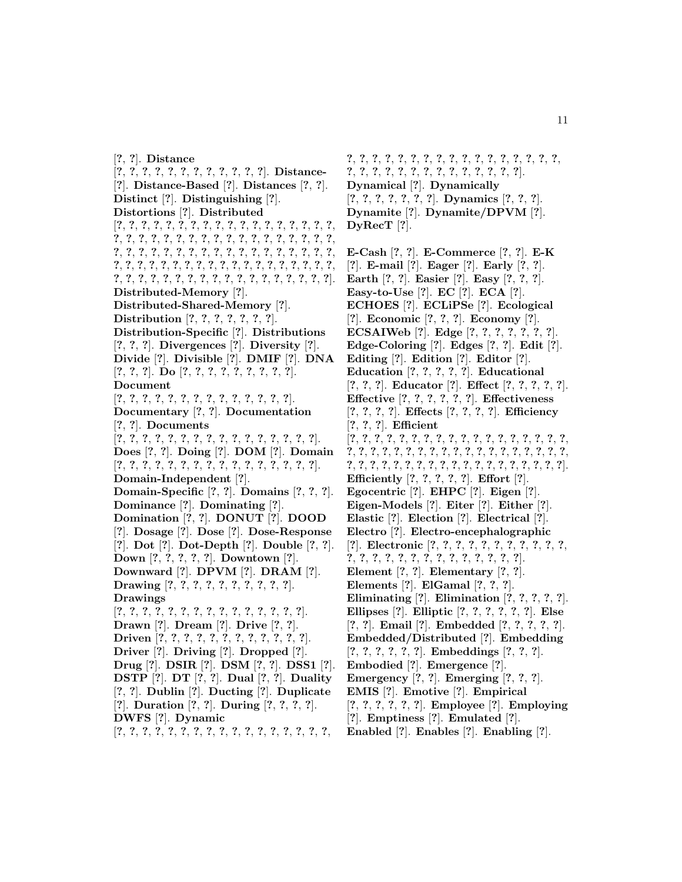[**?**, **?**]. **Distance** [**?**, **?**, **?**, **?**, **?**, **?**, **?**, **?**, **?**, **?**, **?**, **?**]. **Distance-** [**?**]. **Distance-Based** [**?**]. **Distances** [**?**, **?**]. **Distinct** [**?**]. **Distinguishing** [**?**]. **Distortions** [**?**]. **Distributed** [**?**, **?**, **?**, **?**, **?**, **?**, **?**, **?**, **?**, **?**, **?**, **?**, **?**, **?**, **?**, **?**, **?**, **?**, **?**, **?**, **?**, **?**, **?**, **?**, **?**, **?**, **?**, **?**, **?**, **?**, **?**, **?**, **?**, **?**, **?**, **?**, **?**, **?**, **?**, **?**, **?**, **?**, **?**, **?**, **?**, **?**, **?**, **?**, **?**, **?**, **?**, **?**, **?**, **?**, **?**, **?**, **?**, **?**, **?**, **?**, **?**, **?**, **?**, **?**, **?**, **?**, **?**, **?**, **?**, **?**, **?**, **?**, **?**, **?**, **?**, **?**, **?**, **?**, **?**, **?**, **?**, **?**, **?**, **?**, **?**, **?**, **?**, **?**, **?**, **?**, **?**]. **Distributed-Memory** [**?**]. **Distributed-Shared-Memory** [**?**]. **Distribution** [**?**, **?**, **?**, **?**, **?**, **?**, **?**]. **Distribution-Specific** [**?**]. **Distributions** [**?**, **?**, **?**]. **Divergences** [**?**]. **Diversity** [**?**]. **Divide** [**?**]. **Divisible** [**?**]. **DMIF** [**?**]. **DNA** [**?**, **?**, **?**]. **Do** [**?**, **?**, **?**, **?**, **?**, **?**, **?**, **?**, **?**]. **Document** [**?**, **?**, **?**, **?**, **?**, **?**, **?**, **?**, **?**, **?**, **?**, **?**, **?**, **?**]. **Documentary** [**?**, **?**]. **Documentation** [**?**, **?**]. **Documents** [**?**, **?**, **?**, **?**, **?**, **?**, **?**, **?**, **?**, **?**, **?**, **?**, **?**, **?**, **?**, **?**]. **Does** [**?**, **?**]. **Doing** [**?**]. **DOM** [**?**]. **Domain** [**?**, **?**, **?**, **?**, **?**, **?**, **?**, **?**, **?**, **?**, **?**, **?**, **?**, **?**, **?**, **?**]. **Domain-Independent** [**?**]. **Domain-Specific** [**?**, **?**]. **Domains** [**?**, **?**, **?**]. **Dominance** [**?**]. **Dominating** [**?**]. **Domination** [**?**, **?**]. **DONUT** [**?**]. **DOOD** [**?**]. **Dosage** [**?**]. **Dose** [**?**]. **Dose-Response** [**?**]. **Dot** [**?**]. **Dot-Depth** [**?**]. **Double** [**?**, **?**]. **Down** [**?**, **?**, **?**, **?**, **?**]. **Downtown** [**?**]. **Downward** [**?**]. **DPVM** [**?**]. **DRAM** [**?**]. **Drawing** [**?**, **?**, **?**, **?**, **?**, **?**, **?**, **?**, **?**, **?**]. **Drawings** [**?**, **?**, **?**, **?**, **?**, **?**, **?**, **?**, **?**, **?**, **?**, **?**, **?**, **?**, **?**]. **Drawn** [**?**]. **Dream** [**?**]. **Drive** [**?**, **?**]. **Driven** [**?**, **?**, **?**, **?**, **?**, **?**, **?**, **?**, **?**, **?**, **?**, **?**]. **Driver** [**?**]. **Driving** [**?**]. **Dropped** [**?**]. **Drug** [**?**]. **DSIR** [**?**]. **DSM** [**?**, **?**]. **DSS1** [**?**]. **DSTP** [**?**]. **DT** [**?**, **?**]. **Dual** [**?**, **?**]. **Duality** [**?**, **?**]. **Dublin** [**?**]. **Ducting** [**?**]. **Duplicate** [**?**]. **Duration** [**?**, **?**]. **During** [**?**, **?**, **?**, **?**]. **DWFS** [**?**]. **Dynamic** [**?**, **?**, **?**, **?**, **?**, **?**, **?**, **?**, **?**, **?**, **?**, **?**, **?**, **?**, **?**, **?**, **?**,

**?**, **?**, **?**, **?**, **?**, **?**, **?**, **?**, **?**, **?**, **?**, **?**, **?**, **?**, **?**, **?**, **?**, **?**, **?**, **?**, **?**, **?**, **?**, **?**, **?**, **?**, **?**, **?**, **?**, **?**, **?**]. **Dynamical** [**?**]. **Dynamically** [**?**, **?**, **?**, **?**, **?**, **?**, **?**]. **Dynamics** [**?**, **?**, **?**]. **Dynamite** [**?**]. **Dynamite/DPVM** [**?**]. **DyRecT** [**?**].

**E-Cash** [**?**, **?**]. **E-Commerce** [**?**, **?**]. **E-K**

[**?**]. **E-mail** [**?**]. **Eager** [**?**]. **Early** [**?**, **?**]. **Earth** [**?**, **?**]. **Easier** [**?**]. **Easy** [**?**, **?**, **?**]. **Easy-to-Use** [**?**]. **EC** [**?**]. **ECA** [**?**]. **ECHOES** [**?**]. **ECLiPSe** [**?**]. **Ecological** [**?**]. **Economic** [**?**, **?**, **?**]. **Economy** [**?**]. **ECSAIWeb** [**?**]. **Edge** [**?**, **?**, **?**, **?**, **?**, **?**, **?**]. **Edge-Coloring** [**?**]. **Edges** [**?**, **?**]. **Edit** [**?**]. **Editing** [**?**]. **Edition** [**?**]. **Editor** [**?**]. **Education** [**?**, **?**, **?**, **?**, **?**]. **Educational** [**?**, **?**, **?**]. **Educator** [**?**]. **Effect** [**?**, **?**, **?**, **?**, **?**]. **Effective** [**?**, **?**, **?**, **?**, **?**, **?**]. **Effectiveness** [**?**, **?**, **?**, **?**]. **Effects** [**?**, **?**, **?**, **?**]. **Efficiency** [**?**, **?**, **?**]. **Efficient** [**?**, **?**, **?**, **?**, **?**, **?**, **?**, **?**, **?**, **?**, **?**, **?**, **?**, **?**, **?**, **?**, **?**, **?**, **?**, **?**, **?**, **?**, **?**, **?**, **?**, **?**, **?**, **?**, **?**, **?**, **?**, **?**, **?**, **?**, **?**, **?**, **?**, **?**, **?**, **?**, **?**, **?**, **?**, **?**, **?**, **?**, **?**, **?**, **?**, **?**, **?**, **?**, **?**, **?**, **?**, **?**]. **Efficiently** [**?**, **?**, **?**, **?**, **?**]. **Effort** [**?**]. **Egocentric** [**?**]. **EHPC** [**?**]. **Eigen** [**?**]. **Eigen-Models** [**?**]. **Eiter** [**?**]. **Either** [**?**]. **Elastic** [**?**]. **Election** [**?**]. **Electrical** [**?**]. **Electro** [**?**]. **Electro-encephalographic** [**?**]. **Electronic** [**?**, **?**, **?**, **?**, **?**, **?**, **?**, **?**, **?**, **?**, **?**, **?**, **?**, **?**, **?**, **?**, **?**, **?**, **?**, **?**, **?**, **?**, **?**, **?**, **?**]. **Element** [**?**, **?**]. **Elementary** [**?**, **?**]. **Elements** [**?**]. **ElGamal** [**?**, **?**, **?**]. **Eliminating** [**?**]. **Elimination** [**?**, **?**, **?**, **?**, **?**]. **Ellipses** [**?**]. **Elliptic** [**?**, **?**, **?**, **?**, **?**, **?**]. **Else** [**?**, **?**]. **Email** [**?**]. **Embedded** [**?**, **?**, **?**, **?**, **?**]. **Embedded/Distributed** [**?**]. **Embedding** [**?**, **?**, **?**, **?**, **?**, **?**]. **Embeddings** [**?**, **?**, **?**]. **Embodied** [**?**]. **Emergence** [**?**]. **Emergency** [**?**, **?**]. **Emerging** [**?**, **?**, **?**]. **EMIS** [**?**]. **Emotive** [**?**]. **Empirical** [**?**, **?**, **?**, **?**, **?**, **?**]. **Employee** [**?**]. **Employing** [**?**]. **Emptiness** [**?**]. **Emulated** [**?**].

**Enabled** [**?**]. **Enables** [**?**]. **Enabling** [**?**].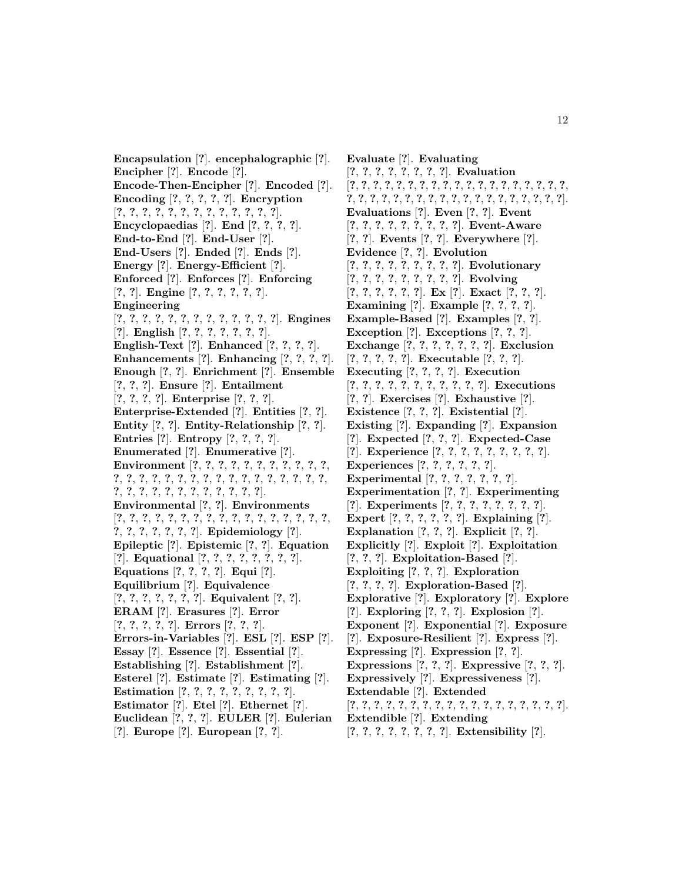**Encapsulation** [**?**]. **encephalographic** [**?**]. **Encipher** [**?**]. **Encode** [**?**]. **Encode-Then-Encipher** [**?**]. **Encoded** [**?**]. **Encoding** [**?**, **?**, **?**, **?**, **?**]. **Encryption** [**?**, **?**, **?**, **?**, **?**, **?**, **?**, **?**, **?**, **?**, **?**, **?**, **?**]. **Encyclopaedias** [**?**]. **End** [**?**, **?**, **?**, **?**]. **End-to-End** [**?**]. **End-User** [**?**]. **End-Users** [**?**]. **Ended** [**?**]. **Ends** [**?**]. **Energy** [**?**]. **Energy-Efficient** [**?**]. **Enforced** [**?**]. **Enforces** [**?**]. **Enforcing** [**?**, **?**]. **Engine** [**?**, **?**, **?**, **?**, **?**, **?**]. **Engineering** [**?**, **?**, **?**, **?**, **?**, **?**, **?**, **?**, **?**, **?**, **?**, **?**, **?**]. **Engines** [**?**]. **English** [**?**, **?**, **?**, **?**, **?**, **?**, **?**]. **English-Text** [**?**]. **Enhanced** [**?**, **?**, **?**, **?**]. **Enhancements** [**?**]. **Enhancing** [**?**, **?**, **?**, **?**]. **Enough** [**?**, **?**]. **Enrichment** [**?**]. **Ensemble** [**?**, **?**, **?**]. **Ensure** [**?**]. **Entailment** [**?**, **?**, **?**, **?**]. **Enterprise** [**?**, **?**, **?**]. **Enterprise-Extended** [**?**]. **Entities** [**?**, **?**]. **Entity** [**?**, **?**]. **Entity-Relationship** [**?**, **?**]. **Entries** [**?**]. **Entropy** [**?**, **?**, **?**, **?**]. **Enumerated** [**?**]. **Enumerative** [**?**]. **Environment** [**?**, **?**, **?**, **?**, **?**, **?**, **?**, **?**, **?**, **?**, **?**, **?**, **?**, **?**, **?**, **?**, **?**, **?**, **?**, **?**, **?**, **?**, **?**, **?**, **?**, **?**, **?**, **?**, **?**, **?**, **?**, **?**, **?**, **?**, **?**, **?**, **?**, **?**, **?**, **?**]. **Environmental** [**?**, **?**]. **Environments** [**?**, **?**, **?**, **?**, **?**, **?**, **?**, **?**, **?**, **?**, **?**, **?**, **?**, **?**, **?**, **?**, **?**, **?**, **?**, **?**, **?**, **?**, **?**, **?**]. **Epidemiology** [**?**]. **Epileptic** [**?**]. **Epistemic** [**?**, **?**]. **Equation** [**?**]. **Equational** [**?**, **?**, **?**, **?**, **?**, **?**, **?**, **?**]. **Equations** [**?**, **?**, **?**, **?**]. **Equi** [**?**]. **Equilibrium** [**?**]. **Equivalence** [**?**, **?**, **?**, **?**, **?**, **?**, **?**]. **Equivalent** [**?**, **?**]. **ERAM** [**?**]. **Erasures** [**?**]. **Error** [**?**, **?**, **?**, **?**, **?**]. **Errors** [**?**, **?**, **?**]. **Errors-in-Variables** [**?**]. **ESL** [**?**]. **ESP** [**?**]. **Essay** [**?**]. **Essence** [**?**]. **Essential** [**?**]. **Establishing** [**?**]. **Establishment** [**?**]. **Esterel** [**?**]. **Estimate** [**?**]. **Estimating** [**?**]. **Estimation** [**?**, **?**, **?**, **?**, **?**, **?**, **?**, **?**, **?**]. **Estimator** [**?**]. **Etel** [**?**]. **Ethernet** [**?**]. **Euclidean** [**?**, **?**, **?**]. **EULER** [**?**]. **Eulerian** [**?**]. **Europe** [**?**]. **European** [**?**, **?**].

**Evaluate** [**?**]. **Evaluating** [**?**, **?**, **?**, **?**, **?**, **?**, **?**, **?**]. **Evaluation** [**?**, **?**, **?**, **?**, **?**, **?**, **?**, **?**, **?**, **?**, **?**, **?**, **?**, **?**, **?**, **?**, **?**, **?**, **?**, **?**, **?**, **?**, **?**, **?**, **?**, **?**, **?**, **?**, **?**, **?**, **?**, **?**, **?**, **?**, **?**, **?**, **?**, **?**]. **Evaluations** [**?**]. **Even** [**?**, **?**]. **Event** [**?**, **?**, **?**, **?**, **?**, **?**, **?**, **?**, **?**]. **Event-Aware** [**?**, **?**]. **Events** [**?**, **?**]. **Everywhere** [**?**]. **Evidence** [**?**, **?**]. **Evolution** [**?**, **?**, **?**, **?**, **?**, **?**, **?**, **?**, **?**]. **Evolutionary** [**?**, **?**, **?**, **?**, **?**, **?**, **?**, **?**, **?**]. **Evolving** [**?**, **?**, **?**, **?**, **?**, **?**]. **Ex** [**?**]. **Exact** [**?**, **?**, **?**]. **Examining** [**?**]. **Example** [**?**, **?**, **?**, **?**]. **Example-Based** [**?**]. **Examples** [**?**, **?**]. **Exception** [**?**]. **Exceptions** [**?**, **?**, **?**]. **Exchange** [**?**, **?**, **?**, **?**, **?**, **?**, **?**]. **Exclusion** [**?**, **?**, **?**, **?**, **?**]. **Executable** [**?**, **?**, **?**]. **Executing** [**?**, **?**, **?**, **?**]. **Execution** [**?**, **?**, **?**, **?**, **?**, **?**, **?**, **?**, **?**, **?**, **?**]. **Executions** [**?**, **?**]. **Exercises** [**?**]. **Exhaustive** [**?**]. **Existence** [**?**, **?**, **?**]. **Existential** [**?**]. **Existing** [**?**]. **Expanding** [**?**]. **Expansion** [**?**]. **Expected** [**?**, **?**, **?**]. **Expected-Case** [**?**]. **Experience** [**?**, **?**, **?**, **?**, **?**, **?**, **?**, **?**, **?**]. **Experiences** [**?**, **?**, **?**, **?**, **?**, **?**]. **Experimental** [**?**, **?**, **?**, **?**, **?**, **?**, **?**]. **Experimentation** [**?**, **?**]. **Experimenting** [**?**]. **Experiments** [**?**, **?**, **?**, **?**, **?**, **?**, **?**, **?**]. **Expert** [**?**, **?**, **?**, **?**, **?**, **?**]. **Explaining** [**?**]. **Explanation** [**?**, **?**, **?**]. **Explicit** [**?**, **?**]. **Explicitly** [**?**]. **Exploit** [**?**]. **Exploitation** [**?**, **?**, **?**]. **Exploitation-Based** [**?**]. **Exploiting** [**?**, **?**, **?**]. **Exploration** [**?**, **?**, **?**, **?**]. **Exploration-Based** [**?**]. **Explorative** [**?**]. **Exploratory** [**?**]. **Explore** [**?**]. **Exploring** [**?**, **?**, **?**]. **Explosion** [**?**]. **Exponent** [**?**]. **Exponential** [**?**]. **Exposure** [**?**]. **Exposure-Resilient** [**?**]. **Express** [**?**]. **Expressing** [**?**]. **Expression** [**?**, **?**]. **Expressions** [**?**, **?**, **?**]. **Expressive** [**?**, **?**, **?**]. **Expressively** [**?**]. **Expressiveness** [**?**]. **Extendable** [**?**]. **Extended** [**?**, **?**, **?**, **?**, **?**, **?**, **?**, **?**, **?**, **?**, **?**, **?**, **?**, **?**, **?**, **?**, **?**, **?**]. **Extendible** [**?**]. **Extending** [**?**, **?**, **?**, **?**, **?**, **?**, **?**, **?**]. **Extensibility** [**?**].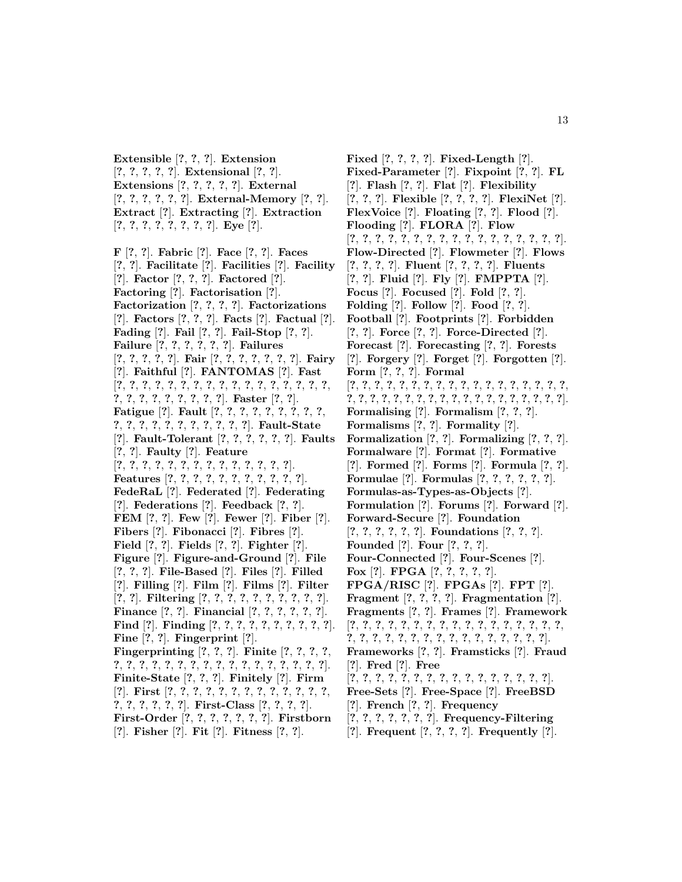**Extensible** [**?**, **?**, **?**]. **Extension** [**?**, **?**, **?**, **?**, **?**]. **Extensional** [**?**, **?**]. **Extensions** [**?**, **?**, **?**, **?**, **?**]. **External** [**?**, **?**, **?**, **?**, **?**, **?**]. **External-Memory** [**?**, **?**]. **Extract** [**?**]. **Extracting** [**?**]. **Extraction** [**?**, **?**, **?**, **?**, **?**, **?**, **?**, **?**]. **Eye** [**?**].

**F** [**?**, **?**]. **Fabric** [**?**]. **Face** [**?**, **?**]. **Faces** [**?**, **?**]. **Facilitate** [**?**]. **Facilities** [**?**]. **Facility** [**?**]. **Factor** [**?**, **?**, **?**]. **Factored** [**?**]. **Factoring** [**?**]. **Factorisation** [**?**]. **Factorization** [**?**, **?**, **?**, **?**]. **Factorizations** [**?**]. **Factors** [**?**, **?**, **?**]. **Facts** [**?**]. **Factual** [**?**]. **Fading** [**?**]. **Fail** [**?**, **?**]. **Fail-Stop** [**?**, **?**]. **Failure** [**?**, **?**, **?**, **?**, **?**, **?**]. **Failures** [**?**, **?**, **?**, **?**, **?**]. **Fair** [**?**, **?**, **?**, **?**, **?**, **?**, **?**]. **Fairy** [**?**]. **Faithful** [**?**]. **FANTOMAS** [**?**]. **Fast** [**?**, **?**, **?**, **?**, **?**, **?**, **?**, **?**, **?**, **?**, **?**, **?**, **?**, **?**, **?**, **?**, **?**, **?**, **?**, **?**, **?**, **?**, **?**, **?**, **?**, **?**]. **Faster** [**?**, **?**]. **Fatigue** [**?**]. **Fault** [**?**, **?**, **?**, **?**, **?**, **?**, **?**, **?**, **?**, **?**, **?**, **?**, **?**, **?**, **?**, **?**, **?**, **?**, **?**, **?**]. **Fault-State** [**?**]. **Fault-Tolerant** [**?**, **?**, **?**, **?**, **?**, **?**]. **Faults** [**?**, **?**]. **Faulty** [**?**]. **Feature** [**?**, **?**, **?**, **?**, **?**, **?**, **?**, **?**, **?**, **?**, **?**, **?**, **?**, **?**]. **Features** [**?**, **?**, **?**, **?**, **?**, **?**, **?**, **?**, **?**, **?**, **?**]. **FedeRaL** [**?**]. **Federated** [**?**]. **Federating** [**?**]. **Federations** [**?**]. **Feedback** [**?**, **?**]. **FEM** [**?**, **?**]. **Few** [**?**]. **Fewer** [**?**]. **Fiber** [**?**]. **Fibers** [**?**]. **Fibonacci** [**?**]. **Fibres** [**?**]. **Field** [**?**, **?**]. **Fields** [**?**, **?**]. **Fighter** [**?**]. **Figure** [**?**]. **Figure-and-Ground** [**?**]. **File** [**?**, **?**, **?**]. **File-Based** [**?**]. **Files** [**?**]. **Filled** [**?**]. **Filling** [**?**]. **Film** [**?**]. **Films** [**?**]. **Filter** [**?**, **?**]. **Filtering** [**?**, **?**, **?**, **?**, **?**, **?**, **?**, **?**, **?**, **?**]. **Finance** [**?**, **?**]. **Financial** [**?**, **?**, **?**, **?**, **?**, **?**]. **Find** [**?**]. **Finding** [**?**, **?**, **?**, **?**, **?**, **?**, **?**, **?**, **?**, **?**]. **Fine** [**?**, **?**]. **Fingerprint** [**?**]. **Fingerprinting** [**?**, **?**, **?**]. **Finite** [**?**, **?**, **?**, **?**, **?**, **?**, **?**, **?**, **?**, **?**, **?**, **?**, **?**, **?**, **?**, **?**, **?**, **?**, **?**, **?**, **?**]. **Finite-State** [**?**, **?**, **?**]. **Finitely** [**?**]. **Firm** [**?**]. **First** [**?**, **?**, **?**, **?**, **?**, **?**, **?**, **?**, **?**, **?**, **?**, **?**, **?**, **?**, **?**, **?**, **?**, **?**, **?**]. **First-Class** [**?**, **?**, **?**, **?**]. **First-Order** [**?**, **?**, **?**, **?**, **?**, **?**, **?**]. **Firstborn** [**?**]. **Fisher** [**?**]. **Fit** [**?**]. **Fitness** [**?**, **?**].

**Fixed** [**?**, **?**, **?**, **?**]. **Fixed-Length** [**?**]. **Fixed-Parameter** [**?**]. **Fixpoint** [**?**, **?**]. **FL** [**?**]. **Flash** [**?**, **?**]. **Flat** [**?**]. **Flexibility** [**?**, **?**, **?**]. **Flexible** [**?**, **?**, **?**, **?**]. **FlexiNet** [**?**]. **FlexVoice** [**?**]. **Floating** [**?**, **?**]. **Flood** [**?**]. **Flooding** [**?**]. **FLORA** [**?**]. **Flow** [**?**, **?**, **?**, **?**, **?**, **?**, **?**, **?**, **?**, **?**, **?**, **?**, **?**, **?**, **?**, **?**, **?**]. **Flow-Directed** [**?**]. **Flowmeter** [**?**]. **Flows** [**?**, **?**, **?**, **?**]. **Fluent** [**?**, **?**, **?**, **?**]. **Fluents** [**?**, **?**]. **Fluid** [**?**]. **Fly** [**?**]. **FMPPTA** [**?**]. **Focus** [**?**]. **Focused** [**?**]. **Fold** [**?**, **?**]. **Folding** [**?**]. **Follow** [**?**]. **Food** [**?**, **?**]. **Football** [**?**]. **Footprints** [**?**]. **Forbidden** [**?**, **?**]. **Force** [**?**, **?**]. **Force-Directed** [**?**]. **Forecast** [**?**]. **Forecasting** [**?**, **?**]. **Forests** [**?**]. **Forgery** [**?**]. **Forget** [**?**]. **Forgotten** [**?**]. **Form** [**?**, **?**, **?**]. **Formal** [**?**, **?**, **?**, **?**, **?**, **?**, **?**, **?**, **?**, **?**, **?**, **?**, **?**, **?**, **?**, **?**, **?**, **?**, **?**, **?**, **?**, **?**, **?**, **?**, **?**, **?**, **?**, **?**, **?**, **?**, **?**, **?**, **?**, **?**, **?**, **?**, **?**]. **Formalising** [**?**]. **Formalism** [**?**, **?**, **?**]. **Formalisms** [**?**, **?**]. **Formality** [**?**]. **Formalization** [**?**, **?**]. **Formalizing** [**?**, **?**, **?**]. **Formalware** [**?**]. **Format** [**?**]. **Formative** [**?**]. **Formed** [**?**]. **Forms** [**?**]. **Formula** [**?**, **?**]. **Formulae** [**?**]. **Formulas** [**?**, **?**, **?**, **?**, **?**, **?**]. **Formulas-as-Types-as-Objects** [**?**]. **Formulation** [**?**]. **Forums** [**?**]. **Forward** [**?**]. **Forward-Secure** [**?**]. **Foundation** [**?**, **?**, **?**, **?**, **?**, **?**]. **Foundations** [**?**, **?**, **?**]. **Founded** [**?**]. **Four** [**?**, **?**, **?**]. **Four-Connected** [**?**]. **Four-Scenes** [**?**]. **Fox** [**?**]. **FPGA** [**?**, **?**, **?**, **?**, **?**]. **FPGA/RISC** [**?**]. **FPGAs** [**?**]. **FPT** [**?**]. **Fragment** [**?**, **?**, **?**, **?**]. **Fragmentation** [**?**]. **Fragments** [**?**, **?**]. **Frames** [**?**]. **Framework** [**?**, **?**, **?**, **?**, **?**, **?**, **?**, **?**, **?**, **?**, **?**, **?**, **?**, **?**, **?**, **?**, **?**, **?**, **?**, **?**, **?**, **?**, **?**, **?**, **?**, **?**, **?**, **?**, **?**, **?**, **?**, **?**, **?**]. **Frameworks** [**?**, **?**]. **Framsticks** [**?**]. **Fraud** [**?**]. **Fred** [**?**]. **Free** [**?**, **?**, **?**, **?**, **?**, **?**, **?**, **?**, **?**, **?**, **?**, **?**, **?**, **?**, **?**, **?**]. **Free-Sets** [**?**]. **Free-Space** [**?**]. **FreeBSD** [**?**]. **French** [**?**, **?**]. **Frequency**

[**?**, **?**, **?**, **?**, **?**, **?**, **?**]. **Frequency-Filtering**

[**?**]. **Frequent** [**?**, **?**, **?**, **?**]. **Frequently** [**?**].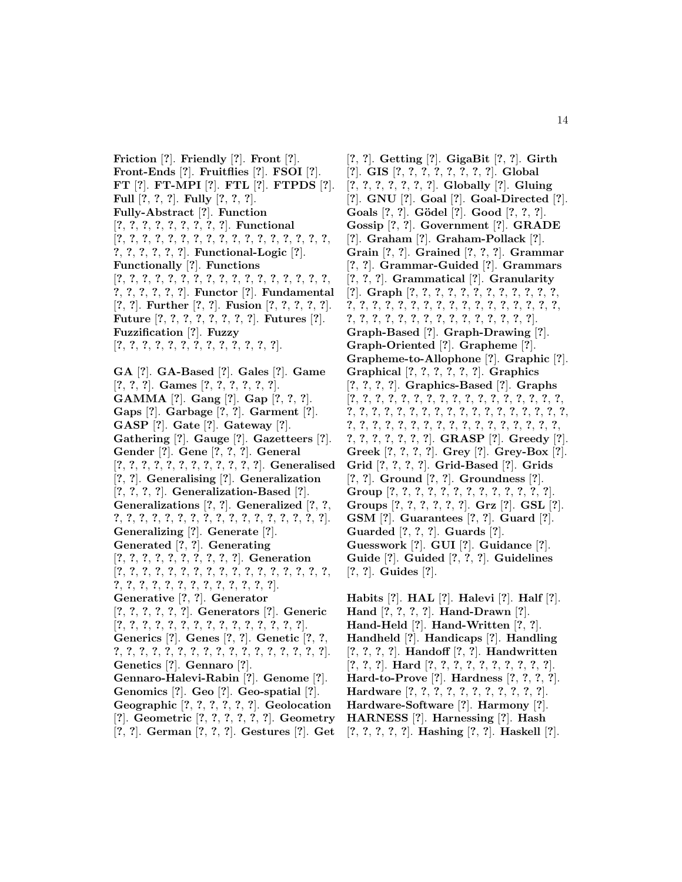**Friction** [**?**]. **Friendly** [**?**]. **Front** [**?**]. **Front-Ends** [**?**]. **Fruitflies** [**?**]. **FSOI** [**?**]. **FT** [**?**]. **FT-MPI** [**?**]. **FTL** [**?**]. **FTPDS** [**?**]. **Full** [**?**, **?**, **?**]. **Fully** [**?**, **?**, **?**]. **Fully-Abstract** [**?**]. **Function** [**?**, **?**, **?**, **?**, **?**, **?**, **?**, **?**, **?**]. **Functional** [**?**, **?**, **?**, **?**, **?**, **?**, **?**, **?**, **?**, **?**, **?**, **?**, **?**, **?**, **?**, **?**, **?**, **?**, **?**, **?**, **?**, **?**, **?**]. **Functional-Logic** [**?**]. **Functionally** [**?**]. **Functions** [**?**, **?**, **?**, **?**, **?**, **?**, **?**, **?**, **?**, **?**, **?**, **?**, **?**, **?**, **?**, **?**, **?**, **?**, **?**, **?**, **?**, **?**, **?**]. **Functor** [**?**]. **Fundamental** [**?**, **?**]. **Further** [**?**, **?**]. **Fusion** [**?**, **?**, **?**, **?**, **?**]. **Future** [**?**, **?**, **?**, **?**, **?**, **?**, **?**, **?**]. **Futures** [**?**]. **Fuzzification** [**?**]. **Fuzzy** [**?**, **?**, **?**, **?**, **?**, **?**, **?**, **?**, **?**, **?**, **?**, **?**, **?**]. **GA** [**?**]. **GA-Based** [**?**]. **Gales** [**?**]. **Game** [**?**, **?**, **?**]. **Games** [**?**, **?**, **?**, **?**, **?**, **?**]. **GAMMA** [**?**]. **Gang** [**?**]. **Gap** [**?**, **?**, **?**]. **Gaps** [**?**]. **Garbage** [**?**, **?**]. **Garment** [**?**]. **GASP** [**?**]. **Gate** [**?**]. **Gateway** [**?**]. **Gathering** [**?**]. **Gauge** [**?**]. **Gazetteers** [**?**]. **Gender** [**?**]. **Gene** [**?**, **?**, **?**]. **General** [**?**, **?**, **?**, **?**, **?**, **?**, **?**, **?**, **?**, **?**, **?**, **?**]. **Generalised** [**?**, **?**]. **Generalising** [**?**]. **Generalization** [**?**, **?**, **?**, **?**]. **Generalization-Based** [**?**]. **Generalizations** [**?**, **?**]. **Generalized** [**?**, **?**, **?**, **?**, **?**, **?**, **?**, **?**, **?**, **?**, **?**, **?**, **?**, **?**, **?**, **?**, **?**, **?**, **?**]. **Generalizing** [**?**]. **Generate** [**?**]. **Generated** [**?**, **?**]. **Generating** [**?**, **?**, **?**, **?**, **?**, **?**, **?**, **?**, **?**, **?**]. **Generation** [**?**, **?**, **?**, **?**, **?**, **?**, **?**, **?**, **?**, **?**, **?**, **?**, **?**, **?**, **?**, **?**, **?**, **?**, **?**, **?**, **?**, **?**, **?**, **?**, **?**, **?**, **?**, **?**, **?**, **?**]. **Generative** [**?**, **?**]. **Generator** [**?**, **?**, **?**, **?**, **?**, **?**]. **Generators** [**?**]. **Generic** [**?**, **?**, **?**, **?**, **?**, **?**, **?**, **?**, **?**, **?**, **?**, **?**, **?**, **?**, **?**]. **Generics** [**?**]. **Genes** [**?**, **?**]. **Genetic** [**?**, **?**, **?**, **?**, **?**, **?**, **?**, **?**, **?**, **?**, **?**, **?**, **?**, **?**, **?**, **?**, **?**, **?**, **?**]. **Genetics** [**?**]. **Gennaro** [**?**]. **Gennaro-Halevi-Rabin** [**?**]. **Genome** [**?**]. **Genomics** [**?**]. **Geo** [**?**]. **Geo-spatial** [**?**]. **Geographic** [**?**, **?**, **?**, **?**, **?**, **?**]. **Geolocation** [**?**]. **Geometric** [**?**, **?**, **?**, **?**, **?**, **?**]. **Geometry** [**?**, **?**]. **German** [**?**, **?**, **?**]. **Gestures** [**?**]. **Get**

[**?**, **?**]. **Getting** [**?**]. **GigaBit** [**?**, **?**]. **Girth** [**?**]. **GIS** [**?**, **?**, **?**, **?**, **?**, **?**, **?**, **?**]. **Global** [**?**, **?**, **?**, **?**, **?**, **?**, **?**]. **Globally** [**?**]. **Gluing** [**?**]. **GNU** [**?**]. **Goal** [**?**]. **Goal-Directed** [**?**]. **Goals** [**?**, **?**]. **G¨odel** [**?**]. **Good** [**?**, **?**, **?**]. **Gossip** [**?**, **?**]. **Government** [**?**]. **GRADE** [**?**]. **Graham** [**?**]. **Graham-Pollack** [**?**]. **Grain** [**?**, **?**]. **Grained** [**?**, **?**, **?**]. **Grammar** [**?**, **?**]. **Grammar-Guided** [**?**]. **Grammars** [**?**, **?**, **?**]. **Grammatical** [**?**]. **Granularity** [**?**]. **Graph** [**?**, **?**, **?**, **?**, **?**, **?**, **?**, **?**, **?**, **?**, **?**, **?**, **?**, **?**, **?**, **?**, **?**, **?**, **?**, **?**, **?**, **?**, **?**, **?**, **?**, **?**, **?**, **?**, **?**, **?**, **?**, **?**, **?**, **?**, **?**, **?**, **?**, **?**, **?**, **?**, **?**, **?**, **?**, **?**]. **Graph-Based** [**?**]. **Graph-Drawing** [**?**]. **Graph-Oriented** [**?**]. **Grapheme** [**?**]. **Grapheme-to-Allophone** [**?**]. **Graphic** [**?**]. **Graphical** [**?**, **?**, **?**, **?**, **?**, **?**]. **Graphics** [**?**, **?**, **?**, **?**]. **Graphics-Based** [**?**]. **Graphs** [**?**, **?**, **?**, **?**, **?**, **?**, **?**, **?**, **?**, **?**, **?**, **?**, **?**, **?**, **?**, **?**, **?**, **?**, **?**, **?**, **?**, **?**, **?**, **?**, **?**, **?**, **?**, **?**, **?**, **?**, **?**, **?**, **?**, **?**, **?**, **?**, **?**, **?**, **?**, **?**, **?**, **?**, **?**, **?**, **?**, **?**, **?**, **?**, **?**, **?**, **?**, **?**, **?**, **?**, **?**, **?**, **?**, **?**, **?**]. **GRASP** [**?**]. **Greedy** [**?**]. **Greek** [**?**, **?**, **?**, **?**]. **Grey** [**?**]. **Grey-Box** [**?**]. **Grid** [**?**, **?**, **?**, **?**]. **Grid-Based** [**?**]. **Grids** [**?**, **?**]. **Ground** [**?**, **?**]. **Groundness** [**?**]. **Group** [**?**, **?**, **?**, **?**, **?**, **?**, **?**, **?**, **?**, **?**, **?**, **?**, **?**]. **Groups** [**?**, **?**, **?**, **?**, **?**, **?**]. **Grz** [**?**]. **GSL** [**?**]. **GSM** [**?**]. **Guarantees** [**?**, **?**]. **Guard** [**?**]. **Guarded** [**?**, **?**, **?**]. **Guards** [**?**]. **Guesswork** [**?**]. **GUI** [**?**]. **Guidance** [**?**]. **Guide** [**?**]. **Guided** [**?**, **?**, **?**]. **Guidelines** [**?**, **?**]. **Guides** [**?**].

**Habits** [**?**]. **HAL** [**?**]. **Halevi** [**?**]. **Half** [**?**]. **Hand** [**?**, **?**, **?**, **?**]. **Hand-Drawn** [**?**]. **Hand-Held** [**?**]. **Hand-Written** [**?**, **?**]. **Handheld** [**?**]. **Handicaps** [**?**]. **Handling** [**?**, **?**, **?**, **?**]. **Handoff** [**?**, **?**]. **Handwritten** [**?**, **?**, **?**]. **Hard** [**?**, **?**, **?**, **?**, **?**, **?**, **?**, **?**, **?**, **?**]. **Hard-to-Prove** [**?**]. **Hardness** [**?**, **?**, **?**, **?**]. **Hardware** [**?**, **?**, **?**, **?**, **?**, **?**, **?**, **?**, **?**, **?**, **?**]. **Hardware-Software** [**?**]. **Harmony** [**?**]. **HARNESS** [**?**]. **Harnessing** [**?**]. **Hash** [**?**, **?**, **?**, **?**, **?**]. **Hashing** [**?**, **?**]. **Haskell** [**?**].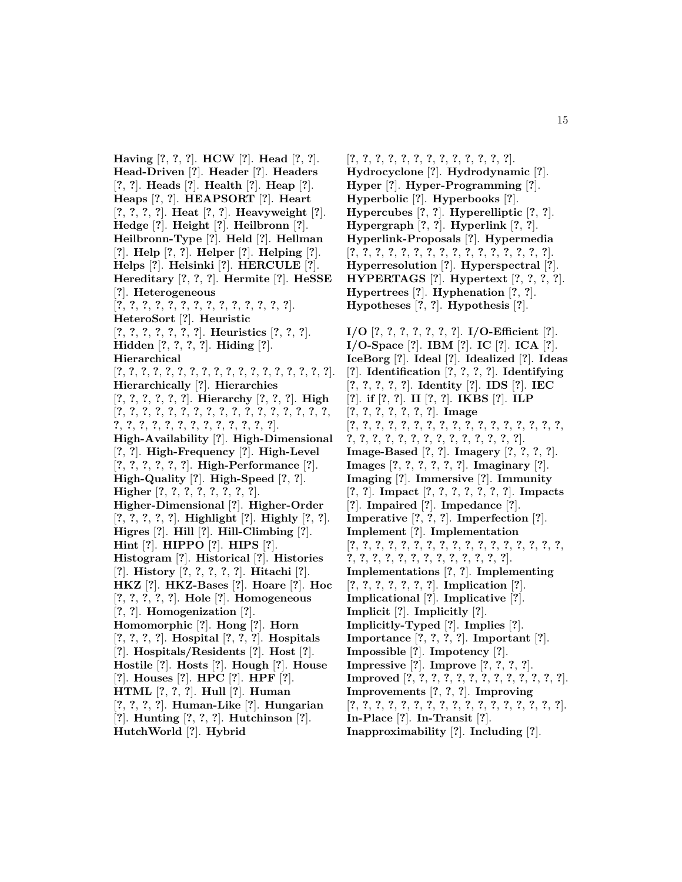**Having** [**?**, **?**, **?**]. **HCW** [**?**]. **Head** [**?**, **?**]. **Head-Driven** [**?**]. **Header** [**?**]. **Headers** [**?**, **?**]. **Heads** [**?**]. **Health** [**?**]. **Heap** [**?**]. **Heaps** [**?**, **?**]. **HEAPSORT** [**?**]. **Heart** [**?**, **?**, **?**, **?**]. **Heat** [**?**, **?**]. **Heavyweight** [**?**]. **Hedge** [**?**]. **Height** [**?**]. **Heilbronn** [**?**]. **Heilbronn-Type** [**?**]. **Held** [**?**]. **Hellman** [**?**]. **Help** [**?**, **?**]. **Helper** [**?**]. **Helping** [**?**]. **Helps** [**?**]. **Helsinki** [**?**]. **HERCULE** [**?**]. **Hereditary** [**?**, **?**, **?**]. **Hermite** [**?**]. **HeSSE** [**?**]. **Heterogeneous** [**?**, **?**, **?**, **?**, **?**, **?**, **?**, **?**, **?**, **?**, **?**, **?**, **?**, **?**]. **HeteroSort** [**?**]. **Heuristic** [**?**, **?**, **?**, **?**, **?**, **?**, **?**]. **Heuristics** [**?**, **?**, **?**]. **Hidden** [**?**, **?**, **?**, **?**]. **Hiding** [**?**]. **Hierarchical** [**?**, **?**, **?**, **?**, **?**, **?**, **?**, **?**, **?**, **?**, **?**, **?**, **?**, **?**, **?**, **?**, **?**, **?**]. **Hierarchically** [**?**]. **Hierarchies** [**?**, **?**, **?**, **?**, **?**, **?**]. **Hierarchy** [**?**, **?**, **?**]. **High** [**?**, **?**, **?**, **?**, **?**, **?**, **?**, **?**, **?**, **?**, **?**, **?**, **?**, **?**, **?**, **?**, **?**, **?**, **?**, **?**, **?**, **?**, **?**, **?**, **?**, **?**, **?**, **?**, **?**, **?**]. **High-Availability** [**?**]. **High-Dimensional** [**?**, **?**]. **High-Frequency** [**?**]. **High-Level** [**?**, **?**, **?**, **?**, **?**, **?**]. **High-Performance** [**?**]. **High-Quality** [**?**]. **High-Speed** [**?**, **?**]. **Higher** [**?**, **?**, **?**, **?**, **?**, **?**, **?**, **?**]. **Higher-Dimensional** [**?**]. **Higher-Order** [**?**, **?**, **?**, **?**, **?**]. **Highlight** [**?**]. **Highly** [**?**, **?**]. **Higres** [**?**]. **Hill** [**?**]. **Hill-Climbing** [**?**]. **Hint** [**?**]. **HIPPO** [**?**]. **HIPS** [**?**]. **Histogram** [**?**]. **Historical** [**?**]. **Histories** [**?**]. **History** [**?**, **?**, **?**, **?**, **?**]. **Hitachi** [**?**]. **HKZ** [**?**]. **HKZ-Bases** [**?**]. **Hoare** [**?**]. **Hoc** [**?**, **?**, **?**, **?**, **?**]. **Hole** [**?**]. **Homogeneous** [**?**, **?**]. **Homogenization** [**?**]. **Homomorphic** [**?**]. **Hong** [**?**]. **Horn** [**?**, **?**, **?**, **?**]. **Hospital** [**?**, **?**, **?**]. **Hospitals** [**?**]. **Hospitals/Residents** [**?**]. **Host** [**?**]. **Hostile** [**?**]. **Hosts** [**?**]. **Hough** [**?**]. **House** [**?**]. **Houses** [**?**]. **HPC** [**?**]. **HPF** [**?**]. **HTML** [**?**, **?**, **?**]. **Hull** [**?**]. **Human** [**?**, **?**, **?**, **?**]. **Human-Like** [**?**]. **Hungarian** [**?**]. **Hunting** [**?**, **?**, **?**]. **Hutchinson** [**?**]. **HutchWorld** [**?**]. **Hybrid**

[**?**, **?**, **?**, **?**, **?**, **?**, **?**, **?**, **?**, **?**, **?**, **?**, **?**]. **Hydrocyclone** [**?**]. **Hydrodynamic** [**?**]. **Hyper** [**?**]. **Hyper-Programming** [**?**]. **Hyperbolic** [**?**]. **Hyperbooks** [**?**]. **Hypercubes** [**?**, **?**]. **Hyperelliptic** [**?**, **?**]. **Hypergraph** [**?**, **?**]. **Hyperlink** [**?**, **?**]. **Hyperlink-Proposals** [**?**]. **Hypermedia** [**?**, **?**, **?**, **?**, **?**, **?**, **?**, **?**, **?**, **?**, **?**, **?**, **?**, **?**, **?**, **?**]. **Hyperresolution** [**?**]. **Hyperspectral** [**?**]. **HYPERTAGS** [**?**]. **Hypertext** [**?**, **?**, **?**, **?**]. **Hypertrees** [**?**]. **Hyphenation** [**?**, **?**]. **Hypotheses** [**?**, **?**]. **Hypothesis** [**?**]. **I/O** [**?**, **?**, **?**, **?**, **?**, **?**, **?**]. **I/O-Efficient** [**?**].

**I/O-Space** [**?**]. **IBM** [**?**]. **IC** [**?**]. **ICA** [**?**]. **IceBorg** [**?**]. **Ideal** [**?**]. **Idealized** [**?**]. **Ideas** [**?**]. **Identification** [**?**, **?**, **?**, **?**]. **Identifying** [**?**, **?**, **?**, **?**, **?**]. **Identity** [**?**]. **IDS** [**?**]. **IEC** [**?**]. **if** [**?**, **?**]. **II** [**?**, **?**]. **IKBS** [**?**]. **ILP** [**?**, **?**, **?**, **?**, **?**, **?**, **?**]. **Image** [**?**, **?**, **?**, **?**, **?**, **?**, **?**, **?**, **?**, **?**, **?**, **?**, **?**, **?**, **?**, **?**, **?**, **?**, **?**, **?**, **?**, **?**, **?**, **?**, **?**, **?**, **?**, **?**, **?**, **?**, **?**]. **Image-Based** [**?**, **?**]. **Imagery** [**?**, **?**, **?**, **?**]. **Images** [**?**, **?**, **?**, **?**, **?**, **?**]. **Imaginary** [**?**]. **Imaging** [**?**]. **Immersive** [**?**]. **Immunity** [**?**, **?**]. **Impact** [**?**, **?**, **?**, **?**, **?**, **?**, **?**]. **Impacts** [**?**]. **Impaired** [**?**]. **Impedance** [**?**]. **Imperative** [**?**, **?**, **?**]. **Imperfection** [**?**]. **Implement** [**?**]. **Implementation** [**?**, **?**, **?**, **?**, **?**, **?**, **?**, **?**, **?**, **?**, **?**, **?**, **?**, **?**, **?**, **?**, **?**, **?**, **?**, **?**, **?**, **?**, **?**, **?**, **?**, **?**, **?**, **?**, **?**, **?**]. **Implementations** [**?**, **?**]. **Implementing** [**?**, **?**, **?**, **?**, **?**, **?**, **?**]. **Implication** [**?**]. **Implicational** [**?**]. **Implicative** [**?**]. **Implicit** [**?**]. **Implicitly** [**?**]. **Implicitly-Typed** [**?**]. **Implies** [**?**]. **Importance** [**?**, **?**, **?**, **?**]. **Important** [**?**]. **Impossible** [**?**]. **Impotency** [**?**]. **Impressive** [**?**]. **Improve** [**?**, **?**, **?**, **?**]. **Improved** [**?**, **?**, **?**, **?**, **?**, **?**, **?**, **?**, **?**, **?**, **?**, **?**, **?**]. **Improvements** [**?**, **?**, **?**]. **Improving** [**?**, **?**, **?**, **?**, **?**, **?**, **?**, **?**, **?**, **?**, **?**, **?**, **?**, **?**, **?**, **?**, **?**]. **In-Place** [**?**]. **In-Transit** [**?**].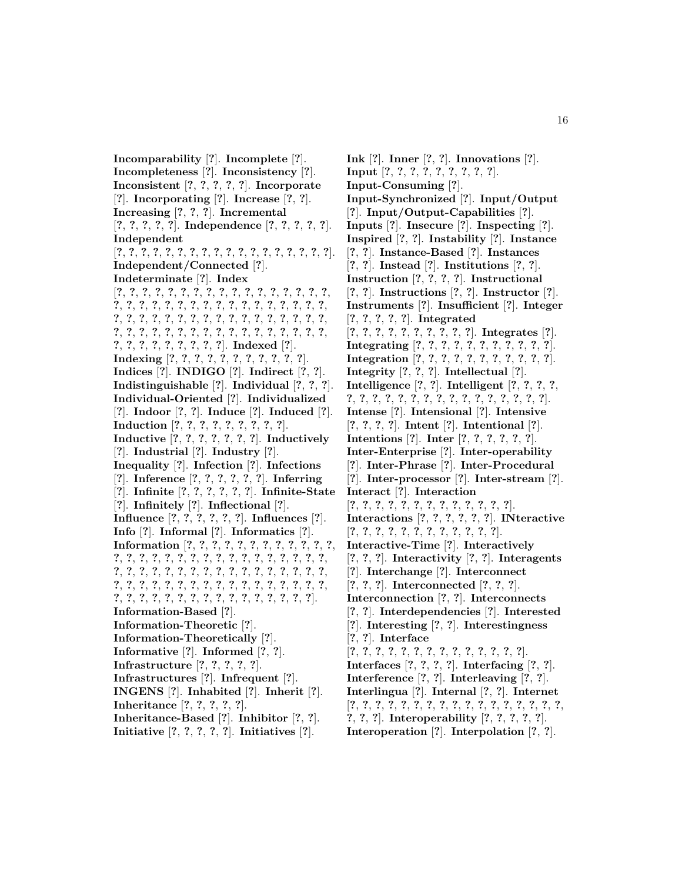**Incomparability** [**?**]. **Incomplete** [**?**]. **Incompleteness** [**?**]. **Inconsistency** [**?**]. **Inconsistent** [**?**, **?**, **?**, **?**, **?**]. **Incorporate** [**?**]. **Incorporating** [**?**]. **Increase** [**?**, **?**]. **Increasing** [**?**, **?**, **?**]. **Incremental** [**?**, **?**, **?**, **?**, **?**]. **Independence** [**?**, **?**, **?**, **?**, **?**]. **Independent** [**?**, **?**, **?**, **?**, **?**, **?**, **?**, **?**, **?**, **?**, **?**, **?**, **?**, **?**, **?**, **?**, **?**, **?**]. **Independent/Connected** [**?**]. **Indeterminate** [**?**]. **Index** [**?**, **?**, **?**, **?**, **?**, **?**, **?**, **?**, **?**, **?**, **?**, **?**, **?**, **?**, **?**, **?**, **?**, **?**, **?**, **?**, **?**, **?**, **?**, **?**, **?**, **?**, **?**, **?**, **?**, **?**, **?**, **?**, **?**, **?**, **?**, **?**, **?**, **?**, **?**, **?**, **?**, **?**, **?**, **?**, **?**, **?**, **?**, **?**, **?**, **?**, **?**, **?**, **?**, **?**, **?**, **?**, **?**, **?**, **?**, **?**, **?**, **?**, **?**, **?**, **?**, **?**, **?**, **?**, **?**, **?**, **?**, **?**, **?**, **?**, **?**, **?**, **?**]. **Indexed** [**?**]. **Indexing** [**?**, **?**, **?**, **?**, **?**, **?**, **?**, **?**, **?**, **?**, **?**]. **Indices** [**?**]. **INDIGO** [**?**]. **Indirect** [**?**, **?**]. **Indistinguishable** [**?**]. **Individual** [**?**, **?**, **?**]. **Individual-Oriented** [**?**]. **Individualized** [**?**]. **Indoor** [**?**, **?**]. **Induce** [**?**]. **Induced** [**?**]. **Induction** [**?**, **?**, **?**, **?**, **?**, **?**, **?**, **?**, **?**]. **Inductive** [**?**, **?**, **?**, **?**, **?**, **?**, **?**]. **Inductively** [**?**]. **Industrial** [**?**]. **Industry** [**?**]. **Inequality** [**?**]. **Infection** [**?**]. **Infections** [**?**]. **Inference** [**?**, **?**, **?**, **?**, **?**, **?**]. **Inferring** [**?**]. **Infinite** [**?**, **?**, **?**, **?**, **?**, **?**]. **Infinite-State** [**?**]. **Infinitely** [**?**]. **Inflectional** [**?**]. **Influence** [**?**, **?**, **?**, **?**, **?**, **?**]. **Influences** [**?**]. **Info** [**?**]. **Informal** [**?**]. **Informatics** [**?**]. **Information** [**?**, **?**, **?**, **?**, **?**, **?**, **?**, **?**, **?**, **?**, **?**, **?**, **?**, **?**, **?**, **?**, **?**, **?**, **?**, **?**, **?**, **?**, **?**, **?**, **?**, **?**, **?**, **?**, **?**, **?**, **?**, **?**, **?**, **?**, **?**, **?**, **?**, **?**, **?**, **?**, **?**, **?**, **?**, **?**, **?**, **?**, **?**, **?**, **?**, **?**, **?**, **?**, **?**, **?**, **?**, **?**, **?**, **?**, **?**, **?**, **?**, **?**, **?**, **?**, **?**, **?**, **?**, **?**, **?**, **?**, **?**, **?**, **?**, **?**, **?**, **?**, **?**, **?**, **?**]. **Information-Based** [**?**]. **Information-Theoretic** [**?**]. **Information-Theoretically** [**?**]. **Informative** [**?**]. **Informed** [**?**, **?**]. **Infrastructure** [**?**, **?**, **?**, **?**, **?**]. **Infrastructures** [**?**]. **Infrequent** [**?**]. **INGENS** [**?**]. **Inhabited** [**?**]. **Inherit** [**?**]. **Inheritance** [**?**, **?**, **?**, **?**, **?**]. **Inheritance-Based** [**?**]. **Inhibitor** [**?**, **?**]. **Initiative** [**?**, **?**, **?**, **?**, **?**]. **Initiatives** [**?**].

**Ink** [**?**]. **Inner** [**?**, **?**]. **Innovations** [**?**]. **Input** [**?**, **?**, **?**, **?**, **?**, **?**, **?**, **?**, **?**]. **Input-Consuming** [**?**]. **Input-Synchronized** [**?**]. **Input/Output** [**?**]. **Input/Output-Capabilities** [**?**]. **Inputs** [**?**]. **Insecure** [**?**]. **Inspecting** [**?**]. **Inspired** [**?**, **?**]. **Instability** [**?**]. **Instance** [**?**, **?**]. **Instance-Based** [**?**]. **Instances** [**?**, **?**]. **Instead** [**?**]. **Institutions** [**?**, **?**]. **Instruction** [**?**, **?**, **?**, **?**]. **Instructional** [**?**, **?**]. **Instructions** [**?**, **?**]. **Instructor** [**?**]. **Instruments** [**?**]. **Insufficient** [**?**]. **Integer** [**?**, **?**, **?**, **?**, **?**]. **Integrated** [**?**, **?**, **?**, **?**, **?**, **?**, **?**, **?**, **?**, **?**]. **Integrates** [**?**]. **Integrating** [**?**, **?**, **?**, **?**, **?**, **?**, **?**, **?**, **?**, **?**, **?**]. **Integration** [**?**, **?**, **?**, **?**, **?**, **?**, **?**, **?**, **?**, **?**, **?**]. **Integrity** [**?**, **?**, **?**]. **Intellectual** [**?**]. **Intelligence** [**?**, **?**]. **Intelligent** [**?**, **?**, **?**, **?**, **?**, **?**, **?**, **?**, **?**, **?**, **?**, **?**, **?**, **?**, **?**, **?**, **?**, **?**, **?**, **?**]. **Intense** [**?**]. **Intensional** [**?**]. **Intensive** [**?**, **?**, **?**, **?**]. **Intent** [**?**]. **Intentional** [**?**]. **Intentions** [**?**]. **Inter** [**?**, **?**, **?**, **?**, **?**, **?**]. **Inter-Enterprise** [**?**]. **Inter-operability** [**?**]. **Inter-Phrase** [**?**]. **Inter-Procedural** [**?**]. **Inter-processor** [**?**]. **Inter-stream** [**?**]. **Interact** [**?**]. **Interaction** [**?**, **?**, **?**, **?**, **?**, **?**, **?**, **?**, **?**, **?**, **?**, **?**, **?**]. **Interactions** [**?**, **?**, **?**, **?**, **?**, **?**]. **INteractive** [**?**, **?**, **?**, **?**, **?**, **?**, **?**, **?**, **?**, **?**, **?**, **?**]. **Interactive-Time** [**?**]. **Interactively** [**?**, **?**, **?**]. **Interactivity** [**?**, **?**]. **Interagents** [**?**]. **Interchange** [**?**]. **Interconnect** [**?**, **?**, **?**]. **Interconnected** [**?**, **?**, **?**]. **Interconnection** [**?**, **?**]. **Interconnects** [**?**, **?**]. **Interdependencies** [**?**]. **Interested** [**?**]. **Interesting** [**?**, **?**]. **Interestingness** [**?**, **?**]. **Interface** [**?**, **?**, **?**, **?**, **?**, **?**, **?**, **?**, **?**, **?**, **?**, **?**, **?**, **?**]. **Interfaces** [**?**, **?**, **?**, **?**]. **Interfacing** [**?**, **?**]. **Interference** [**?**, **?**]. **Interleaving** [**?**, **?**]. **Interlingua** [**?**]. **Internal** [**?**, **?**]. **Internet** [**?**, **?**, **?**, **?**, **?**, **?**, **?**, **?**, **?**, **?**, **?**, **?**, **?**, **?**, **?**, **?**, **?**, **?**, **?**, **?**]. **Interoperability** [**?**, **?**, **?**, **?**, **?**].

**Interoperation** [**?**]. **Interpolation** [**?**, **?**].

16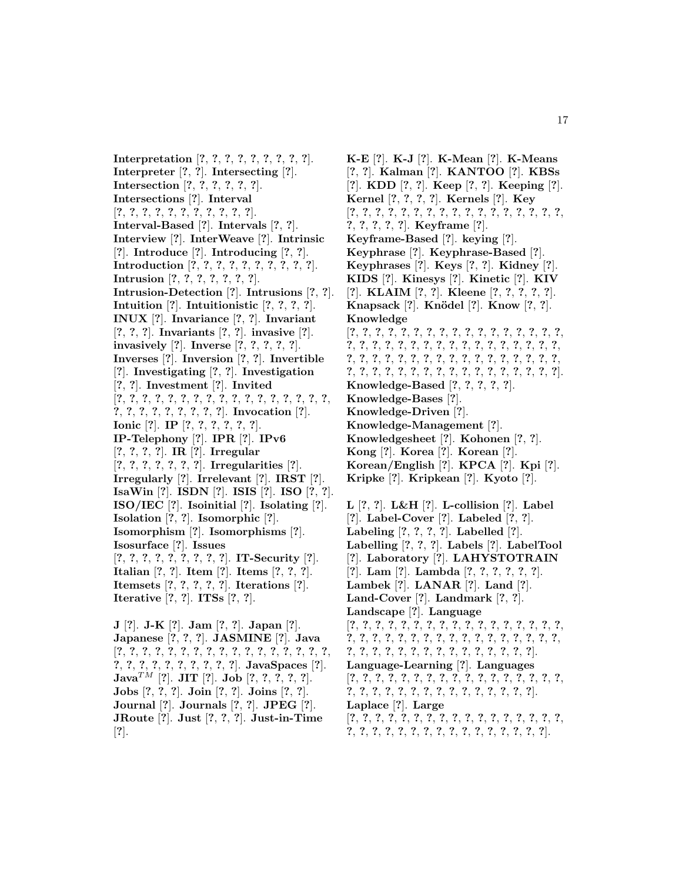**Interpretation** [**?**, **?**, **?**, **?**, **?**, **?**, **?**, **?**, **?**]. **Interpreter** [**?**, **?**]. **Intersecting** [**?**]. **Intersection** [**?**, **?**, **?**, **?**, **?**, **?**]. **Intersections** [**?**]. **Interval** [**?**, **?**, **?**, **?**, **?**, **?**, **?**, **?**, **?**, **?**, **?**]. **Interval-Based** [**?**]. **Intervals** [**?**, **?**]. **Interview** [**?**]. **InterWeave** [**?**]. **Intrinsic** [**?**]. **Introduce** [**?**]. **Introducing** [**?**, **?**]. **Introduction** [**?**, **?**, **?**, **?**, **?**, **?**, **?**, **?**, **?**, **?**]. **Intrusion** [**?**, **?**, **?**, **?**, **?**, **?**, **?**]. **Intrusion-Detection** [**?**]. **Intrusions** [**?**, **?**]. **Intuition** [**?**]. **Intuitionistic** [**?**, **?**, **?**, **?**]. **INUX** [**?**]. **Invariance** [**?**, **?**]. **Invariant** [**?**, **?**, **?**]. **Invariants** [**?**, **?**]. **invasive** [**?**]. **invasively** [**?**]. **Inverse** [**?**, **?**, **?**, **?**, **?**]. **Inverses** [**?**]. **Inversion** [**?**, **?**]. **Invertible** [**?**]. **Investigating** [**?**, **?**]. **Investigation** [**?**, **?**]. **Investment** [**?**]. **Invited** [**?**, **?**, **?**, **?**, **?**, **?**, **?**, **?**, **?**, **?**, **?**, **?**, **?**, **?**, **?**, **?**, **?**, **?**, **?**, **?**, **?**, **?**, **?**, **?**, **?**, **?**]. **Invocation** [**?**]. **Ionic** [**?**]. **IP** [**?**, **?**, **?**, **?**, **?**, **?**]. **IP-Telephony** [**?**]. **IPR** [**?**]. **IPv6** [**?**, **?**, **?**, **?**]. **IR** [**?**]. **Irregular** [**?**, **?**, **?**, **?**, **?**, **?**, **?**]. **Irregularities** [**?**]. **Irregularly** [**?**]. **Irrelevant** [**?**]. **IRST** [**?**]. **IsaWin** [**?**]. **ISDN** [**?**]. **ISIS** [**?**]. **ISO** [**?**, **?**]. **ISO/IEC** [**?**]. **Isoinitial** [**?**]. **Isolating** [**?**]. **Isolation** [**?**, **?**]. **Isomorphic** [**?**]. **Isomorphism** [**?**]. **Isomorphisms** [**?**]. **Isosurface** [**?**]. **Issues** [**?**, **?**, **?**, **?**, **?**, **?**, **?**, **?**, **?**]. **IT-Security** [**?**]. **Italian** [**?**, **?**]. **Item** [**?**]. **Items** [**?**, **?**, **?**]. **Itemsets** [**?**, **?**, **?**, **?**, **?**]. **Iterations** [**?**]. **Iterative** [**?**, **?**]. **ITSs** [**?**, **?**]. **J** [**?**]. **J-K** [**?**]. **Jam** [**?**, **?**]. **Japan** [**?**]. **Japanese** [**?**, **?**, **?**]. **JASMINE** [**?**]. **Java** [**?**, **?**, **?**, **?**, **?**, **?**, **?**, **?**, **?**, **?**, **?**, **?**, **?**, **?**, **?**, **?**, **?**, **?**, **?**, **?**, **?**, **?**, **?**, **?**, **?**, **?**, **?**]. **JavaSpaces** [**?**]. **Java**TM [**?**]. **JIT** [**?**]. **Job** [**?**, **?**, **?**, **?**, **?**]. **Jobs** [**?**, **?**, **?**]. **Join** [**?**, **?**]. **Joins** [**?**, **?**].

**Journal** [**?**]. **Journals** [**?**, **?**]. **JPEG** [**?**]. **JRoute** [**?**]. **Just** [**?**, **?**, **?**]. **Just-in-Time** [**?**].

**K-E** [**?**]. **K-J** [**?**]. **K-Mean** [**?**]. **K-Means** [**?**, **?**]. **Kalman** [**?**]. **KANTOO** [**?**]. **KBSs** [**?**]. **KDD** [**?**, **?**]. **Keep** [**?**, **?**]. **Keeping** [**?**]. **Kernel** [**?**, **?**, **?**, **?**]. **Kernels** [**?**]. **Key** [**?**, **?**, **?**, **?**, **?**, **?**, **?**, **?**, **?**, **?**, **?**, **?**, **?**, **?**, **?**, **?**, **?**, **?**, **?**, **?**, **?**, **?**]. **Keyframe** [**?**]. **Keyframe-Based** [**?**]. **keying** [**?**]. **Keyphrase** [**?**]. **Keyphrase-Based** [**?**]. **Keyphrases** [**?**]. **Keys** [**?**, **?**]. **Kidney** [**?**]. **KIDS** [**?**]. **Kinesys** [**?**]. **Kinetic** [**?**]. **KIV** [**?**]. **KLAIM** [**?**, **?**]. **Kleene** [**?**, **?**, **?**, **?**, **?**]. **Knapsack** [**?**]. **Kn¨odel** [**?**]. **Know** [**?**, **?**]. **Knowledge** [**?**, **?**, **?**, **?**, **?**, **?**, **?**, **?**, **?**, **?**, **?**, **?**, **?**, **?**, **?**, **?**, **?**, **?**, **?**, **?**, **?**, **?**, **?**, **?**, **?**, **?**, **?**, **?**, **?**, **?**, **?**, **?**, **?**, **?**, **?**, **?**, **?**, **?**, **?**, **?**, **?**, **?**, **?**, **?**, **?**, **?**, **?**, **?**, **?**, **?**, **?**, **?**, **?**, **?**, **?**, **?**, **?**, **?**, **?**, **?**, **?**, **?**, **?**, **?**, **?**, **?**, **?**, **?**]. **Knowledge-Based** [**?**, **?**, **?**, **?**, **?**]. **Knowledge-Bases** [**?**]. **Knowledge-Driven** [**?**]. **Knowledge-Management** [**?**]. **Knowledgesheet** [**?**]. **Kohonen** [**?**, **?**]. **Kong** [**?**]. **Korea** [**?**]. **Korean** [**?**]. **Korean/English** [**?**]. **KPCA** [**?**]. **Kpi** [**?**]. **Kripke** [**?**]. **Kripkean** [**?**]. **Kyoto** [**?**]. **L** [**?**, **?**]. **L&H** [**?**]. **L-collision** [**?**]. **Label** [**?**]. **Label-Cover** [**?**]. **Labeled** [**?**, **?**]. **Labeling** [**?**, **?**, **?**, **?**]. **Labelled** [**?**]. **Labelling** [**?**, **?**, **?**]. **Labels** [**?**]. **LabelTool** [**?**]. **Laboratory** [**?**]. **LAHYSTOTRAIN** [**?**]. **Lam** [**?**]. **Lambda** [**?**, **?**, **?**, **?**, **?**, **?**]. **Lambek** [**?**]. **LANAR** [**?**]. **Land** [**?**]. **Land-Cover** [**?**]. **Landmark** [**?**, **?**]. **Landscape** [**?**]. **Language** [**?**, **?**, **?**, **?**, **?**, **?**, **?**, **?**, **?**, **?**, **?**, **?**, **?**, **?**, **?**, **?**, **?**, **?**, **?**, **?**, **?**, **?**, **?**, **?**, **?**, **?**, **?**, **?**, **?**, **?**, **?**, **?**, **?**, **?**, **?**, **?**, **?**, **?**, **?**, **?**, **?**, **?**, **?**, **?**, **?**, **?**, **?**, **?**, **?**]. **Language-Learning** [**?**]. **Languages** [**?**, **?**, **?**, **?**, **?**, **?**, **?**, **?**, **?**, **?**, **?**, **?**, **?**, **?**, **?**, **?**, **?**, **?**, **?**, **?**, **?**, **?**, **?**, **?**, **?**, **?**, **?**, **?**, **?**, **?**, **?**, **?**]. **Laplace** [**?**]. **Large** [**?**, **?**, **?**, **?**, **?**, **?**, **?**, **?**, **?**, **?**, **?**, **?**, **?**, **?**, **?**, **?**, **?**,

**?**, **?**, **?**, **?**, **?**, **?**, **?**, **?**, **?**, **?**, **?**, **?**, **?**, **?**, **?**, **?**].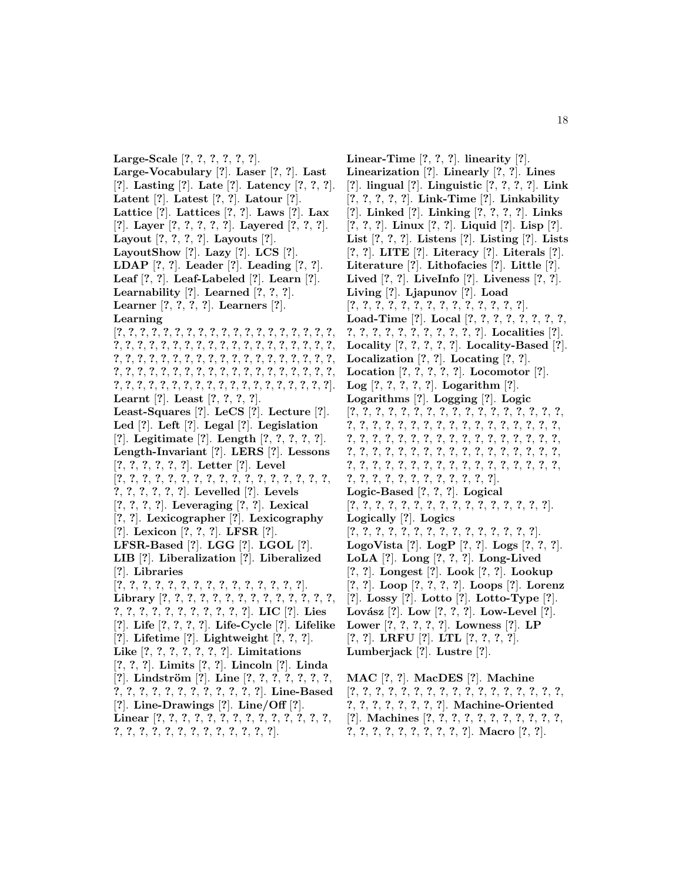**Large-Scale** [**?**, **?**, **?**, **?**, **?**, **?**]. **Large-Vocabulary** [**?**]. **Laser** [**?**, **?**]. **Last** [**?**]. **Lasting** [**?**]. **Late** [**?**]. **Latency** [**?**, **?**, **?**]. **Latent** [**?**]. **Latest** [**?**, **?**]. **Latour** [**?**]. **Lattice** [**?**]. **Lattices** [**?**, **?**]. **Laws** [**?**]. **Lax** [**?**]. **Layer** [**?**, **?**, **?**, **?**, **?**]. **Layered** [**?**, **?**, **?**]. **Layout** [**?**, **?**, **?**, **?**]. **Layouts** [**?**]. **LayoutShow** [**?**]. **Lazy** [**?**]. **LCS** [**?**]. **LDAP** [**?**, **?**]. **Leader** [**?**]. **Leading** [**?**, **?**]. **Leaf** [**?**, **?**]. **Leaf-Labeled** [**?**]. **Learn** [**?**]. **Learnability** [**?**]. **Learned** [**?**, **?**, **?**]. **Learner** [**?**, **?**, **?**, **?**]. **Learners** [**?**]. **Learning** [**?**, **?**, **?**, **?**, **?**, **?**, **?**, **?**, **?**, **?**, **?**, **?**, **?**, **?**, **?**, **?**, **?**, **?**, **?**, **?**, **?**, **?**, **?**, **?**, **?**, **?**, **?**, **?**, **?**, **?**, **?**, **?**, **?**, **?**, **?**, **?**, **?**, **?**, **?**, **?**, **?**, **?**, **?**, **?**, **?**, **?**, **?**, **?**, **?**, **?**, **?**, **?**, **?**, **?**, **?**, **?**, **?**, **?**, **?**, **?**, **?**, **?**, **?**, **?**, **?**, **?**, **?**, **?**, **?**, **?**, **?**, **?**, **?**, **?**, **?**, **?**, **?**, **?**, **?**, **?**, **?**, **?**, **?**, **?**, **?**, **?**, **?**, **?**, **?**, **?**, **?**, **?**, **?**, **?**, **?**]. **Learnt** [**?**]. **Least** [**?**, **?**, **?**, **?**]. **Least-Squares** [**?**]. **LeCS** [**?**]. **Lecture** [**?**]. **Led** [**?**]. **Left** [**?**]. **Legal** [**?**]. **Legislation** [**?**]. **Legitimate** [**?**]. **Length** [**?**, **?**, **?**, **?**, **?**]. **Length-Invariant** [**?**]. **LERS** [**?**]. **Lessons** [**?**, **?**, **?**, **?**, **?**, **?**]. **Letter** [**?**]. **Level** [**?**, **?**, **?**, **?**, **?**, **?**, **?**, **?**, **?**, **?**, **?**, **?**, **?**, **?**, **?**, **?**, **?**, **?**, **?**, **?**, **?**, **?**, **?**]. **Levelled** [**?**]. **Levels** [**?**, **?**, **?**, **?**]. **Leveraging** [**?**, **?**]. **Lexical** [**?**, **?**]. **Lexicographer** [**?**]. **Lexicography** [**?**]. **Lexicon** [**?**, **?**, **?**]. **LFSR** [**?**]. **LFSR-Based** [**?**]. **LGG** [**?**]. **LGOL** [**?**]. **LIB** [**?**]. **Liberalization** [**?**]. **Liberalized** [**?**]. **Libraries** [**?**, **?**, **?**, **?**, **?**, **?**, **?**, **?**, **?**, **?**, **?**, **?**, **?**, **?**, **?**]. **Library** [**?**, **?**, **?**, **?**, **?**, **?**, **?**, **?**, **?**, **?**, **?**, **?**, **?**, **?**, **?**, **?**, **?**, **?**, **?**, **?**, **?**, **?**, **?**, **?**, **?**]. **LIC** [**?**]. **Lies** [**?**]. **Life** [**?**, **?**, **?**, **?**]. **Life-Cycle** [**?**]. **Lifelike** [**?**]. **Lifetime** [**?**]. **Lightweight** [**?**, **?**, **?**]. **Like** [**?**, **?**, **?**, **?**, **?**, **?**, **?**]. **Limitations** [**?**, **?**, **?**]. **Limits** [**?**, **?**]. **Lincoln** [**?**]. **Linda** [**?**]. **Lindstr¨om** [**?**]. **Line** [**?**, **?**, **?**, **?**, **?**, **?**, **?**, **?**, **?**, **?**, **?**, **?**, **?**, **?**, **?**, **?**, **?**, **?**, **?**]. **Line-Based** [**?**]. **Line-Drawings** [**?**]. **Line/Off** [**?**].

**Linear** [**?**, **?**, **?**, **?**, **?**, **?**, **?**, **?**, **?**, **?**, **?**, **?**, **?**, **?**, **?**, **?**, **?**, **?**, **?**, **?**, **?**, **?**, **?**, **?**, **?**, **?**, **?**].

**Linear-Time** [**?**, **?**, **?**]. **linearity** [**?**]. **Linearization** [**?**]. **Linearly** [**?**, **?**]. **Lines** [**?**]. **lingual** [**?**]. **Linguistic** [**?**, **?**, **?**, **?**]. **Link** [**?**, **?**, **?**, **?**, **?**]. **Link-Time** [**?**]. **Linkability** [**?**]. **Linked** [**?**]. **Linking** [**?**, **?**, **?**, **?**]. **Links** [**?**, **?**, **?**]. **Linux** [**?**, **?**]. **Liquid** [**?**]. **Lisp** [**?**]. **List** [**?**, **?**, **?**]. **Listens** [**?**]. **Listing** [**?**]. **Lists** [**?**, **?**]. **LITE** [**?**]. **Literacy** [**?**]. **Literals** [**?**]. **Literature** [**?**]. **Lithofacies** [**?**]. **Little** [**?**]. **Lived** [**?**, **?**]. **LiveInfo** [**?**]. **Liveness** [**?**, **?**]. **Living** [**?**]. **Ljapunov** [**?**]. **Load** [**?**, **?**, **?**, **?**, **?**, **?**, **?**, **?**, **?**, **?**, **?**, **?**, **?**, **?**]. **Load-Time** [**?**]. **Local** [**?**, **?**, **?**, **?**, **?**, **?**, **?**, **?**, **?**, **?**, **?**, **?**, **?**, **?**, **?**, **?**, **?**, **?**, **?**]. **Localities** [**?**]. **Locality** [**?**, **?**, **?**, **?**, **?**]. **Locality-Based** [**?**]. **Localization** [**?**, **?**]. **Locating** [**?**, **?**]. **Location** [**?**, **?**, **?**, **?**, **?**]. **Locomotor** [**?**]. **Log** [**?**, **?**, **?**, **?**, **?**]. **Logarithm** [**?**]. **Logarithms** [**?**]. **Logging** [**?**]. **Logic** [**?**, **?**, **?**, **?**, **?**, **?**, **?**, **?**, **?**, **?**, **?**, **?**, **?**, **?**, **?**, **?**, **?**, **?**, **?**, **?**, **?**, **?**, **?**, **?**, **?**, **?**, **?**, **?**, **?**, **?**, **?**, **?**, **?**, **?**, **?**, **?**, **?**, **?**, **?**, **?**, **?**, **?**, **?**, **?**, **?**, **?**, **?**, **?**, **?**, **?**, **?**, **?**, **?**, **?**, **?**, **?**, **?**, **?**, **?**, **?**, **?**, **?**, **?**, **?**, **?**, **?**, **?**, **?**, **?**, **?**, **?**, **?**, **?**, **?**, **?**, **?**, **?**, **?**, **?**, **?**, **?**, **?**, **?**, **?**, **?**, **?**, **?**, **?**, **?**, **?**, **?**, **?**, **?**, **?**, **?**, **?**, **?**]. **Logic-Based** [**?**, **?**, **?**]. **Logical** [**?**, **?**, **?**, **?**, **?**, **?**, **?**, **?**, **?**, **?**, **?**, **?**, **?**, **?**, **?**, **?**]. **Logically** [**?**]. **Logics** [**?**, **?**, **?**, **?**, **?**, **?**, **?**, **?**, **?**, **?**, **?**, **?**, **?**, **?**, **?**]. **LogoVista** [**?**]. **LogP** [**?**, **?**]. **Logs** [**?**, **?**, **?**]. **LoLA** [**?**]. **Long** [**?**, **?**, **?**]. **Long-Lived** [**?**, **?**]. **Longest** [**?**]. **Look** [**?**, **?**]. **Lookup** [**?**, **?**]. **Loop** [**?**, **?**, **?**, **?**]. **Loops** [**?**]. **Lorenz** [**?**]. **Lossy** [**?**]. **Lotto** [**?**]. **Lotto-Type** [**?**]. **Lov´asz** [**?**]. **Low** [**?**, **?**, **?**]. **Low-Level** [**?**]. **Lower** [**?**, **?**, **?**, **?**, **?**]. **Lowness** [**?**]. **LP** [**?**, **?**]. **LRFU** [**?**]. **LTL** [**?**, **?**, **?**, **?**]. **Lumberjack** [**?**]. **Lustre** [**?**].

**MAC** [**?**, **?**]. **MacDES** [**?**]. **Machine** [**?**, **?**, **?**, **?**, **?**, **?**, **?**, **?**, **?**, **?**, **?**, **?**, **?**, **?**, **?**, **?**, **?**, **?**, **?**, **?**, **?**, **?**, **?**, **?**, **?**]. **Machine-Oriented** [**?**]. **Machines** [**?**, **?**, **?**, **?**, **?**, **?**, **?**, **?**, **?**, **?**, **?**, **?**, **?**, **?**, **?**, **?**, **?**, **?**, **?**, **?**, **?**]. **Macro** [**?**, **?**].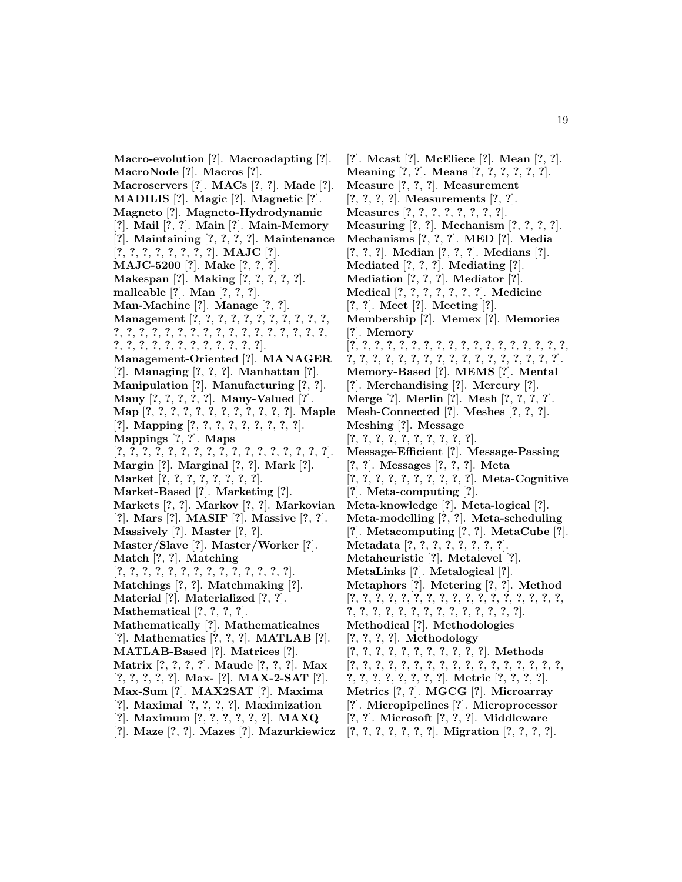**Macro-evolution** [**?**]. **Macroadapting** [**?**]. **MacroNode** [**?**]. **Macros** [**?**]. **Macroservers** [**?**]. **MACs** [**?**, **?**]. **Made** [**?**]. **MADILIS** [**?**]. **Magic** [**?**]. **Magnetic** [**?**]. **Magneto** [**?**]. **Magneto-Hydrodynamic** [**?**]. **Mail** [**?**, **?**]. **Main** [**?**]. **Main-Memory** [**?**]. **Maintaining** [**?**, **?**, **?**, **?**]. **Maintenance** [**?**, **?**, **?**, **?**, **?**, **?**, **?**, **?**]. **MAJC** [**?**]. **MAJC-5200** [**?**]. **Make** [**?**, **?**, **?**]. **Makespan** [**?**]. **Making** [**?**, **?**, **?**, **?**, **?**]. **malleable** [**?**]. **Man** [**?**, **?**, **?**]. **Man-Machine** [**?**]. **Manage** [**?**, **?**]. **Management** [**?**, **?**, **?**, **?**, **?**, **?**, **?**, **?**, **?**, **?**, **?**, **?**, **?**, **?**, **?**, **?**, **?**, **?**, **?**, **?**, **?**, **?**, **?**, **?**, **?**, **?**, **?**, **?**, **?**, **?**, **?**, **?**, **?**, **?**, **?**, **?**, **?**, **?**, **?**, **?**]. **Management-Oriented** [**?**]. **MANAGER** [**?**]. **Managing** [**?**, **?**, **?**]. **Manhattan** [**?**]. **Manipulation** [**?**]. **Manufacturing** [**?**, **?**]. **Many** [**?**, **?**, **?**, **?**, **?**]. **Many-Valued** [**?**]. **Map** [**?**, **?**, **?**, **?**, **?**, **?**, **?**, **?**, **?**, **?**, **?**, **?**]. **Maple** [**?**]. **Mapping** [**?**, **?**, **?**, **?**, **?**, **?**, **?**, **?**, **?**]. **Mappings** [**?**, **?**]. **Maps** [**?**, **?**, **?**, **?**, **?**, **?**, **?**, **?**, **?**, **?**, **?**, **?**, **?**, **?**, **?**, **?**, **?**]. **Margin** [**?**]. **Marginal** [**?**, **?**]. **Mark** [**?**]. **Market** [**?**, **?**, **?**, **?**, **?**, **?**, **?**, **?**]. **Market-Based** [**?**]. **Marketing** [**?**]. **Markets** [**?**, **?**]. **Markov** [**?**, **?**]. **Markovian** [**?**]. **Mars** [**?**]. **MASIF** [**?**]. **Massive** [**?**, **?**]. **Massively** [**?**]. **Master** [**?**, **?**]. **Master/Slave** [**?**]. **Master/Worker** [**?**]. **Match** [**?**, **?**]. **Matching** [**?**, **?**, **?**, **?**, **?**, **?**, **?**, **?**, **?**, **?**, **?**, **?**, **?**, **?**]. **Matchings** [**?**, **?**]. **Matchmaking** [**?**]. **Material** [**?**]. **Materialized** [**?**, **?**]. **Mathematical** [**?**, **?**, **?**, **?**]. **Mathematically** [**?**]. **Mathematicalnes** [**?**]. **Mathematics** [**?**, **?**, **?**]. **MATLAB** [**?**]. **MATLAB-Based** [**?**]. **Matrices** [**?**]. **Matrix** [**?**, **?**, **?**, **?**]. **Maude** [**?**, **?**, **?**]. **Max** [**?**, **?**, **?**, **?**, **?**]. **Max-** [**?**]. **MAX-2-SAT** [**?**]. **Max-Sum** [**?**]. **MAX2SAT** [**?**]. **Maxima** [**?**]. **Maximal** [**?**, **?**, **?**, **?**]. **Maximization** [**?**]. **Maximum** [**?**, **?**, **?**, **?**, **?**, **?**]. **MAXQ** [**?**]. **Maze** [**?**, **?**]. **Mazes** [**?**]. **Mazurkiewicz**

[**?**]. **Mcast** [**?**]. **McEliece** [**?**]. **Mean** [**?**, **?**]. **Meaning** [**?**, **?**]. **Means** [**?**, **?**, **?**, **?**, **?**, **?**]. **Measure** [**?**, **?**, **?**]. **Measurement** [**?**, **?**, **?**, **?**]. **Measurements** [**?**, **?**]. **Measures** [**?**, **?**, **?**, **?**, **?**, **?**, **?**, **?**]. **Measuring** [**?**, **?**]. **Mechanism** [**?**, **?**, **?**, **?**]. **Mechanisms** [**?**, **?**, **?**]. **MED** [**?**]. **Media** [**?**, **?**, **?**]. **Median** [**?**, **?**, **?**]. **Medians** [**?**]. **Mediated** [**?**, **?**, **?**]. **Mediating** [**?**]. **Mediation** [**?**, **?**, **?**]. **Mediator** [**?**]. **Medical** [**?**, **?**, **?**, **?**, **?**, **?**, **?**]. **Medicine** [**?**, **?**]. **Meet** [**?**]. **Meeting** [**?**]. **Membership** [**?**]. **Memex** [**?**]. **Memories** [**?**]. **Memory** [**?**, **?**, **?**, **?**, **?**, **?**, **?**, **?**, **?**, **?**, **?**, **?**, **?**, **?**, **?**, **?**, **?**, **?**, **?**, **?**, **?**, **?**, **?**, **?**, **?**, **?**, **?**, **?**, **?**, **?**, **?**, **?**, **?**, **?**, **?**]. **Memory-Based** [**?**]. **MEMS** [**?**]. **Mental** [**?**]. **Merchandising** [**?**]. **Mercury** [**?**]. **Merge** [**?**]. **Merlin** [**?**]. **Mesh** [**?**, **?**, **?**, **?**]. **Mesh-Connected** [**?**]. **Meshes** [**?**, **?**, **?**]. **Meshing** [**?**]. **Message** [**?**, **?**, **?**, **?**, **?**, **?**, **?**, **?**, **?**, **?**]. **Message-Efficient** [**?**]. **Message-Passing** [**?**, **?**]. **Messages** [**?**, **?**, **?**]. **Meta** [**?**, **?**, **?**, **?**, **?**, **?**, **?**, **?**, **?**, **?**]. **Meta-Cognitive** [**?**]. **Meta-computing** [**?**]. **Meta-knowledge** [**?**]. **Meta-logical** [**?**]. **Meta-modelling** [**?**, **?**]. **Meta-scheduling** [**?**]. **Metacomputing** [**?**, **?**]. **MetaCube** [**?**]. **Metadata** [**?**, **?**, **?**, **?**, **?**, **?**, **?**, **?**]. **Metaheuristic** [**?**]. **Metalevel** [**?**]. **MetaLinks** [**?**]. **Metalogical** [**?**]. **Metaphors** [**?**]. **Metering** [**?**, **?**]. **Method** [**?**, **?**, **?**, **?**, **?**, **?**, **?**, **?**, **?**, **?**, **?**, **?**, **?**, **?**, **?**, **?**, **?**, **?**, **?**, **?**, **?**, **?**, **?**, **?**, **?**, **?**, **?**, **?**, **?**, **?**, **?**]. **Methodical** [**?**]. **Methodologies** [**?**, **?**, **?**, **?**]. **Methodology** [**?**, **?**, **?**, **?**, **?**, **?**, **?**, **?**, **?**, **?**, **?**]. **Methods** [**?**, **?**, **?**, **?**, **?**, **?**, **?**, **?**, **?**, **?**, **?**, **?**, **?**, **?**, **?**, **?**, **?**, **?**, **?**, **?**, **?**, **?**, **?**, **?**, **?**]. **Metric** [**?**, **?**, **?**, **?**]. **Metrics** [**?**, **?**]. **MGCG** [**?**]. **Microarray** [**?**]. **Micropipelines** [**?**]. **Microprocessor** [**?**, **?**]. **Microsoft** [**?**, **?**, **?**]. **Middleware**

[**?**, **?**, **?**, **?**, **?**, **?**, **?**]. **Migration** [**?**, **?**, **?**, **?**].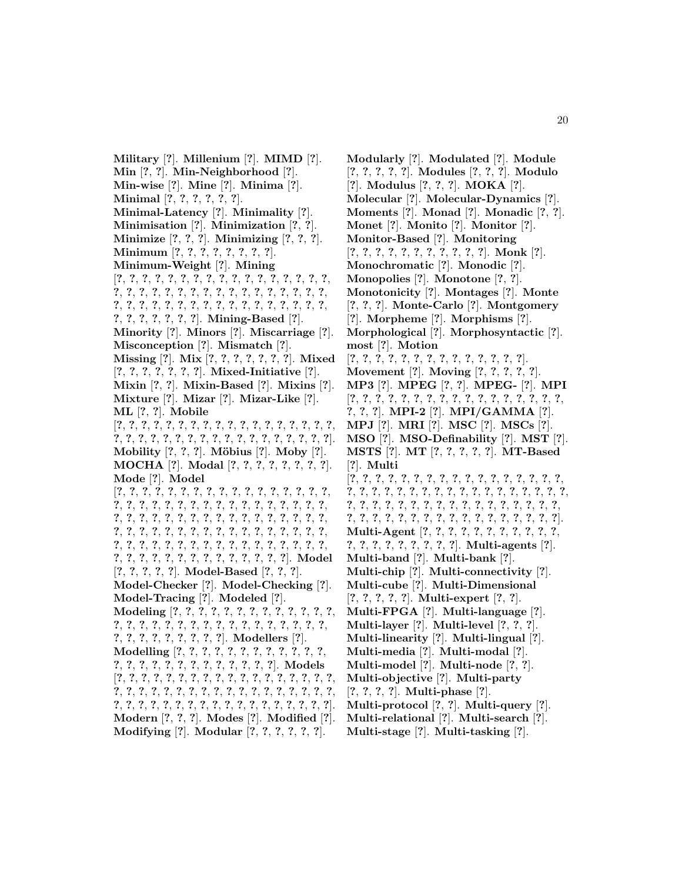**Military** [**?**]. **Millenium** [**?**]. **MIMD** [**?**]. **Min** [**?**, **?**]. **Min-Neighborhood** [**?**]. **Min-wise** [**?**]. **Mine** [**?**]. **Minima** [**?**]. **Minimal** [**?**, **?**, **?**, **?**, **?**, **?**]. **Minimal-Latency** [**?**]. **Minimality** [**?**]. **Minimisation** [**?**]. **Minimization** [**?**, **?**]. **Minimize** [**?**, **?**, **?**]. **Minimizing** [**?**, **?**, **?**]. **Minimum** [**?**, **?**, **?**, **?**, **?**, **?**, **?**, **?**]. **Minimum-Weight** [**?**]. **Mining** [**?**, **?**, **?**, **?**, **?**, **?**, **?**, **?**, **?**, **?**, **?**, **?**, **?**, **?**, **?**, **?**, **?**, **?**, **?**, **?**, **?**, **?**, **?**, **?**, **?**, **?**, **?**, **?**, **?**, **?**, **?**, **?**, **?**, **?**, **?**, **?**, **?**, **?**, **?**, **?**, **?**, **?**, **?**, **?**, **?**, **?**, **?**, **?**, **?**, **?**, **?**, **?**, **?**, **?**, **?**, **?**, **?**, **?**]. **Mining-Based** [**?**]. **Minority** [**?**]. **Minors** [**?**]. **Miscarriage** [**?**]. **Misconception** [**?**]. **Mismatch** [**?**]. **Missing** [**?**]. **Mix** [**?**, **?**, **?**, **?**, **?**, **?**, **?**]. **Mixed** [**?**, **?**, **?**, **?**, **?**, **?**, **?**]. **Mixed-Initiative** [**?**]. **Mixin** [**?**, **?**]. **Mixin-Based** [**?**]. **Mixins** [**?**]. **Mixture** [**?**]. **Mizar** [**?**]. **Mizar-Like** [**?**]. **ML** [**?**, **?**]. **Mobile** [**?**, **?**, **?**, **?**, **?**, **?**, **?**, **?**, **?**, **?**, **?**, **?**, **?**, **?**, **?**, **?**, **?**, **?**, **?**, **?**, **?**, **?**, **?**, **?**, **?**, **?**, **?**, **?**, **?**, **?**, **?**, **?**, **?**, **?**, **?**, **?**]. **Mobility** [**?**, **?**, **?**]. **M¨obius** [**?**]. **Moby** [**?**]. **MOCHA** [**?**]. **Modal** [**?**, **?**, **?**, **?**, **?**, **?**, **?**, **?**]. **Mode** [**?**]. **Model** [**?**, **?**, **?**, **?**, **?**, **?**, **?**, **?**, **?**, **?**, **?**, **?**, **?**, **?**, **?**, **?**, **?**, **?**, **?**, **?**, **?**, **?**, **?**, **?**, **?**, **?**, **?**, **?**, **?**, **?**, **?**, **?**, **?**, **?**, **?**, **?**, **?**, **?**, **?**, **?**, **?**, **?**, **?**, **?**, **?**, **?**, **?**, **?**, **?**, **?**, **?**, **?**, **?**, **?**, **?**, **?**, **?**, **?**, **?**, **?**, **?**, **?**, **?**, **?**, **?**, **?**, **?**, **?**, **?**, **?**, **?**, **?**, **?**, **?**, **?**, **?**, **?**, **?**, **?**, **?**, **?**, **?**, **?**, **?**, **?**, **?**, **?**, **?**, **?**, **?**, **?**, **?**, **?**, **?**, **?**, **?**, **?**, **?**, **?**]. **Model** [**?**, **?**, **?**, **?**, **?**]. **Model-Based** [**?**, **?**, **?**]. **Model-Checker** [**?**]. **Model-Checking** [**?**]. **Model-Tracing** [**?**]. **Modeled** [**?**]. **Modeling** [**?**, **?**, **?**, **?**, **?**, **?**, **?**, **?**, **?**, **?**, **?**, **?**, **?**, **?**, **?**, **?**, **?**, **?**, **?**, **?**, **?**, **?**, **?**, **?**, **?**, **?**, **?**, **?**, **?**, **?**, **?**, **?**, **?**, **?**, **?**, **?**, **?**, **?**, **?**]. **Modellers** [**?**]. **Modelling** [**?**, **?**, **?**, **?**, **?**, **?**, **?**, **?**, **?**, **?**, **?**, **?**, **?**, **?**, **?**, **?**, **?**, **?**, **?**, **?**, **?**, **?**, **?**, **?**, **?**]. **Models** [**?**, **?**, **?**, **?**, **?**, **?**, **?**, **?**, **?**, **?**, **?**, **?**, **?**, **?**, **?**, **?**, **?**, **?**, **?**, **?**, **?**, **?**, **?**, **?**, **?**, **?**, **?**, **?**, **?**, **?**, **?**, **?**, **?**, **?**, **?**, **?**, **?**, **?**, **?**, **?**, **?**, **?**, **?**, **?**, **?**, **?**, **?**, **?**, **?**, **?**, **?**, **?**, **?**, **?**]. **Modern** [**?**, **?**, **?**]. **Modes** [**?**]. **Modified** [**?**]. **Modifying** [**?**]. **Modular** [**?**, **?**, **?**, **?**, **?**, **?**].

**Modularly** [**?**]. **Modulated** [**?**]. **Module** [**?**, **?**, **?**, **?**, **?**]. **Modules** [**?**, **?**, **?**]. **Modulo** [**?**]. **Modulus** [**?**, **?**, **?**]. **MOKA** [**?**]. **Molecular** [**?**]. **Molecular-Dynamics** [**?**]. **Moments** [**?**]. **Monad** [**?**]. **Monadic** [**?**, **?**]. **Monet** [**?**]. **Monito** [**?**]. **Monitor** [**?**]. **Monitor-Based** [**?**]. **Monitoring** [**?**, **?**, **?**, **?**, **?**, **?**, **?**, **?**, **?**, **?**, **?**]. **Monk** [**?**]. **Monochromatic** [**?**]. **Monodic** [**?**]. **Monopolies** [**?**]. **Monotone** [**?**, **?**]. **Monotonicity** [**?**]. **Montages** [**?**]. **Monte** [**?**, **?**, **?**]. **Monte-Carlo** [**?**]. **Montgomery** [**?**]. **Morpheme** [**?**]. **Morphisms** [**?**]. **Morphological** [**?**]. **Morphosyntactic** [**?**]. **most** [**?**]. **Motion** [**?**, **?**, **?**, **?**, **?**, **?**, **?**, **?**, **?**, **?**, **?**, **?**, **?**, **?**]. **Movement** [**?**]. **Moving** [**?**, **?**, **?**, **?**, **?**]. **MP3** [**?**]. **MPEG** [**?**, **?**]. **MPEG-** [**?**]. **MPI** [**?**, **?**, **?**, **?**, **?**, **?**, **?**, **?**, **?**, **?**, **?**, **?**, **?**, **?**, **?**, **?**, **?**, **?**, **?**, **?**]. **MPI-2** [**?**]. **MPI/GAMMA** [**?**]. **MPJ** [**?**]. **MRI** [**?**]. **MSC** [**?**]. **MSCs** [**?**]. **MSO** [**?**]. **MSO-Definability** [**?**]. **MST** [**?**]. **MSTS** [**?**]. **MT** [**?**, **?**, **?**, **?**, **?**]. **MT-Based** [**?**]. **Multi** [**?**, **?**, **?**, **?**, **?**, **?**, **?**, **?**, **?**, **?**, **?**, **?**, **?**, **?**, **?**, **?**, **?**, **?**, **?**, **?**, **?**, **?**, **?**, **?**, **?**, **?**, **?**, **?**, **?**, **?**, **?**, **?**, **?**, **?**, **?**, **?**, **?**, **?**, **?**, **?**, **?**, **?**, **?**, **?**, **?**, **?**, **?**, **?**, **?**, **?**, **?**, **?**, **?**, **?**, **?**, **?**, **?**, **?**, **?**, **?**, **?**, **?**, **?**, **?**, **?**, **?**, **?**, **?**, **?**]. **Multi-Agent** [**?**, **?**, **?**, **?**, **?**, **?**, **?**, **?**, **?**, **?**, **?**, **?**, **?**, **?**, **?**, **?**, **?**, **?**, **?**, **?**]. **Multi-agents** [**?**]. **Multi-band** [**?**]. **Multi-bank** [**?**]. **Multi-chip** [**?**]. **Multi-connectivity** [**?**]. **Multi-cube** [**?**]. **Multi-Dimensional** [**?**, **?**, **?**, **?**, **?**]. **Multi-expert** [**?**, **?**]. **Multi-FPGA** [**?**]. **Multi-language** [**?**]. **Multi-layer** [**?**]. **Multi-level** [**?**, **?**, **?**]. **Multi-linearity** [**?**]. **Multi-lingual** [**?**]. **Multi-media** [**?**]. **Multi-modal** [**?**]. **Multi-model** [**?**]. **Multi-node** [**?**, **?**]. **Multi-objective** [**?**]. **Multi-party** [**?**, **?**, **?**, **?**]. **Multi-phase** [**?**]. **Multi-protocol** [**?**, **?**]. **Multi-query** [**?**]. **Multi-relational** [**?**]. **Multi-search** [**?**].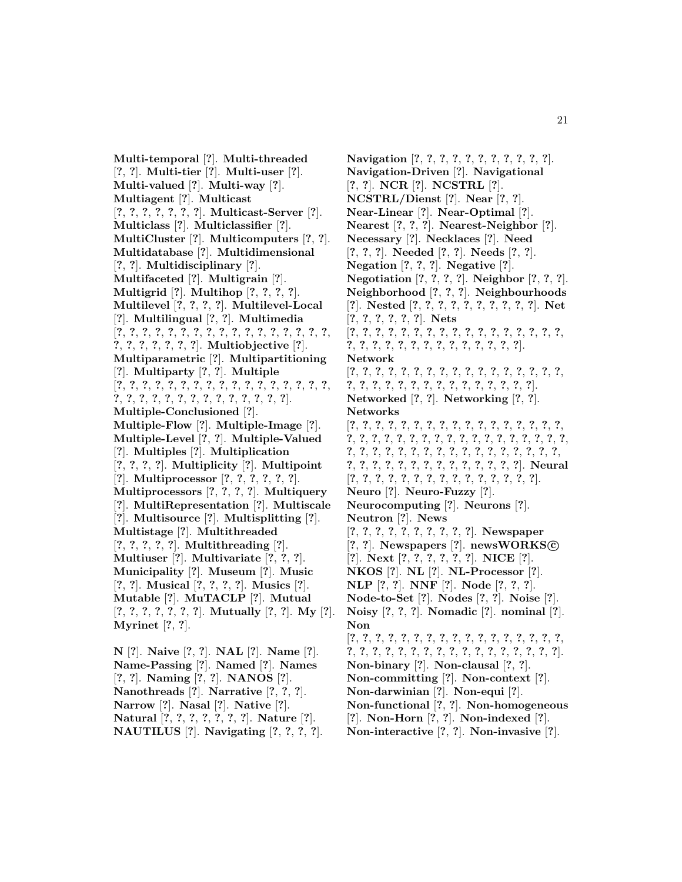**Multi-temporal** [**?**]. **Multi-threaded** [**?**, **?**]. **Multi-tier** [**?**]. **Multi-user** [**?**]. **Multi-valued** [**?**]. **Multi-way** [**?**]. **Multiagent** [**?**]. **Multicast** [**?**, **?**, **?**, **?**, **?**, **?**, **?**]. **Multicast-Server** [**?**]. **Multiclass** [**?**]. **Multiclassifier** [**?**]. **MultiCluster** [**?**]. **Multicomputers** [**?**, **?**]. **Multidatabase** [**?**]. **Multidimensional** [**?**, **?**]. **Multidisciplinary** [**?**]. **Multifaceted** [**?**]. **Multigrain** [**?**]. **Multigrid** [**?**]. **Multihop** [**?**, **?**, **?**, **?**]. **Multilevel** [**?**, **?**, **?**, **?**]. **Multilevel-Local** [**?**]. **Multilingual** [**?**, **?**]. **Multimedia** [**?**, **?**, **?**, **?**, **?**, **?**, **?**, **?**, **?**, **?**, **?**, **?**, **?**, **?**, **?**, **?**, **?**, **?**, **?**, **?**, **?**, **?**, **?**, **?**]. **Multiobjective** [**?**]. **Multiparametric** [**?**]. **Multipartitioning** [**?**]. **Multiparty** [**?**, **?**]. **Multiple** [**?**, **?**, **?**, **?**, **?**, **?**, **?**, **?**, **?**, **?**, **?**, **?**, **?**, **?**, **?**, **?**, **?**, **?**, **?**, **?**, **?**, **?**, **?**, **?**, **?**, **?**, **?**, **?**, **?**, **?**, **?**]. **Multiple-Conclusioned** [**?**]. **Multiple-Flow** [**?**]. **Multiple-Image** [**?**]. **Multiple-Level** [**?**, **?**]. **Multiple-Valued** [**?**]. **Multiples** [**?**]. **Multiplication** [**?**, **?**, **?**, **?**]. **Multiplicity** [**?**]. **Multipoint** [**?**]. **Multiprocessor** [**?**, **?**, **?**, **?**, **?**, **?**]. **Multiprocessors** [**?**, **?**, **?**, **?**]. **Multiquery** [**?**]. **MultiRepresentation** [**?**]. **Multiscale** [**?**]. **Multisource** [**?**]. **Multisplitting** [**?**]. **Multistage** [**?**]. **Multithreaded** [**?**, **?**, **?**, **?**, **?**]. **Multithreading** [**?**]. **Multiuser** [**?**]. **Multivariate** [**?**, **?**, **?**]. **Municipality** [**?**]. **Museum** [**?**]. **Music** [**?**, **?**]. **Musical** [**?**, **?**, **?**, **?**]. **Musics** [**?**]. **Mutable** [**?**]. **MuTACLP** [**?**]. **Mutual** [**?**, **?**, **?**, **?**, **?**, **?**, **?**]. **Mutually** [**?**, **?**]. **My** [**?**]. **Myrinet** [**?**, **?**].

**N** [**?**]. **Naive** [**?**, **?**]. **NAL** [**?**]. **Name** [**?**]. **Name-Passing** [**?**]. **Named** [**?**]. **Names** [**?**, **?**]. **Naming** [**?**, **?**]. **NANOS** [**?**]. **Nanothreads** [**?**]. **Narrative** [**?**, **?**, **?**]. **Narrow** [**?**]. **Nasal** [**?**]. **Native** [**?**]. **Natural** [**?**, **?**, **?**, **?**, **?**, **?**, **?**]. **Nature** [**?**]. **NAUTILUS** [**?**]. **Navigating** [**?**, **?**, **?**, **?**].

**Navigation** [**?**, **?**, **?**, **?**, **?**, **?**, **?**, **?**, **?**, **?**, **?**]. **Navigation-Driven** [**?**]. **Navigational** [**?**, **?**]. **NCR** [**?**]. **NCSTRL** [**?**]. **NCSTRL/Dienst** [**?**]. **Near** [**?**, **?**]. **Near-Linear** [**?**]. **Near-Optimal** [**?**]. **Nearest** [**?**, **?**, **?**]. **Nearest-Neighbor** [**?**]. **Necessary** [**?**]. **Necklaces** [**?**]. **Need** [**?**, **?**, **?**]. **Needed** [**?**, **?**]. **Needs** [**?**, **?**]. **Negation** [**?**, **?**, **?**]. **Negative** [**?**]. **Negotiation** [**?**, **?**, **?**, **?**]. **Neighbor** [**?**, **?**, **?**]. **Neighborhood** [**?**, **?**, **?**]. **Neighbourhoods** [**?**]. **Nested** [**?**, **?**, **?**, **?**, **?**, **?**, **?**, **?**, **?**, **?**]. **Net** [**?**, **?**, **?**, **?**, **?**, **?**]. **Nets** [**?**, **?**, **?**, **?**, **?**, **?**, **?**, **?**, **?**, **?**, **?**, **?**, **?**, **?**, **?**, **?**, **?**, **?**, **?**, **?**, **?**, **?**, **?**, **?**, **?**, **?**, **?**, **?**, **?**, **?**, **?**]. **Network** [**?**, **?**, **?**, **?**, **?**, **?**, **?**, **?**, **?**, **?**, **?**, **?**, **?**, **?**, **?**, **?**, **?**, **?**, **?**, **?**, **?**, **?**, **?**, **?**, **?**, **?**, **?**, **?**, **?**, **?**, **?**, **?**]. **Networked** [**?**, **?**]. **Networking** [**?**, **?**]. **Networks** [**?**, **?**, **?**, **?**, **?**, **?**, **?**, **?**, **?**, **?**, **?**, **?**, **?**, **?**, **?**, **?**, **?**, **?**, **?**, **?**, **?**, **?**, **?**, **?**, **?**, **?**, **?**, **?**, **?**, **?**, **?**, **?**, **?**, **?**, **?**, **?**, **?**, **?**, **?**, **?**, **?**, **?**, **?**, **?**, **?**, **?**, **?**, **?**, **?**, **?**, **?**, **?**, **?**, **?**, **?**, **?**, **?**, **?**, **?**, **?**, **?**, **?**, **?**, **?**, **?**, **?**]. **Neural** [**?**, **?**, **?**, **?**, **?**, **?**, **?**, **?**, **?**, **?**, **?**, **?**, **?**, **?**, **?**]. **Neuro** [**?**]. **Neuro-Fuzzy** [**?**]. **Neurocomputing** [**?**]. **Neurons** [**?**]. **Neutron** [**?**]. **News** [**?**, **?**, **?**, **?**, **?**, **?**, **?**, **?**, **?**, **?**]. **Newspaper** [**?**, **?**]. **Newspapers** [**?**]. **newsWORKS****c** [**?**]. **Next** [**?**, **?**, **?**, **?**, **?**, **?**]. **NICE** [**?**]. **NKOS** [**?**]. **NL** [**?**]. **NL-Processor** [**?**]. **NLP** [**?**, **?**]. **NNF** [**?**]. **Node** [**?**, **?**, **?**]. **Node-to-Set** [**?**]. **Nodes** [**?**, **?**]. **Noise** [**?**]. **Noisy** [**?**, **?**, **?**]. **Nomadic** [**?**]. **nominal** [**?**]. **Non** [**?**, **?**, **?**, **?**, **?**, **?**, **?**, **?**, **?**, **?**, **?**, **?**, **?**, **?**, **?**, **?**, **?**, **?**, **?**, **?**, **?**, **?**, **?**, **?**, **?**, **?**, **?**, **?**, **?**, **?**, **?**, **?**, **?**, **?**]. **Non-binary** [**?**]. **Non-clausal** [**?**, **?**]. **Non-committing** [**?**]. **Non-context** [**?**]. **Non-darwinian** [**?**]. **Non-equi** [**?**]. **Non-functional** [**?**, **?**]. **Non-homogeneous** [**?**]. **Non-Horn** [**?**, **?**]. **Non-indexed** [**?**].

**Non-interactive** [**?**, **?**]. **Non-invasive** [**?**].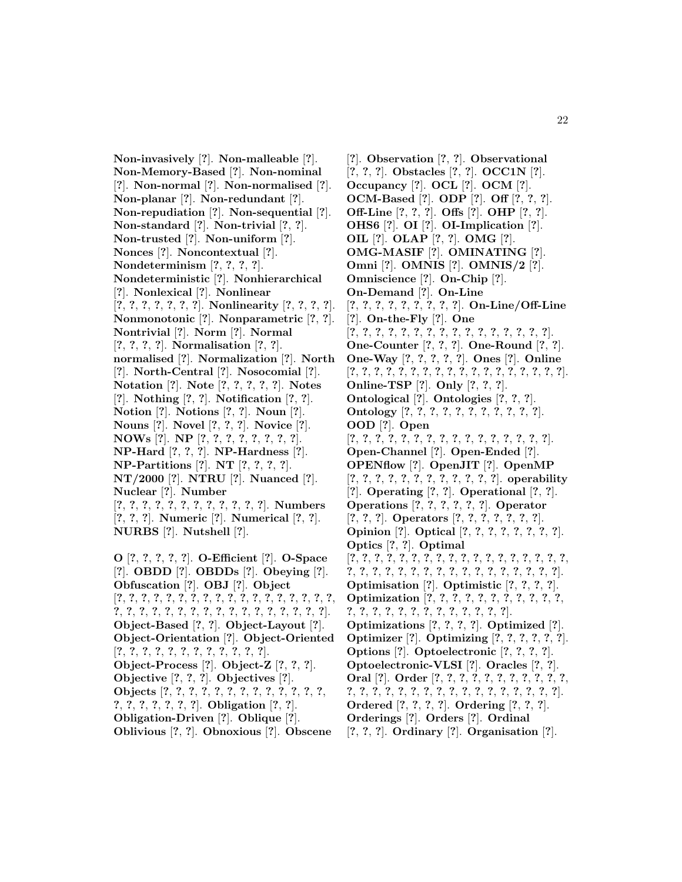**Non-invasively** [**?**]. **Non-malleable** [**?**]. **Non-Memory-Based** [**?**]. **Non-nominal** [**?**]. **Non-normal** [**?**]. **Non-normalised** [**?**]. **Non-planar** [**?**]. **Non-redundant** [**?**]. **Non-repudiation** [**?**]. **Non-sequential** [**?**]. **Non-standard** [**?**]. **Non-trivial** [**?**, **?**]. **Non-trusted** [**?**]. **Non-uniform** [**?**]. **Nonces** [**?**]. **Noncontextual** [**?**]. **Nondeterminism** [**?**, **?**, **?**, **?**]. **Nondeterministic** [**?**]. **Nonhierarchical** [**?**]. **Nonlexical** [**?**]. **Nonlinear** [**?**, **?**, **?**, **?**, **?**, **?**, **?**]. **Nonlinearity** [**?**, **?**, **?**, **?**]. **Nonmonotonic** [**?**]. **Nonparametric** [**?**, **?**]. **Nontrivial** [**?**]. **Norm** [**?**]. **Normal** [**?**, **?**, **?**, **?**]. **Normalisation** [**?**, **?**]. **normalised** [**?**]. **Normalization** [**?**]. **North** [**?**]. **North-Central** [**?**]. **Nosocomial** [**?**]. **Notation** [**?**]. **Note** [**?**, **?**, **?**, **?**, **?**]. **Notes** [**?**]. **Nothing** [**?**, **?**]. **Notification** [**?**, **?**]. **Notion** [**?**]. **Notions** [**?**, **?**]. **Noun** [**?**]. **Nouns** [**?**]. **Novel** [**?**, **?**, **?**]. **Novice** [**?**]. **NOWs** [**?**]. **NP** [**?**, **?**, **?**, **?**, **?**, **?**, **?**, **?**]. **NP-Hard** [**?**, **?**, **?**]. **NP-Hardness** [**?**]. **NP-Partitions** [**?**]. **NT** [**?**, **?**, **?**, **?**]. **NT/2000** [**?**]. **NTRU** [**?**]. **Nuanced** [**?**]. **Nuclear** [**?**]. **Number** [**?**, **?**, **?**, **?**, **?**, **?**, **?**, **?**, **?**, **?**, **?**, **?**]. **Numbers** [**?**, **?**, **?**]. **Numeric** [**?**]. **Numerical** [**?**, **?**]. **NURBS** [**?**]. **Nutshell** [**?**]. **O** [**?**, **?**, **?**, **?**, **?**]. **O-Efficient** [**?**]. **O-Space** [**?**]. **OBDD** [**?**]. **OBDDs** [**?**]. **Obeying** [**?**]. **Obfuscation** [**?**]. **OBJ** [**?**]. **Object** [**?**, **?**, **?**, **?**, **?**, **?**, **?**, **?**, **?**, **?**, **?**, **?**, **?**, **?**, **?**, **?**, **?**, **?**, **?**, **?**, **?**, **?**, **?**, **?**, **?**, **?**, **?**, **?**, **?**, **?**, **?**, **?**, **?**, **?**, **?**]. **Object-Based** [**?**, **?**]. **Object-Layout** [**?**]. **Object-Orientation** [**?**]. **Object-Oriented**

[**?**, **?**, **?**, **?**, **?**, **?**, **?**, **?**, **?**, **?**, **?**, **?**]. **Object-Process** [**?**]. **Object-Z** [**?**, **?**, **?**]. **Objective** [**?**, **?**, **?**]. **Objectives** [**?**].

- **Objects** [**?**, **?**, **?**, **?**, **?**, **?**, **?**, **?**, **?**, **?**, **?**, **?**, **?**,
- **?**, **?**, **?**, **?**, **?**, **?**, **?**]. **Obligation** [**?**, **?**].
- **Obligation-Driven** [**?**]. **Oblique** [**?**].

**Oblivious** [**?**, **?**]. **Obnoxious** [**?**]. **Obscene**

[**?**]. **Observation** [**?**, **?**]. **Observational** [**?**, **?**, **?**]. **Obstacles** [**?**, **?**]. **OCC1N** [**?**]. **Occupancy** [**?**]. **OCL** [**?**]. **OCM** [**?**]. **OCM-Based** [**?**]. **ODP** [**?**]. **Off** [**?**, **?**, **?**]. **Off-Line** [**?**, **?**, **?**]. **Offs** [**?**]. **OHP** [**?**, **?**]. **OHS6** [**?**]. **OI** [**?**]. **OI-Implication** [**?**]. **OIL** [**?**]. **OLAP** [**?**, **?**]. **OMG** [**?**]. **OMG-MASIF** [**?**]. **OMINATING** [**?**]. **Omni** [**?**]. **OMNIS** [**?**]. **OMNIS/2** [**?**]. **Omniscience** [**?**]. **On-Chip** [**?**]. **On-Demand** [**?**]. **On-Line** [**?**, **?**, **?**, **?**, **?**, **?**, **?**, **?**, **?**]. **On-Line/Off-Line** [**?**]. **On-the-Fly** [**?**]. **One** [**?**, **?**, **?**, **?**, **?**, **?**, **?**, **?**, **?**, **?**, **?**, **?**, **?**, **?**, **?**, **?**]. **One-Counter** [**?**, **?**, **?**]. **One-Round** [**?**, **?**]. **One-Way** [**?**, **?**, **?**, **?**, **?**]. **Ones** [**?**]. **Online** [**?**, **?**, **?**, **?**, **?**, **?**, **?**, **?**, **?**, **?**, **?**, **?**, **?**, **?**, **?**, **?**, **?**, **?**]. **Online-TSP** [**?**]. **Only** [**?**, **?**, **?**]. **Ontological** [**?**]. **Ontologies** [**?**, **?**, **?**]. **Ontology** [**?**, **?**, **?**, **?**, **?**, **?**, **?**, **?**, **?**, **?**, **?**]. **OOD** [**?**]. **Open** [**?**, **?**, **?**, **?**, **?**, **?**, **?**, **?**, **?**, **?**, **?**, **?**, **?**, **?**, **?**, **?**]. **Open-Channel** [**?**]. **Open-Ended** [**?**]. **OPENflow** [**?**]. **OpenJIT** [**?**]. **OpenMP** [**?**, **?**, **?**, **?**, **?**, **?**, **?**, **?**, **?**, **?**, **?**, **?**]. **operability** [**?**]. **Operating** [**?**, **?**]. **Operational** [**?**, **?**]. **Operations** [**?**, **?**, **?**, **?**, **?**, **?**]. **Operator** [**?**, **?**, **?**]. **Operators** [**?**, **?**, **?**, **?**, **?**, **?**, **?**]. **Opinion** [**?**]. **Optical** [**?**, **?**, **?**, **?**, **?**, **?**, **?**, **?**]. **Optics** [**?**, **?**]. **Optimal** [**?**, **?**, **?**, **?**, **?**, **?**, **?**, **?**, **?**, **?**, **?**, **?**, **?**, **?**, **?**, **?**, **?**, **?**, **?**, **?**, **?**, **?**, **?**, **?**, **?**, **?**, **?**, **?**, **?**, **?**, **?**, **?**, **?**, **?**, **?**]. **Optimisation** [**?**]. **Optimistic** [**?**, **?**, **?**, **?**]. **Optimization** [**?**, **?**, **?**, **?**, **?**, **?**, **?**, **?**, **?**, **?**, **?**, **?**, **?**, **?**, **?**, **?**, **?**, **?**, **?**, **?**, **?**, **?**, **?**, **?**]. **Optimizations** [**?**, **?**, **?**, **?**]. **Optimized** [**?**]. **Optimizer** [**?**]. **Optimizing** [**?**, **?**, **?**, **?**, **?**, **?**]. **Options** [**?**]. **Optoelectronic** [**?**, **?**, **?**, **?**]. **Optoelectronic-VLSI** [**?**]. **Oracles** [**?**, **?**]. **Oral** [**?**]. **Order** [**?**, **?**, **?**, **?**, **?**, **?**, **?**, **?**, **?**, **?**, **?**, **?**, **?**, **?**, **?**, **?**, **?**, **?**, **?**, **?**, **?**, **?**, **?**, **?**, **?**, **?**, **?**, **?**]. **Ordered** [**?**, **?**, **?**, **?**]. **Ordering** [**?**, **?**, **?**]. **Orderings** [**?**]. **Orders** [**?**]. **Ordinal** [**?**, **?**, **?**]. **Ordinary** [**?**]. **Organisation** [**?**].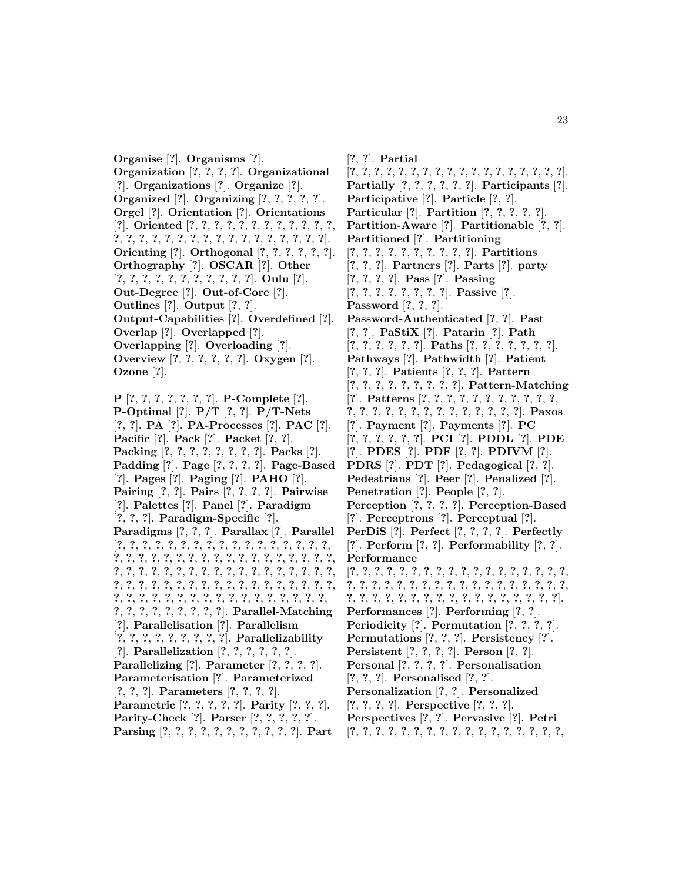**Organise** [**?**]. **Organisms** [**?**]. **Organization** [**?**, **?**, **?**, **?**]. **Organizational** [**?**]. **Organizations** [**?**]. **Organize** [**?**]. **Organized** [**?**]. **Organizing** [**?**, **?**, **?**, **?**, **?**]. **Orgel** [**?**]. **Orientation** [**?**]. **Orientations** [**?**]. **Oriented** [**?**, **?**, **?**, **?**, **?**, **?**, **?**, **?**, **?**, **?**, **?**, **?**, **?**, **?**, **?**, **?**, **?**, **?**, **?**, **?**, **?**, **?**, **?**, **?**, **?**, **?**, **?**, **?**, **?**]. **Orienting** [**?**]. **Orthogonal** [**?**, **?**, **?**, **?**, **?**, **?**]. **Orthography** [**?**]. **OSCAR** [**?**]. **Other** [**?**, **?**, **?**, **?**, **?**, **?**, **?**, **?**, **?**, **?**, **?**]. **Oulu** [**?**]. **Out-Degree** [**?**]. **Out-of-Core** [**?**]. **Outlines** [**?**]. **Output** [**?**, **?**]. **Output-Capabilities** [**?**]. **Overdefined** [**?**]. **Overlap** [**?**]. **Overlapped** [**?**]. **Overlapping** [**?**]. **Overloading** [**?**]. **Overview** [**?**, **?**, **?**, **?**, **?**, **?**]. **Oxygen** [**?**]. **Ozone** [**?**].

**P** [**?**, **?**, **?**, **?**, **?**, **?**, **?**]. **P-Complete** [**?**]. **P-Optimal** [**?**]. **P/T** [**?**, **?**]. **P/T-Nets** [**?**, **?**]. **PA** [**?**]. **PA-Processes** [**?**]. **PAC** [**?**]. **Pacific** [**?**]. **Pack** [**?**]. **Packet** [**?**, **?**]. **Packing** [**?**, **?**, **?**, **?**, **?**, **?**, **?**, **?**]. **Packs** [**?**]. **Padding** [**?**]. **Page** [**?**, **?**, **?**, **?**]. **Page-Based** [**?**]. **Pages** [**?**]. **Paging** [**?**]. **PAHO** [**?**]. **Pairing** [**?**, **?**]. **Pairs** [**?**, **?**, **?**, **?**]. **Pairwise** [**?**]. **Palettes** [**?**]. **Panel** [**?**]. **Paradigm** [**?**, **?**, **?**]. **Paradigm-Specific** [**?**]. **Paradigms** [**?**, **?**, **?**]. **Parallax** [**?**]. **Parallel** [**?**, **?**, **?**, **?**, **?**, **?**, **?**, **?**, **?**, **?**, **?**, **?**, **?**, **?**, **?**, **?**, **?**, **?**, **?**, **?**, **?**, **?**, **?**, **?**, **?**, **?**, **?**, **?**, **?**, **?**, **?**, **?**, **?**, **?**, **?**, **?**, **?**, **?**, **?**, **?**, **?**, **?**, **?**, **?**, **?**, **?**, **?**, **?**, **?**, **?**, **?**, **?**, **?**, **?**, **?**, **?**, **?**, **?**, **?**, **?**, **?**, **?**, **?**, **?**, **?**, **?**, **?**, **?**, **?**, **?**, **?**, **?**, **?**, **?**, **?**, **?**, **?**, **?**, **?**, **?**, **?**, **?**, **?**, **?**, **?**, **?**, **?**, **?**, **?**, **?**, **?**, **?**, **?**, **?**, **?**, **?**, **?**]. **Parallel-Matching** [**?**]. **Parallelisation** [**?**]. **Parallelism** [**?**, **?**, **?**, **?**, **?**, **?**, **?**, **?**, **?**]. **Parallelizability** [**?**]. **Parallelization** [**?**, **?**, **?**, **?**, **?**, **?**]. **Parallelizing** [**?**]. **Parameter** [**?**, **?**, **?**, **?**]. **Parameterisation** [**?**]. **Parameterized** [**?**, **?**, **?**]. **Parameters** [**?**, **?**, **?**, **?**]. **Parametric** [**?**, **?**, **?**, **?**, **?**]. **Parity** [**?**, **?**, **?**]. **Parity-Check** [**?**]. **Parser** [**?**, **?**, **?**, **?**, **?**]. **Parsing** [**?**, **?**, **?**, **?**, **?**, **?**, **?**, **?**, **?**, **?**, **?**]. **Part**

[**?**, **?**]. **Partial** [**?**, **?**, **?**, **?**, **?**, **?**, **?**, **?**, **?**, **?**, **?**, **?**, **?**, **?**, **?**, **?**, **?**, **?**]. **Partially** [**?**, **?**, **?**, **?**, **?**, **?**]. **Participants** [**?**]. **Participative** [**?**]. **Particle** [**?**, **?**]. **Particular** [**?**]. **Partition** [**?**, **?**, **?**, **?**, **?**]. **Partition-Aware** [**?**]. **Partitionable** [**?**, **?**]. **Partitioned** [**?**]. **Partitioning** [**?**, **?**, **?**, **?**, **?**, **?**, **?**, **?**, **?**, **?**]. **Partitions** [**?**, **?**, **?**]. **Partners** [**?**]. **Parts** [**?**]. **party** [**?**, **?**, **?**, **?**]. **Pass** [**?**]. **Passing** [**?**, **?**, **?**, **?**, **?**, **?**, **?**, **?**]. **Passive** [**?**]. **Password** [**?**, **?**, **?**]. **Password-Authenticated** [**?**, **?**]. **Past** [**?**, **?**]. **PaStiX** [**?**]. **Patarin** [**?**]. **Path** [**?**, **?**, **?**, **?**, **?**, **?**]. **Paths** [**?**, **?**, **?**, **?**, **?**, **?**, **?**]. **Pathways** [**?**]. **Pathwidth** [**?**]. **Patient** [**?**, **?**, **?**]. **Patients** [**?**, **?**, **?**]. **Pattern** [**?**, **?**, **?**, **?**, **?**, **?**, **?**, **?**, **?**]. **Pattern-Matching** [**?**]. **Patterns** [**?**, **?**, **?**, **?**, **?**, **?**, **?**, **?**, **?**, **?**, **?**, **?**, **?**, **?**, **?**, **?**, **?**, **?**, **?**, **?**, **?**, **?**, **?**, **?**, **?**]. **Paxos** [**?**]. **Payment** [**?**]. **Payments** [**?**]. **PC** [**?**, **?**, **?**, **?**, **?**, **?**]. **PCI** [**?**]. **PDDL** [**?**]. **PDE** [**?**]. **PDES** [**?**]. **PDF** [**?**, **?**]. **PDIVM** [**?**]. **PDRS** [**?**]. **PDT** [**?**]. **Pedagogical** [**?**, **?**]. **Pedestrians** [**?**]. **Peer** [**?**]. **Penalized** [**?**]. **Penetration** [**?**]. **People** [**?**, **?**]. **Perception** [**?**, **?**, **?**, **?**]. **Perception-Based** [**?**]. **Perceptrons** [**?**]. **Perceptual** [**?**]. **PerDiS** [**?**]. **Perfect** [**?**, **?**, **?**, **?**]. **Perfectly** [**?**]. **Perform** [**?**, **?**]. **Performability** [**?**, **?**]. **Performance** [**?**, **?**, **?**, **?**, **?**, **?**, **?**, **?**, **?**, **?**, **?**, **?**, **?**, **?**, **?**, **?**, **?**, **?**, **?**, **?**, **?**, **?**, **?**, **?**, **?**, **?**, **?**, **?**, **?**, **?**, **?**, **?**, **?**, **?**, **?**, **?**, **?**, **?**, **?**, **?**, **?**, **?**, **?**, **?**, **?**, **?**, **?**, **?**, **?**, **?**, **?**, **?**, **?**]. **Performances** [**?**]. **Performing** [**?**, **?**]. **Periodicity** [**?**]. **Permutation** [**?**, **?**, **?**, **?**]. **Permutations** [**?**, **?**, **?**]. **Persistency** [**?**]. **Persistent** [**?**, **?**, **?**, **?**]. **Person** [**?**, **?**]. **Personal** [**?**, **?**, **?**, **?**]. **Personalisation** [**?**, **?**, **?**]. **Personalised** [**?**, **?**]. **Personalization** [**?**, **?**]. **Personalized** [**?**, **?**, **?**, **?**]. **Perspective** [**?**, **?**, **?**]. **Perspectives** [**?**, **?**]. **Pervasive** [**?**]. **Petri** [**?**, **?**, **?**, **?**, **?**, **?**, **?**, **?**, **?**, **?**, **?**, **?**, **?**, **?**, **?**, **?**, **?**,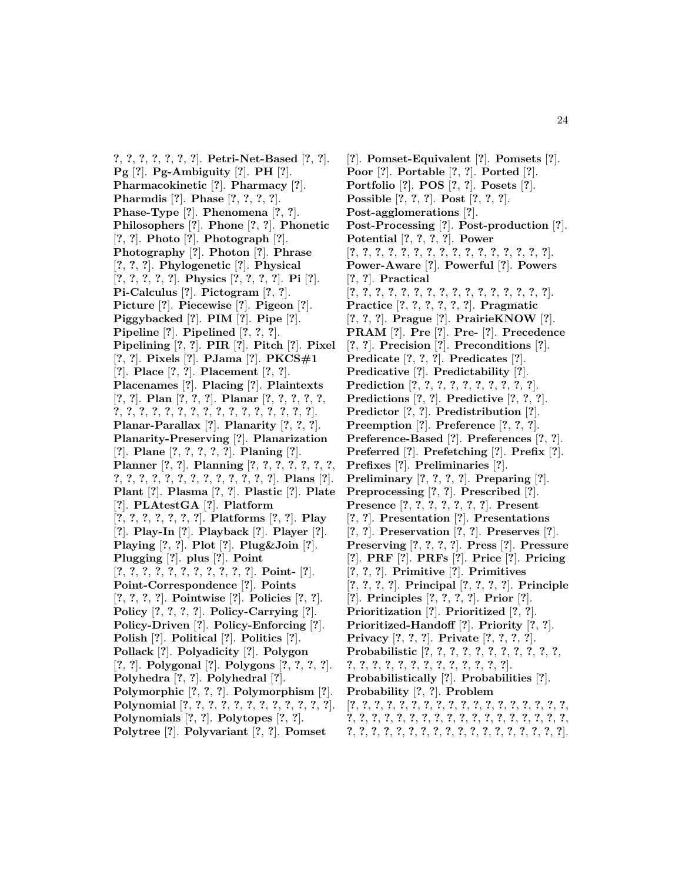**?**, **?**, **?**, **?**, **?**, **?**, **?**]. **Petri-Net-Based** [**?**, **?**]. **Pg** [**?**]. **Pg-Ambiguity** [**?**]. **PH** [**?**]. **Pharmacokinetic** [**?**]. **Pharmacy** [**?**]. **Pharmdis** [**?**]. **Phase** [**?**, **?**, **?**, **?**]. **Phase-Type** [**?**]. **Phenomena** [**?**, **?**]. **Philosophers** [**?**]. **Phone** [**?**, **?**]. **Phonetic** [**?**, **?**]. **Photo** [**?**]. **Photograph** [**?**]. **Photography** [**?**]. **Photon** [**?**]. **Phrase** [**?**, **?**, **?**]. **Phylogenetic** [**?**]. **Physical** [**?**, **?**, **?**, **?**, **?**]. **Physics** [**?**, **?**, **?**, **?**]. **Pi** [**?**]. **Pi-Calculus** [**?**]. **Pictogram** [**?**, **?**]. **Picture** [**?**]. **Piecewise** [**?**]. **Pigeon** [**?**]. **Piggybacked** [**?**]. **PIM** [**?**]. **Pipe** [**?**]. **Pipeline** [**?**]. **Pipelined** [**?**, **?**, **?**]. **Pipelining** [**?**, **?**]. **PIR** [**?**]. **Pitch** [**?**]. **Pixel** [**?**, **?**]. **Pixels** [**?**]. **PJama** [**?**]. **PKCS#1** [**?**]. **Place** [**?**, **?**]. **Placement** [**?**, **?**]. **Placenames** [**?**]. **Placing** [**?**]. **Plaintexts** [**?**, **?**]. **Plan** [**?**, **?**, **?**]. **Planar** [**?**, **?**, **?**, **?**, **?**, **?**, **?**, **?**, **?**, **?**, **?**, **?**, **?**, **?**, **?**, **?**, **?**, **?**, **?**, **?**, **?**]. **Planar-Parallax** [**?**]. **Planarity** [**?**, **?**, **?**]. **Planarity-Preserving** [**?**]. **Planarization** [**?**]. **Plane** [**?**, **?**, **?**, **?**, **?**]. **Planing** [**?**]. **Planner** [**?**, **?**]. **Planning** [**?**, **?**, **?**, **?**, **?**, **?**, **?**, **?**, **?**, **?**, **?**, **?**, **?**, **?**, **?**, **?**, **?**, **?**, **?**, **?**]. **Plans** [**?**]. **Plant** [**?**]. **Plasma** [**?**, **?**]. **Plastic** [**?**]. **Plate** [**?**]. **PLAtestGA** [**?**]. **Platform** [**?**, **?**, **?**, **?**, **?**, **?**, **?**]. **Platforms** [**?**, **?**]. **Play** [**?**]. **Play-In** [**?**]. **Playback** [**?**]. **Player** [**?**]. **Playing** [**?**, **?**]. **Plot** [**?**]. **Plug&Join** [**?**]. **Plugging** [**?**]. **plus** [**?**]. **Point** [**?**, **?**, **?**, **?**, **?**, **?**, **?**, **?**, **?**, **?**, **?**]. **Point-** [**?**]. **Point-Correspondence** [**?**]. **Points** [**?**, **?**, **?**, **?**]. **Pointwise** [**?**]. **Policies** [**?**, **?**]. **Policy** [**?**, **?**, **?**, **?**]. **Policy-Carrying** [**?**]. **Policy-Driven** [**?**]. **Policy-Enforcing** [**?**]. **Polish** [**?**]. **Political** [**?**]. **Politics** [**?**]. **Pollack** [**?**]. **Polyadicity** [**?**]. **Polygon** [**?**, **?**]. **Polygonal** [**?**]. **Polygons** [**?**, **?**, **?**, **?**]. **Polyhedra** [**?**, **?**]. **Polyhedral** [**?**]. **Polymorphic** [**?**, **?**, **?**]. **Polymorphism** [**?**]. **Polynomial** [**?**, **?**, **?**, **?**, **?**, **?**, **?**, **?**, **?**, **?**, **?**, **?**]. **Polynomials** [**?**, **?**]. **Polytopes** [**?**, **?**]. **Polytree** [**?**]. **Polyvariant** [**?**, **?**]. **Pomset**

[**?**]. **Pomset-Equivalent** [**?**]. **Pomsets** [**?**]. **Poor** [**?**]. **Portable** [**?**, **?**]. **Ported** [**?**]. **Portfolio** [**?**]. **POS** [**?**, **?**]. **Posets** [**?**]. **Possible** [**?**, **?**, **?**]. **Post** [**?**, **?**, **?**]. **Post-agglomerations** [**?**]. **Post-Processing** [**?**]. **Post-production** [**?**]. **Potential** [**?**, **?**, **?**, **?**]. **Power** [**?**, **?**, **?**, **?**, **?**, **?**, **?**, **?**, **?**, **?**, **?**, **?**, **?**, **?**, **?**, **?**]. **Power-Aware** [**?**]. **Powerful** [**?**]. **Powers** [**?**, **?**]. **Practical** [**?**, **?**, **?**, **?**, **?**, **?**, **?**, **?**, **?**, **?**, **?**, **?**, **?**, **?**, **?**, **?**]. **Practice** [**?**, **?**, **?**, **?**, **?**, **?**]. **Pragmatic** [**?**, **?**, **?**]. **Prague** [**?**]. **PrairieKNOW** [**?**]. **PRAM** [**?**]. **Pre** [**?**]. **Pre-** [**?**]. **Precedence** [**?**, **?**]. **Precision** [**?**]. **Preconditions** [**?**]. **Predicate** [**?**, **?**, **?**]. **Predicates** [**?**]. **Predicative** [**?**]. **Predictability** [**?**]. **Prediction** [**?**, **?**, **?**, **?**, **?**, **?**, **?**, **?**, **?**, **?**]. **Predictions** [**?**, **?**]. **Predictive** [**?**, **?**, **?**]. **Predictor** [**?**, **?**]. **Predistribution** [**?**]. **Preemption** [**?**]. **Preference** [**?**, **?**, **?**]. **Preference-Based** [**?**]. **Preferences** [**?**, **?**]. **Preferred** [**?**]. **Prefetching** [**?**]. **Prefix** [**?**]. **Prefixes** [**?**]. **Preliminaries** [**?**]. **Preliminary** [**?**, **?**, **?**, **?**]. **Preparing** [**?**]. **Preprocessing** [**?**, **?**]. **Prescribed** [**?**]. **Presence** [**?**, **?**, **?**, **?**, **?**, **?**, **?**]. **Present** [**?**, **?**]. **Presentation** [**?**]. **Presentations** [**?**, **?**]. **Preservation** [**?**, **?**]. **Preserves** [**?**]. **Preserving** [**?**, **?**, **?**, **?**]. **Press** [**?**]. **Pressure** [**?**]. **PRF** [**?**]. **PRFs** [**?**]. **Price** [**?**]. **Pricing** [**?**, **?**, **?**]. **Primitive** [**?**]. **Primitives** [**?**, **?**, **?**, **?**]. **Principal** [**?**, **?**, **?**, **?**]. **Principle** [**?**]. **Principles** [**?**, **?**, **?**, **?**]. **Prior** [**?**]. **Prioritization** [**?**]. **Prioritized** [**?**, **?**]. **Prioritized-Handoff** [**?**]. **Priority** [**?**, **?**]. **Privacy** [**?**, **?**, **?**]. **Private** [**?**, **?**, **?**, **?**]. **Probabilistic** [**?**, **?**, **?**, **?**, **?**, **?**, **?**, **?**, **?**, **?**, **?**, **?**, **?**, **?**, **?**, **?**, **?**, **?**, **?**, **?**, **?**, **?**, **?**, **?**]. **Probabilistically** [**?**]. **Probabilities** [**?**]. **Probability** [**?**, **?**]. **Problem** [**?**, **?**, **?**, **?**, **?**, **?**, **?**, **?**, **?**, **?**, **?**, **?**, **?**, **?**, **?**, **?**, **?**, **?**, **?**, **?**, **?**, **?**, **?**, **?**, **?**, **?**, **?**, **?**, **?**, **?**, **?**, **?**, **?**, **?**, **?**, **?**,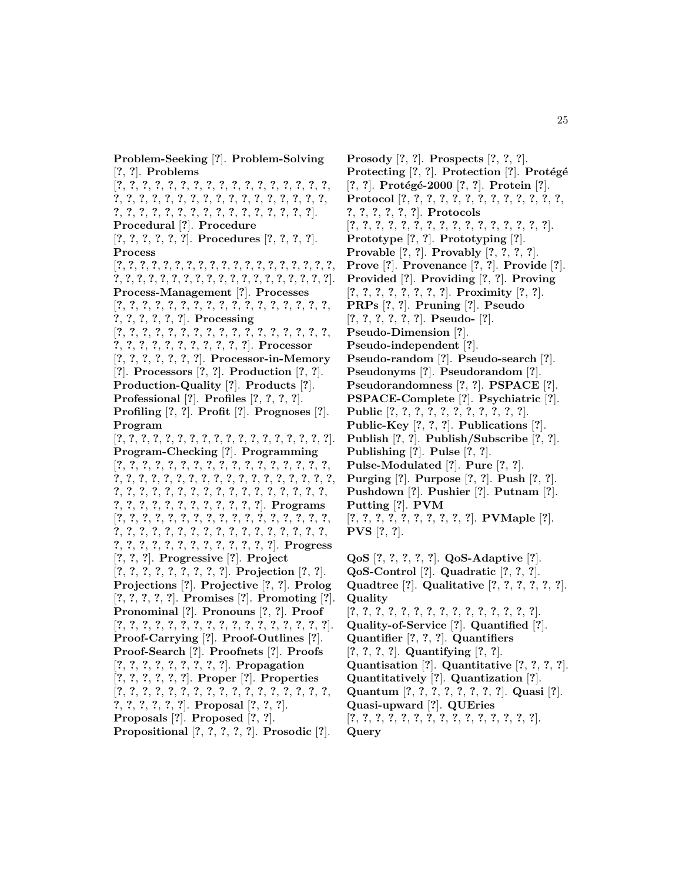**Problem-Seeking** [**?**]. **Problem-Solving** [**?**, **?**]. **Problems**

[**?**, **?**, **?**, **?**, **?**, **?**, **?**, **?**, **?**, **?**, **?**, **?**, **?**, **?**, **?**, **?**, **?**, **?**, **?**, **?**, **?**, **?**, **?**, **?**, **?**, **?**, **?**, **?**, **?**, **?**, **?**, **?**, **?**, **?**, **?**, **?**, **?**, **?**, **?**, **?**, **?**, **?**, **?**, **?**, **?**, **?**, **?**, **?**, **?**, **?**]. **Procedural** [**?**]. **Procedure** [**?**, **?**, **?**, **?**, **?**, **?**]. **Procedures** [**?**, **?**, **?**, **?**]. **Process** [**?**, **?**, **?**, **?**, **?**, **?**, **?**, **?**, **?**, **?**, **?**, **?**, **?**, **?**, **?**, **?**, **?**, **?**, **?**, **?**, **?**, **?**, **?**, **?**, **?**, **?**, **?**, **?**, **?**, **?**, **?**, **?**, **?**, **?**, **?**, **?**, **?**, **?**]. **Process-Management** [**?**]. **Processes** [**?**, **?**, **?**, **?**, **?**, **?**, **?**, **?**, **?**, **?**, **?**, **?**, **?**, **?**, **?**, **?**, **?**, **?**, **?**, **?**, **?**, **?**, **?**]. **Processing** [**?**, **?**, **?**, **?**, **?**, **?**, **?**, **?**, **?**, **?**, **?**, **?**, **?**, **?**, **?**, **?**, **?**, **?**, **?**, **?**, **?**, **?**, **?**, **?**, **?**, **?**, **?**, **?**]. **Processor** [**?**, **?**, **?**, **?**, **?**, **?**, **?**]. **Processor-in-Memory** [**?**]. **Processors** [**?**, **?**]. **Production** [**?**, **?**]. **Production-Quality** [**?**]. **Products** [**?**]. **Professional** [**?**]. **Profiles** [**?**, **?**, **?**, **?**]. **Profiling** [**?**, **?**]. **Profit** [**?**]. **Prognoses** [**?**]. **Program** [**?**, **?**, **?**, **?**, **?**, **?**, **?**, **?**, **?**, **?**, **?**, **?**, **?**, **?**, **?**, **?**, **?**, **?**]. **Program-Checking** [**?**]. **Programming** [**?**, **?**, **?**, **?**, **?**, **?**, **?**, **?**, **?**, **?**, **?**, **?**, **?**, **?**, **?**, **?**, **?**, **?**, **?**, **?**, **?**, **?**, **?**, **?**, **?**, **?**, **?**, **?**, **?**, **?**, **?**, **?**, **?**, **?**, **?**, **?**, **?**, **?**, **?**, **?**, **?**, **?**, **?**, **?**, **?**, **?**, **?**, **?**, **?**, **?**, **?**, **?**, **?**, **?**, **?**, **?**, **?**, **?**, **?**, **?**, **?**, **?**, **?**, **?**]. **Programs** [**?**, **?**, **?**, **?**, **?**, **?**, **?**, **?**, **?**, **?**, **?**, **?**, **?**, **?**, **?**, **?**, **?**, **?**, **?**, **?**, **?**, **?**, **?**, **?**, **?**, **?**, **?**, **?**, **?**, **?**, **?**, **?**, **?**, **?**, **?**, **?**, **?**, **?**, **?**, **?**, **?**, **?**, **?**, **?**, **?**, **?**, **?**]. **Progress** [**?**, **?**, **?**]. **Progressive** [**?**]. **Project** [**?**, **?**, **?**, **?**, **?**, **?**, **?**, **?**, **?**]. **Projection** [**?**, **?**]. **Projections** [**?**]. **Projective** [**?**, **?**]. **Prolog** [**?**, **?**, **?**, **?**, **?**]. **Promises** [**?**]. **Promoting** [**?**]. **Pronominal** [**?**]. **Pronouns** [**?**, **?**]. **Proof** [**?**, **?**, **?**, **?**, **?**, **?**, **?**, **?**, **?**, **?**, **?**, **?**, **?**, **?**, **?**, **?**, **?**]. **Proof-Carrying** [**?**]. **Proof-Outlines** [**?**]. **Proof-Search** [**?**]. **Proofnets** [**?**]. **Proofs** [**?**, **?**, **?**, **?**, **?**, **?**, **?**, **?**, **?**]. **Propagation** [**?**, **?**, **?**, **?**, **?**, **?**]. **Proper** [**?**]. **Properties** [**?**, **?**, **?**, **?**, **?**, **?**, **?**, **?**, **?**, **?**, **?**, **?**, **?**, **?**, **?**, **?**, **?**, **?**, **?**, **?**, **?**, **?**, **?**]. **Proposal** [**?**, **?**, **?**]. **Proposals** [**?**]. **Proposed** [**?**, **?**]. **Propositional** [**?**, **?**, **?**, **?**, **?**]. **Prosodic** [**?**].

**Prosody** [**?**, **?**]. **Prospects** [**?**, **?**, **?**]. **Protecting** [?, ?]. **Protection** [?]. **Protégé** [**?**, **?**]. **Prot´eg´e-2000** [**?**, **?**]. **Protein** [**?**]. **Protocol** [**?**, **?**, **?**, **?**, **?**, **?**, **?**, **?**, **?**, **?**, **?**, **?**, **?**, **?**, **?**, **?**, **?**, **?**, **?**]. **Protocols** [**?**, **?**, **?**, **?**, **?**, **?**, **?**, **?**, **?**, **?**, **?**, **?**, **?**, **?**, **?**, **?**]. **Prototype** [**?**, **?**]. **Prototyping** [**?**]. **Provable** [**?**, **?**]. **Provably** [**?**, **?**, **?**, **?**]. **Prove** [**?**]. **Provenance** [**?**, **?**]. **Provide** [**?**]. **Provided** [**?**]. **Providing** [**?**, **?**]. **Proving** [**?**, **?**, **?**, **?**, **?**, **?**, **?**, **?**]. **Proximity** [**?**, **?**]. **PRPs** [**?**, **?**]. **Pruning** [**?**]. **Pseudo** [**?**, **?**, **?**, **?**, **?**, **?**]. **Pseudo-** [**?**]. **Pseudo-Dimension** [**?**]. **Pseudo-independent** [**?**]. **Pseudo-random** [**?**]. **Pseudo-search** [**?**]. **Pseudonyms** [**?**]. **Pseudorandom** [**?**]. **Pseudorandomness** [**?**, **?**]. **PSPACE** [**?**]. **PSPACE-Complete** [**?**]. **Psychiatric** [**?**]. **Public** [**?**, **?**, **?**, **?**, **?**, **?**, **?**, **?**, **?**, **?**, **?**]. **Public-Key** [**?**, **?**, **?**]. **Publications** [**?**]. **Publish** [**?**, **?**]. **Publish/Subscribe** [**?**, **?**]. **Publishing** [**?**]. **Pulse** [**?**, **?**]. **Pulse-Modulated** [**?**]. **Pure** [**?**, **?**]. **Purging** [**?**]. **Purpose** [**?**, **?**]. **Push** [**?**, **?**]. **Pushdown** [**?**]. **Pushier** [**?**]. **Putnam** [**?**]. **Putting** [**?**]. **PVM** [**?**, **?**, **?**, **?**, **?**, **?**, **?**, **?**, **?**, **?**]. **PVMaple** [**?**]. **PVS** [**?**, **?**].

**QoS** [**?**, **?**, **?**, **?**, **?**]. **QoS-Adaptive** [**?**]. **QoS-Control** [**?**]. **Quadratic** [**?**, **?**, **?**]. **Quadtree** [**?**]. **Qualitative** [**?**, **?**, **?**, **?**, **?**, **?**]. **Quality** [**?**, **?**, **?**, **?**, **?**, **?**, **?**, **?**, **?**, **?**, **?**, **?**, **?**, **?**, **?**]. **Quality-of-Service** [**?**]. **Quantified** [**?**]. **Quantifier** [**?**, **?**, **?**]. **Quantifiers** [**?**, **?**, **?**, **?**]. **Quantifying** [**?**, **?**]. **Quantisation** [**?**]. **Quantitative** [**?**, **?**, **?**, **?**]. **Quantitatively** [**?**]. **Quantization** [**?**]. **Quantum** [**?**, **?**, **?**, **?**, **?**, **?**, **?**, **?**]. **Quasi** [**?**]. **Quasi-upward** [**?**]. **QUEries** [**?**, **?**, **?**, **?**, **?**, **?**, **?**, **?**, **?**, **?**, **?**, **?**, **?**, **?**, **?**]. **Query**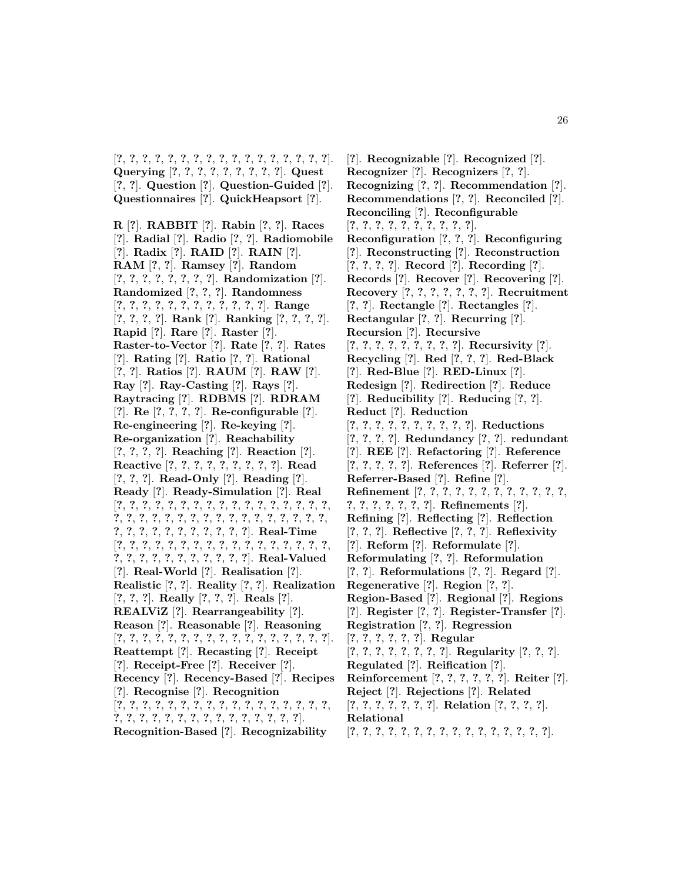[**?**, **?**, **?**, **?**, **?**, **?**, **?**, **?**, **?**, **?**, **?**, **?**, **?**, **?**, **?**, **?**, **?**]. **Querying** [**?**, **?**, **?**, **?**, **?**, **?**, **?**, **?**, **?**]. **Quest** [**?**, **?**]. **Question** [**?**]. **Question-Guided** [**?**]. **Questionnaires** [**?**]. **QuickHeapsort** [**?**].

**R** [**?**]. **RABBIT** [**?**]. **Rabin** [**?**, **?**]. **Races** [**?**]. **Radial** [**?**]. **Radio** [**?**, **?**]. **Radiomobile** [**?**]. **Radix** [**?**]. **RAID** [**?**]. **RAIN** [**?**]. **RAM** [**?**, **?**]. **Ramsey** [**?**]. **Random** [**?**, **?**, **?**, **?**, **?**, **?**, **?**, **?**]. **Randomization** [**?**]. **Randomized** [**?**, **?**, **?**]. **Randomness** [**?**, **?**, **?**, **?**, **?**, **?**, **?**, **?**, **?**, **?**, **?**, **?**]. **Range** [**?**, **?**, **?**, **?**]. **Rank** [**?**]. **Ranking** [**?**, **?**, **?**, **?**]. **Rapid** [**?**]. **Rare** [**?**]. **Raster** [**?**]. **Raster-to-Vector** [**?**]. **Rate** [**?**, **?**]. **Rates** [**?**]. **Rating** [**?**]. **Ratio** [**?**, **?**]. **Rational** [**?**, **?**]. **Ratios** [**?**]. **RAUM** [**?**]. **RAW** [**?**]. **Ray** [**?**]. **Ray-Casting** [**?**]. **Rays** [**?**]. **Raytracing** [**?**]. **RDBMS** [**?**]. **RDRAM** [**?**]. **Re** [**?**, **?**, **?**, **?**]. **Re-configurable** [**?**]. **Re-engineering** [**?**]. **Re-keying** [**?**]. **Re-organization** [**?**]. **Reachability** [**?**, **?**, **?**, **?**]. **Reaching** [**?**]. **Reaction** [**?**]. **Reactive** [**?**, **?**, **?**, **?**, **?**, **?**, **?**, **?**, **?**]. **Read** [**?**, **?**, **?**]. **Read-Only** [**?**]. **Reading** [**?**]. **Ready** [**?**]. **Ready-Simulation** [**?**]. **Real** [**?**, **?**, **?**, **?**, **?**, **?**, **?**, **?**, **?**, **?**, **?**, **?**, **?**, **?**, **?**, **?**, **?**, **?**, **?**, **?**, **?**, **?**, **?**, **?**, **?**, **?**, **?**, **?**, **?**, **?**, **?**, **?**, **?**, **?**, **?**, **?**, **?**, **?**, **?**, **?**, **?**, **?**, **?**, **?**, **?**]. **Real-Time** [**?**, **?**, **?**, **?**, **?**, **?**, **?**, **?**, **?**, **?**, **?**, **?**, **?**, **?**, **?**, **?**, **?**, **?**, **?**, **?**, **?**, **?**, **?**, **?**, **?**, **?**, **?**, **?**]. **Real-Valued** [**?**]. **Real-World** [**?**]. **Realisation** [**?**]. **Realistic** [**?**, **?**]. **Reality** [**?**, **?**]. **Realization** [**?**, **?**, **?**]. **Really** [**?**, **?**, **?**]. **Reals** [**?**]. **REALViZ** [**?**]. **Rearrangeability** [**?**]. **Reason** [**?**]. **Reasonable** [**?**]. **Reasoning** [**?**, **?**, **?**, **?**, **?**, **?**, **?**, **?**, **?**, **?**, **?**, **?**, **?**, **?**, **?**, **?**, **?**]. **Reattempt** [**?**]. **Recasting** [**?**]. **Receipt** [**?**]. **Receipt-Free** [**?**]. **Receiver** [**?**]. **Recency** [**?**]. **Recency-Based** [**?**]. **Recipes** [**?**]. **Recognise** [**?**]. **Recognition** [**?**, **?**, **?**, **?**, **?**, **?**, **?**, **?**, **?**, **?**, **?**, **?**, **?**, **?**, **?**, **?**, **?**, **?**, **?**, **?**, **?**, **?**, **?**, **?**, **?**, **?**, **?**, **?**, **?**, **?**, **?**, **?**]. **Recognition-Based** [**?**]. **Recognizability**

[**?**]. **Recognizable** [**?**]. **Recognized** [**?**]. **Recognizer** [**?**]. **Recognizers** [**?**, **?**]. **Recognizing** [**?**, **?**]. **Recommendation** [**?**]. **Recommendations** [**?**, **?**]. **Reconciled** [**?**]. **Reconciling** [**?**]. **Reconfigurable** [**?**, **?**, **?**, **?**, **?**, **?**, **?**, **?**, **?**, **?**]. **Reconfiguration** [**?**, **?**, **?**]. **Reconfiguring** [**?**]. **Reconstructing** [**?**]. **Reconstruction** [**?**, **?**, **?**, **?**]. **Record** [**?**]. **Recording** [**?**]. **Records** [**?**]. **Recover** [**?**]. **Recovering** [**?**]. **Recovery** [**?**, **?**, **?**, **?**, **?**, **?**, **?**]. **Recruitment** [**?**, **?**]. **Rectangle** [**?**]. **Rectangles** [**?**]. **Rectangular** [**?**, **?**]. **Recurring** [**?**]. **Recursion** [**?**]. **Recursive** [**?**, **?**, **?**, **?**, **?**, **?**, **?**, **?**, **?**]. **Recursivity** [**?**]. **Recycling** [**?**]. **Red** [**?**, **?**, **?**]. **Red-Black** [**?**]. **Red-Blue** [**?**]. **RED-Linux** [**?**]. **Redesign** [**?**]. **Redirection** [**?**]. **Reduce** [**?**]. **Reducibility** [**?**]. **Reducing** [**?**, **?**]. **Reduct** [**?**]. **Reduction** [**?**, **?**, **?**, **?**, **?**, **?**, **?**, **?**, **?**, **?**]. **Reductions** [**?**, **?**, **?**, **?**]. **Redundancy** [**?**, **?**]. **redundant** [**?**]. **REE** [**?**]. **Refactoring** [**?**]. **Reference** [**?**, **?**, **?**, **?**, **?**]. **References** [**?**]. **Referrer** [**?**]. **Referrer-Based** [**?**]. **Refine** [**?**]. **Refinement** [**?**, **?**, **?**, **?**, **?**, **?**, **?**, **?**, **?**, **?**, **?**, **?**, **?**, **?**, **?**, **?**, **?**, **?**, **?**]. **Refinements** [**?**]. **Refining** [**?**]. **Reflecting** [**?**]. **Reflection** [**?**, **?**, **?**]. **Reflective** [**?**, **?**, **?**]. **Reflexivity** [**?**]. **Reform** [**?**]. **Reformulate** [**?**]. **Reformulating** [**?**, **?**]. **Reformulation** [**?**, **?**]. **Reformulations** [**?**, **?**]. **Regard** [**?**]. **Regenerative** [**?**]. **Region** [**?**, **?**]. **Region-Based** [**?**]. **Regional** [**?**]. **Regions** [**?**]. **Register** [**?**, **?**]. **Register-Transfer** [**?**]. **Registration** [**?**, **?**]. **Regression** [**?**, **?**, **?**, **?**, **?**, **?**]. **Regular** [**?**, **?**, **?**, **?**, **?**, **?**, **?**, **?**]. **Regularity** [**?**, **?**, **?**]. **Regulated** [**?**]. **Reification** [**?**]. **Reinforcement** [**?**, **?**, **?**, **?**, **?**, **?**]. **Reiter** [**?**]. **Reject** [**?**]. **Rejections** [**?**]. **Related** [**?**, **?**, **?**, **?**, **?**, **?**, **?**]. **Relation** [**?**, **?**, **?**, **?**]. **Relational**

[**?**, **?**, **?**, **?**, **?**, **?**, **?**, **?**, **?**, **?**, **?**, **?**, **?**, **?**, **?**, **?**].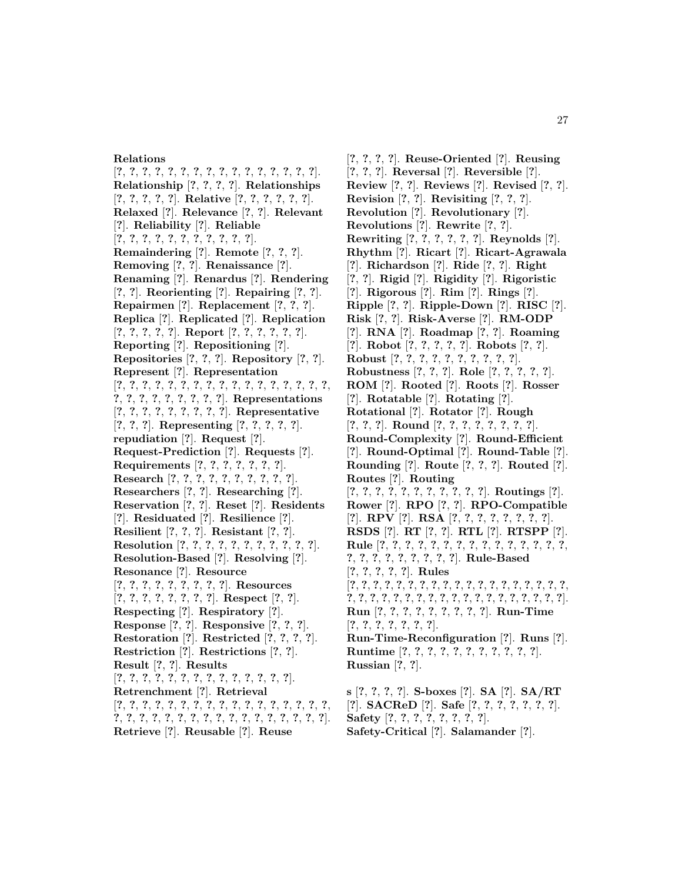## **Relations**

[**?**, **?**, **?**, **?**, **?**, **?**, **?**, **?**, **?**, **?**, **?**, **?**, **?**, **?**, **?**, **?**]. **Relationship** [**?**, **?**, **?**, **?**]. **Relationships** [**?**, **?**, **?**, **?**, **?**]. **Relative** [**?**, **?**, **?**, **?**, **?**, **?**]. **Relaxed** [**?**]. **Relevance** [**?**, **?**]. **Relevant** [**?**]. **Reliability** [**?**]. **Reliable** [**?**, **?**, **?**, **?**, **?**, **?**, **?**, **?**, **?**, **?**, **?**]. **Remaindering** [**?**]. **Remote** [**?**, **?**, **?**]. **Removing** [**?**, **?**]. **Renaissance** [**?**]. **Renaming** [**?**]. **Renardus** [**?**]. **Rendering** [**?**, **?**]. **Reorienting** [**?**]. **Repairing** [**?**, **?**]. **Repairmen** [**?**]. **Replacement** [**?**, **?**, **?**]. **Replica** [**?**]. **Replicated** [**?**]. **Replication** [**?**, **?**, **?**, **?**, **?**]. **Report** [**?**, **?**, **?**, **?**, **?**, **?**]. **Reporting** [**?**]. **Repositioning** [**?**]. **Repositories** [**?**, **?**, **?**]. **Repository** [**?**, **?**]. **Represent** [**?**]. **Representation** [**?**, **?**, **?**, **?**, **?**, **?**, **?**, **?**, **?**, **?**, **?**, **?**, **?**, **?**, **?**, **?**, **?**, **?**, **?**, **?**, **?**, **?**, **?**, **?**, **?**, **?**]. **Representations** [**?**, **?**, **?**, **?**, **?**, **?**, **?**, **?**, **?**]. **Representative** [**?**, **?**, **?**]. **Representing** [**?**, **?**, **?**, **?**, **?**]. **repudiation** [**?**]. **Request** [**?**]. **Request-Prediction** [**?**]. **Requests** [**?**]. **Requirements** [**?**, **?**, **?**, **?**, **?**, **?**, **?**]. **Research** [**?**, **?**, **?**, **?**, **?**, **?**, **?**, **?**, **?**, **?**]. **Researchers** [**?**, **?**]. **Researching** [**?**]. **Reservation** [**?**, **?**]. **Reset** [**?**]. **Residents** [**?**]. **Residuated** [**?**]. **Resilience** [**?**]. **Resilient** [**?**, **?**, **?**]. **Resistant** [**?**, **?**]. **Resolution** [**?**, **?**, **?**, **?**, **?**, **?**, **?**, **?**, **?**, **?**, **?**]. **Resolution-Based** [**?**]. **Resolving** [**?**]. **Resonance** [**?**]. **Resource** [**?**, **?**, **?**, **?**, **?**, **?**, **?**, **?**, **?**]. **Resources** [**?**, **?**, **?**, **?**, **?**, **?**, **?**, **?**]. **Respect** [**?**, **?**]. **Respecting** [**?**]. **Respiratory** [**?**]. **Response** [**?**, **?**]. **Responsive** [**?**, **?**, **?**]. **Restoration** [**?**]. **Restricted** [**?**, **?**, **?**, **?**]. **Restriction** [**?**]. **Restrictions** [**?**, **?**]. **Result** [**?**, **?**]. **Results** [**?**, **?**, **?**, **?**, **?**, **?**, **?**, **?**, **?**, **?**, **?**, **?**, **?**, **?**]. **Retrenchment** [**?**]. **Retrieval** [**?**, **?**, **?**, **?**, **?**, **?**, **?**, **?**, **?**, **?**, **?**, **?**, **?**, **?**, **?**, **?**, **?**, **?**, **?**, **?**, **?**, **?**, **?**, **?**, **?**, **?**, **?**, **?**, **?**, **?**, **?**, **?**, **?**, **?**]. **Retrieve** [**?**]. **Reusable** [**?**]. **Reuse**

[**?**, **?**, **?**, **?**]. **Reuse-Oriented** [**?**]. **Reusing** [**?**, **?**, **?**]. **Reversal** [**?**]. **Reversible** [**?**]. **Review** [**?**, **?**]. **Reviews** [**?**]. **Revised** [**?**, **?**]. **Revision** [**?**, **?**]. **Revisiting** [**?**, **?**, **?**]. **Revolution** [**?**]. **Revolutionary** [**?**]. **Revolutions** [**?**]. **Rewrite** [**?**, **?**]. **Rewriting** [**?**, **?**, **?**, **?**, **?**, **?**]. **Reynolds** [**?**]. **Rhythm** [**?**]. **Ricart** [**?**]. **Ricart-Agrawala** [**?**]. **Richardson** [**?**]. **Ride** [**?**, **?**]. **Right** [**?**, **?**]. **Rigid** [**?**]. **Rigidity** [**?**]. **Rigoristic** [**?**]. **Rigorous** [**?**]. **Rim** [**?**]. **Rings** [**?**]. **Ripple** [**?**, **?**]. **Ripple-Down** [**?**]. **RISC** [**?**]. **Risk** [**?**, **?**]. **Risk-Averse** [**?**]. **RM-ODP** [**?**]. **RNA** [**?**]. **Roadmap** [**?**, **?**]. **Roaming** [**?**]. **Robot** [**?**, **?**, **?**, **?**, **?**]. **Robots** [**?**, **?**]. **Robust** [**?**, **?**, **?**, **?**, **?**, **?**, **?**, **?**, **?**, **?**]. **Robustness** [**?**, **?**, **?**]. **Role** [**?**, **?**, **?**, **?**, **?**]. **ROM** [**?**]. **Rooted** [**?**]. **Roots** [**?**]. **Rosser** [**?**]. **Rotatable** [**?**]. **Rotating** [**?**]. **Rotational** [**?**]. **Rotator** [**?**]. **Rough** [**?**, **?**, **?**]. **Round** [**?**, **?**, **?**, **?**, **?**, **?**, **?**, **?**]. **Round-Complexity** [**?**]. **Round-Efficient** [**?**]. **Round-Optimal** [**?**]. **Round-Table** [**?**]. **Rounding** [**?**]. **Route** [**?**, **?**, **?**]. **Routed** [**?**]. **Routes** [**?**]. **Routing** [**?**, **?**, **?**, **?**, **?**, **?**, **?**, **?**, **?**, **?**, **?**]. **Routings** [**?**]. **Rower** [**?**]. **RPO** [**?**, **?**]. **RPO-Compatible** [**?**]. **RPV** [**?**]. **RSA** [**?**, **?**, **?**, **?**, **?**, **?**, **?**, **?**]. **RSDS** [**?**]. **RT** [**?**, **?**]. **RTL** [**?**]. **RTSPP** [**?**]. **Rule** [**?**, **?**, **?**, **?**, **?**, **?**, **?**, **?**, **?**, **?**, **?**, **?**, **?**, **?**, **?**, **?**, **?**, **?**, **?**, **?**, **?**, **?**, **?**, **?**]. **Rule-Based** [**?**, **?**, **?**, **?**, **?**]. **Rules** [**?**, **?**, **?**, **?**, **?**, **?**, **?**, **?**, **?**, **?**, **?**, **?**, **?**, **?**, **?**, **?**, **?**, **?**, **?**, **?**, **?**, **?**, **?**, **?**, **?**, **?**, **?**, **?**, **?**, **?**, **?**, **?**, **?**, **?**, **?**, **?**, **?**, **?**]. **Run** [**?**, **?**, **?**, **?**, **?**, **?**, **?**, **?**, **?**]. **Run-Time** [**?**, **?**, **?**, **?**, **?**, **?**, **?**]. **Run-Time-Reconfiguration** [**?**]. **Runs** [**?**]. **Runtime** [**?**, **?**, **?**, **?**, **?**, **?**, **?**, **?**, **?**, **?**, **?**]. **Russian** [**?**, **?**]. **s** [**?**, **?**, **?**, **?**]. **S-boxes** [**?**]. **SA** [**?**]. **SA/RT**

[**?**]. **SACReD** [**?**]. **Safe** [**?**, **?**, **?**, **?**, **?**, **?**, **?**]. **Safety** [**?**, **?**, **?**, **?**, **?**, **?**, **?**, **?**]. **Safety-Critical** [**?**]. **Salamander** [**?**].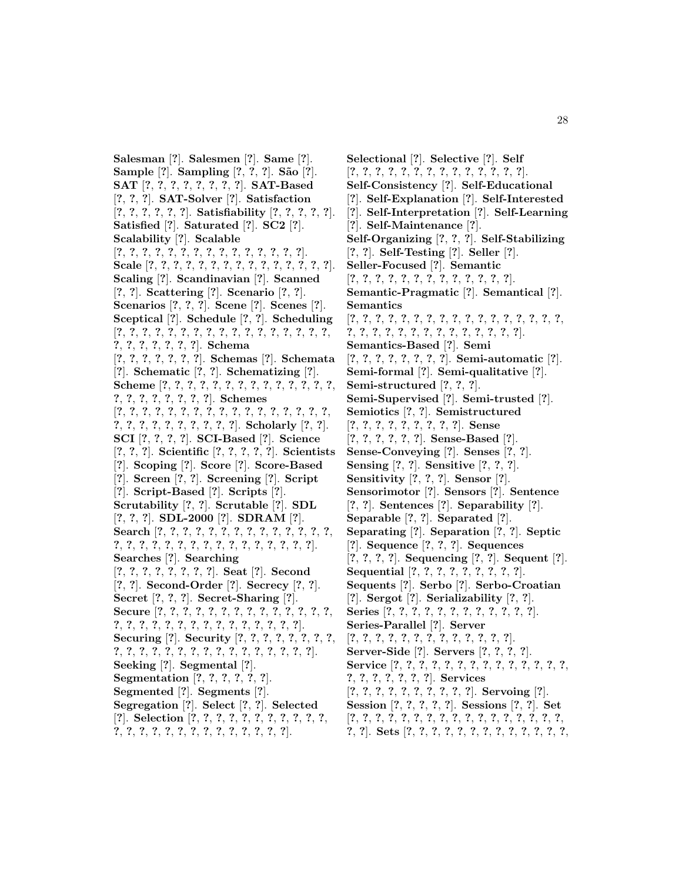**Salesman** [**?**]. **Salesmen** [**?**]. **Same** [**?**]. **Sample** [**?**]. **Sampling** [**?**, **?**, **?**]. **S˜ao** [**?**]. **SAT** [**?**, **?**, **?**, **?**, **?**, **?**, **?**, **?**]. **SAT-Based** [**?**, **?**, **?**]. **SAT-Solver** [**?**]. **Satisfaction** [**?**, **?**, **?**, **?**, **?**, **?**]. **Satisfiability** [**?**, **?**, **?**, **?**, **?**]. **Satisfied** [**?**]. **Saturated** [**?**]. **SC2** [**?**]. **Scalability** [**?**]. **Scalable** [**?**, **?**, **?**, **?**, **?**, **?**, **?**, **?**, **?**, **?**, **?**, **?**, **?**, **?**, **?**]. **Scale** [**?**, **?**, **?**, **?**, **?**, **?**, **?**, **?**, **?**, **?**, **?**, **?**, **?**, **?**, **?**]. **Scaling** [**?**]. **Scandinavian** [**?**]. **Scanned** [**?**, **?**]. **Scattering** [**?**]. **Scenario** [**?**, **?**]. **Scenarios** [**?**, **?**, **?**]. **Scene** [**?**]. **Scenes** [**?**]. **Sceptical** [**?**]. **Schedule** [**?**, **?**]. **Scheduling** [**?**, **?**, **?**, **?**, **?**, **?**, **?**, **?**, **?**, **?**, **?**, **?**, **?**, **?**, **?**, **?**, **?**, **?**, **?**, **?**, **?**, **?**, **?**, **?**]. **Schema** [**?**, **?**, **?**, **?**, **?**, **?**, **?**]. **Schemas** [**?**]. **Schemata** [**?**]. **Schematic** [**?**, **?**]. **Schematizing** [**?**]. **Scheme** [**?**, **?**, **?**, **?**, **?**, **?**, **?**, **?**, **?**, **?**, **?**, **?**, **?**, **?**, **?**, **?**, **?**, **?**, **?**, **?**, **?**, **?**]. **Schemes** [**?**, **?**, **?**, **?**, **?**, **?**, **?**, **?**, **?**, **?**, **?**, **?**, **?**, **?**, **?**, **?**, **?**, **?**, **?**, **?**, **?**, **?**, **?**, **?**, **?**, **?**, **?**]. **Scholarly** [**?**, **?**]. **SCI** [**?**, **?**, **?**, **?**]. **SCI-Based** [**?**]. **Science** [**?**, **?**, **?**]. **Scientific** [**?**, **?**, **?**, **?**, **?**]. **Scientists** [**?**]. **Scoping** [**?**]. **Score** [**?**]. **Score-Based** [**?**]. **Screen** [**?**, **?**]. **Screening** [**?**]. **Script** [**?**]. **Script-Based** [**?**]. **Scripts** [**?**]. **Scrutability** [**?**, **?**]. **Scrutable** [**?**]. **SDL** [**?**, **?**, **?**]. **SDL-2000** [**?**]. **SDRAM** [**?**]. **Search** [**?**, **?**, **?**, **?**, **?**, **?**, **?**, **?**, **?**, **?**, **?**, **?**, **?**, **?**, **?**, **?**, **?**, **?**, **?**, **?**, **?**, **?**, **?**, **?**, **?**, **?**, **?**, **?**, **?**, **?**]. **Searches** [**?**]. **Searching** [**?**, **?**, **?**, **?**, **?**, **?**, **?**, **?**]. **Seat** [**?**]. **Second** [**?**, **?**]. **Second-Order** [**?**]. **Secrecy** [**?**, **?**]. **Secret** [**?**, **?**, **?**]. **Secret-Sharing** [**?**]. **Secure** [**?**, **?**, **?**, **?**, **?**, **?**, **?**, **?**, **?**, **?**, **?**, **?**, **?**, **?**, **?**, **?**, **?**, **?**, **?**, **?**, **?**, **?**, **?**, **?**, **?**, **?**, **?**, **?**, **?**]. **Securing** [**?**]. **Security** [**?**, **?**, **?**, **?**, **?**, **?**, **?**, **?**, **?**, **?**, **?**, **?**, **?**, **?**, **?**, **?**, **?**, **?**, **?**, **?**, **?**, **?**, **?**, **?**]. **Seeking** [**?**]. **Segmental** [**?**]. **Segmentation** [**?**, **?**, **?**, **?**, **?**, **?**]. **Segmented** [**?**]. **Segments** [**?**]. **Segregation** [**?**]. **Select** [**?**, **?**]. **Selected** [**?**]. **Selection** [**?**, **?**, **?**, **?**, **?**, **?**, **?**, **?**, **?**, **?**, **?**, **?**, **?**, **?**, **?**, **?**, **?**, **?**, **?**, **?**, **?**, **?**, **?**, **?**, **?**].

**Selectional** [**?**]. **Selective** [**?**]. **Self** [**?**, **?**, **?**, **?**, **?**, **?**, **?**, **?**, **?**, **?**, **?**, **?**, **?**, **?**]. **Self-Consistency** [**?**]. **Self-Educational** [**?**]. **Self-Explanation** [**?**]. **Self-Interested** [**?**]. **Self-Interpretation** [**?**]. **Self-Learning** [**?**]. **Self-Maintenance** [**?**]. **Self-Organizing** [**?**, **?**, **?**]. **Self-Stabilizing** [**?**, **?**]. **Self-Testing** [**?**]. **Seller** [**?**]. **Seller-Focused** [**?**]. **Semantic** [**?**, **?**, **?**, **?**, **?**, **?**, **?**, **?**, **?**, **?**, **?**, **?**, **?**]. **Semantic-Pragmatic** [**?**]. **Semantical** [**?**]. **Semantics** [**?**, **?**, **?**, **?**, **?**, **?**, **?**, **?**, **?**, **?**, **?**, **?**, **?**, **?**, **?**, **?**, **?**, **?**, **?**, **?**, **?**, **?**, **?**, **?**, **?**, **?**, **?**, **?**, **?**, **?**, **?**]. **Semantics-Based** [**?**]. **Semi** [**?**, **?**, **?**, **?**, **?**, **?**, **?**, **?**]. **Semi-automatic** [**?**]. **Semi-formal** [**?**]. **Semi-qualitative** [**?**]. **Semi-structured** [**?**, **?**, **?**]. **Semi-Supervised** [**?**]. **Semi-trusted** [**?**]. **Semiotics** [**?**, **?**]. **Semistructured** [**?**, **?**, **?**, **?**, **?**, **?**, **?**, **?**, **?**]. **Sense** [**?**, **?**, **?**, **?**, **?**, **?**]. **Sense-Based** [**?**]. **Sense-Conveying** [**?**]. **Senses** [**?**, **?**]. **Sensing** [**?**, **?**]. **Sensitive** [**?**, **?**, **?**]. **Sensitivity** [**?**, **?**, **?**]. **Sensor** [**?**]. **Sensorimotor** [**?**]. **Sensors** [**?**]. **Sentence** [**?**, **?**]. **Sentences** [**?**]. **Separability** [**?**]. **Separable** [**?**, **?**]. **Separated** [**?**]. **Separating** [**?**]. **Separation** [**?**, **?**]. **Septic** [**?**]. **Sequence** [**?**, **?**, **?**]. **Sequences** [**?**, **?**, **?**, **?**]. **Sequencing** [**?**, **?**]. **Sequent** [**?**]. **Sequential** [**?**, **?**, **?**, **?**, **?**, **?**, **?**, **?**, **?**]. **Sequents** [**?**]. **Serbo** [**?**]. **Serbo-Croatian** [**?**]. **Sergot** [**?**]. **Serializability** [**?**, **?**]. **Series** [**?**, **?**, **?**, **?**, **?**, **?**, **?**, **?**, **?**, **?**, **?**, **?**]. **Series-Parallel** [**?**]. **Server** [**?**, **?**, **?**, **?**, **?**, **?**, **?**, **?**, **?**, **?**, **?**, **?**, **?**]. **Server-Side** [**?**]. **Servers** [**?**, **?**, **?**, **?**]. **Service** [**?**, **?**, **?**, **?**, **?**, **?**, **?**, **?**, **?**, **?**, **?**, **?**, **?**, **?**, **?**, **?**, **?**, **?**, **?**, **?**, **?**]. **Services** [**?**, **?**, **?**, **?**, **?**, **?**, **?**, **?**, **?**, **?**]. **Servoing** [**?**]. **Session** [**?**, **?**, **?**, **?**, **?**]. **Sessions** [**?**, **?**]. **Set** [**?**, **?**, **?**, **?**, **?**, **?**, **?**, **?**, **?**, **?**, **?**, **?**, **?**, **?**, **?**, **?**, **?**,

**?**, **?**]. **Sets** [**?**, **?**, **?**, **?**, **?**, **?**, **?**, **?**, **?**, **?**, **?**, **?**, **?**,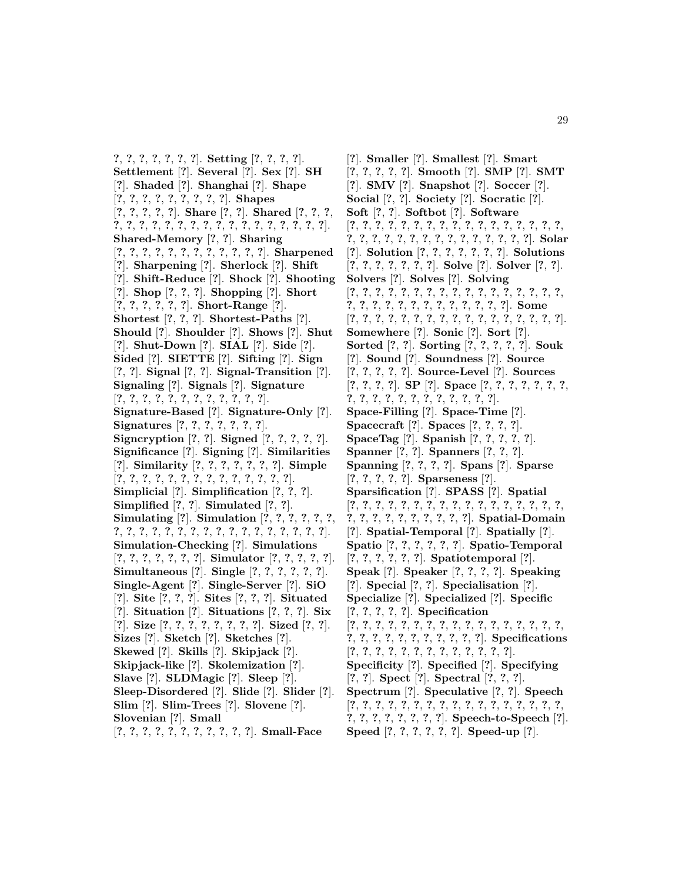**?**, **?**, **?**, **?**, **?**, **?**, **?**]. **Setting** [**?**, **?**, **?**, **?**]. **Settlement** [**?**]. **Several** [**?**]. **Sex** [**?**]. **SH** [**?**]. **Shaded** [**?**]. **Shanghai** [**?**]. **Shape** [**?**, **?**, **?**, **?**, **?**, **?**, **?**, **?**, **?**]. **Shapes** [**?**, **?**, **?**, **?**, **?**]. **Share** [**?**, **?**]. **Shared** [**?**, **?**, **?**, **?**, **?**, **?**, **?**, **?**, **?**, **?**, **?**, **?**, **?**, **?**, **?**, **?**, **?**, **?**, **?**, **?**]. **Shared-Memory** [**?**, **?**]. **Sharing** [**?**, **?**, **?**, **?**, **?**, **?**, **?**, **?**, **?**, **?**, **?**, **?**]. **Sharpened** [**?**]. **Sharpening** [**?**]. **Sherlock** [**?**]. **Shift** [**?**]. **Shift-Reduce** [**?**]. **Shock** [**?**]. **Shooting** [**?**]. **Shop** [**?**, **?**, **?**]. **Shopping** [**?**]. **Short** [**?**, **?**, **?**, **?**, **?**, **?**]. **Short-Range** [**?**]. **Shortest** [**?**, **?**, **?**]. **Shortest-Paths** [**?**]. **Should** [**?**]. **Shoulder** [**?**]. **Shows** [**?**]. **Shut** [**?**]. **Shut-Down** [**?**]. **SIAL** [**?**]. **Side** [**?**]. **Sided** [**?**]. **SIETTE** [**?**]. **Sifting** [**?**]. **Sign** [**?**, **?**]. **Signal** [**?**, **?**]. **Signal-Transition** [**?**]. **Signaling** [**?**]. **Signals** [**?**]. **Signature** [**?**, **?**, **?**, **?**, **?**, **?**, **?**, **?**, **?**, **?**, **?**, **?**]. **Signature-Based** [**?**]. **Signature-Only** [**?**]. **Signatures** [**?**, **?**, **?**, **?**, **?**, **?**, **?**]. **Signcryption** [**?**, **?**]. **Signed** [**?**, **?**, **?**, **?**, **?**]. **Significance** [**?**]. **Signing** [**?**]. **Similarities** [**?**]. **Similarity** [**?**, **?**, **?**, **?**, **?**, **?**, **?**]. **Simple** [**?**, **?**, **?**, **?**, **?**, **?**, **?**, **?**, **?**, **?**, **?**, **?**, **?**, **?**]. **Simplicial** [**?**]. **Simplification** [**?**, **?**, **?**]. **Simplified** [**?**, **?**]. **Simulated** [**?**, **?**]. **Simulating** [**?**]. **Simulation** [**?**, **?**, **?**, **?**, **?**, **?**, **?**, **?**, **?**, **?**, **?**, **?**, **?**, **?**, **?**, **?**, **?**, **?**, **?**, **?**, **?**, **?**, **?**]. **Simulation-Checking** [**?**]. **Simulations** [**?**, **?**, **?**, **?**, **?**, **?**, **?**]. **Simulator** [**?**, **?**, **?**, **?**, **?**]. **Simultaneous** [**?**]. **Single** [**?**, **?**, **?**, **?**, **?**, **?**]. **Single-Agent** [**?**]. **Single-Server** [**?**]. **SiO** [**?**]. **Site** [**?**, **?**, **?**]. **Sites** [**?**, **?**, **?**]. **Situated** [**?**]. **Situation** [**?**]. **Situations** [**?**, **?**, **?**]. **Six** [**?**]. **Size** [**?**, **?**, **?**, **?**, **?**, **?**, **?**, **?**]. **Sized** [**?**, **?**]. **Sizes** [**?**]. **Sketch** [**?**]. **Sketches** [**?**]. **Skewed** [**?**]. **Skills** [**?**]. **Skipjack** [**?**]. **Skipjack-like** [**?**]. **Skolemization** [**?**]. **Slave** [**?**]. **SLDMagic** [**?**]. **Sleep** [**?**]. **Sleep-Disordered** [**?**]. **Slide** [**?**]. **Slider** [**?**]. **Slim** [**?**]. **Slim-Trees** [**?**]. **Slovene** [**?**]. **Slovenian** [**?**]. **Small** [**?**, **?**, **?**, **?**, **?**, **?**, **?**, **?**, **?**, **?**, **?**]. **Small-Face**

[**?**]. **Smaller** [**?**]. **Smallest** [**?**]. **Smart** [**?**, **?**, **?**, **?**, **?**]. **Smooth** [**?**]. **SMP** [**?**]. **SMT** [**?**]. **SMV** [**?**]. **Snapshot** [**?**]. **Soccer** [**?**]. **Social** [**?**, **?**]. **Society** [**?**]. **Socratic** [**?**]. **Soft** [**?**, **?**]. **Softbot** [**?**]. **Software** [**?**, **?**, **?**, **?**, **?**, **?**, **?**, **?**, **?**, **?**, **?**, **?**, **?**, **?**, **?**, **?**, **?**, **?**, **?**, **?**, **?**, **?**, **?**, **?**, **?**, **?**, **?**, **?**, **?**, **?**, **?**, **?**]. **Solar** [**?**]. **Solution** [**?**, **?**, **?**, **?**, **?**, **?**, **?**]. **Solutions** [**?**, **?**, **?**, **?**, **?**, **?**, **?**]. **Solve** [**?**]. **Solver** [**?**, **?**]. **Solvers** [**?**]. **Solves** [**?**]. **Solving** [**?**, **?**, **?**, **?**, **?**, **?**, **?**, **?**, **?**, **?**, **?**, **?**, **?**, **?**, **?**, **?**, **?**, **?**, **?**, **?**, **?**, **?**, **?**, **?**, **?**, **?**, **?**, **?**, **?**, **?**]. **Some** [**?**, **?**, **?**, **?**, **?**, **?**, **?**, **?**, **?**, **?**, **?**, **?**, **?**, **?**, **?**, **?**, **?**]. **Somewhere** [**?**]. **Sonic** [**?**]. **Sort** [**?**]. **Sorted** [**?**, **?**]. **Sorting** [**?**, **?**, **?**, **?**, **?**]. **Souk** [**?**]. **Sound** [**?**]. **Soundness** [**?**]. **Source** [**?**, **?**, **?**, **?**, **?**]. **Source-Level** [**?**]. **Sources** [**?**, **?**, **?**, **?**]. **SP** [**?**]. **Space** [**?**, **?**, **?**, **?**, **?**, **?**, **?**, **?**, **?**, **?**, **?**, **?**, **?**, **?**, **?**, **?**, **?**, **?**, **?**]. **Space-Filling** [**?**]. **Space-Time** [**?**]. **Spacecraft** [**?**]. **Spaces** [**?**, **?**, **?**, **?**]. **SpaceTag** [**?**]. **Spanish** [**?**, **?**, **?**, **?**, **?**]. **Spanner** [**?**, **?**]. **Spanners** [**?**, **?**, **?**]. **Spanning** [**?**, **?**, **?**, **?**]. **Spans** [**?**]. **Sparse** [**?**, **?**, **?**, **?**, **?**]. **Sparseness** [**?**]. **Sparsification** [**?**]. **SPASS** [**?**]. **Spatial** [**?**, **?**, **?**, **?**, **?**, **?**, **?**, **?**, **?**, **?**, **?**, **?**, **?**, **?**, **?**, **?**, **?**, **?**, **?**, **?**, **?**, **?**, **?**, **?**, **?**, **?**, **?**]. **Spatial-Domain** [**?**]. **Spatial-Temporal** [**?**]. **Spatially** [**?**]. **Spatio** [**?**, **?**, **?**, **?**, **?**, **?**]. **Spatio-Temporal** [**?**, **?**, **?**, **?**, **?**, **?**]. **Spatiotemporal** [**?**]. **Speak** [**?**]. **Speaker** [**?**, **?**, **?**, **?**]. **Speaking** [**?**]. **Special** [**?**, **?**]. **Specialisation** [**?**]. **Specialize** [**?**]. **Specialized** [**?**]. **Specific** [**?**, **?**, **?**, **?**, **?**]. **Specification** [**?**, **?**, **?**, **?**, **?**, **?**, **?**, **?**, **?**, **?**, **?**, **?**, **?**, **?**, **?**, **?**, **?**, **?**, **?**, **?**, **?**, **?**, **?**, **?**, **?**, **?**, **?**, **?**]. **Specifications** [**?**, **?**, **?**, **?**, **?**, **?**, **?**, **?**, **?**, **?**, **?**, **?**, **?**]. **Specificity** [**?**]. **Specified** [**?**]. **Specifying** [**?**, **?**]. **Spect** [**?**]. **Spectral** [**?**, **?**, **?**]. **Spectrum** [**?**]. **Speculative** [**?**, **?**]. **Speech** [**?**, **?**, **?**, **?**, **?**, **?**, **?**, **?**, **?**, **?**, **?**, **?**, **?**, **?**, **?**, **?**, **?**, **?**, **?**, **?**, **?**, **?**, **?**, **?**, **?**]. **Speech-to-Speech** [**?**]. **Speed** [**?**, **?**, **?**, **?**, **?**, **?**]. **Speed-up** [**?**].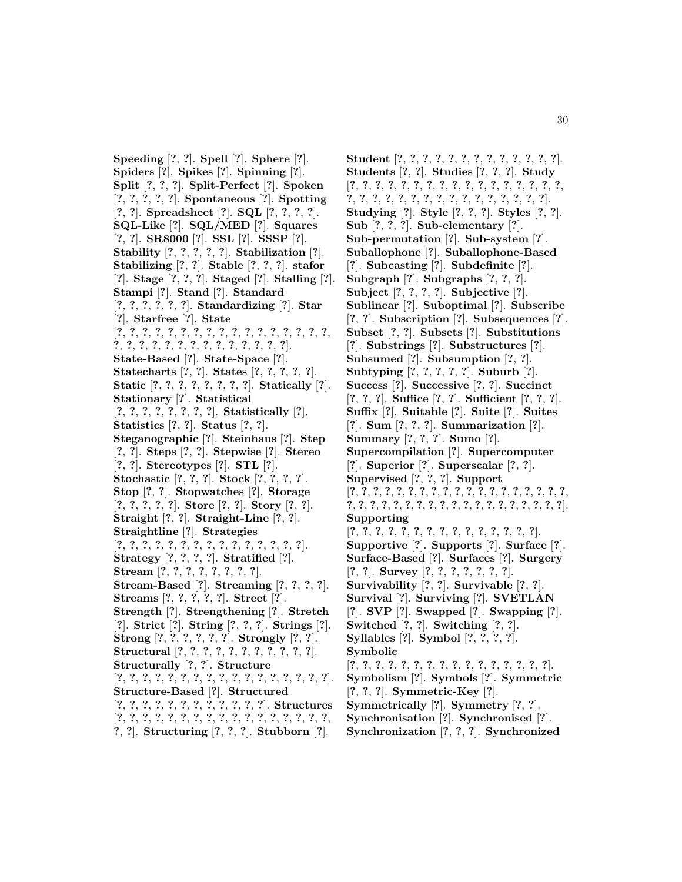**Speeding** [**?**, **?**]. **Spell** [**?**]. **Sphere** [**?**]. **Spiders** [**?**]. **Spikes** [**?**]. **Spinning** [**?**]. **Split** [**?**, **?**, **?**]. **Split-Perfect** [**?**]. **Spoken** [**?**, **?**, **?**, **?**, **?**]. **Spontaneous** [**?**]. **Spotting** [**?**, **?**]. **Spreadsheet** [**?**]. **SQL** [**?**, **?**, **?**, **?**]. **SQL-Like** [**?**]. **SQL/MED** [**?**]. **Squares** [**?**, **?**]. **SR8000** [**?**]. **SSL** [**?**]. **SSSP** [**?**]. **Stability** [**?**, **?**, **?**, **?**, **?**]. **Stabilization** [**?**]. **Stabilizing** [**?**, **?**]. **Stable** [**?**, **?**, **?**]. **stafor** [**?**]. **Stage** [**?**, **?**, **?**]. **Staged** [**?**]. **Stalling** [**?**]. **Stampi** [**?**]. **Stand** [**?**]. **Standard** [**?**, **?**, **?**, **?**, **?**, **?**]. **Standardizing** [**?**]. **Star** [**?**]. **Starfree** [**?**]. **State** [**?**, **?**, **?**, **?**, **?**, **?**, **?**, **?**, **?**, **?**, **?**, **?**, **?**, **?**, **?**, **?**, **?**, **?**, **?**, **?**, **?**, **?**, **?**, **?**, **?**, **?**, **?**, **?**, **?**, **?**, **?**]. **State-Based** [**?**]. **State-Space** [**?**]. **Statecharts** [**?**, **?**]. **States** [**?**, **?**, **?**, **?**, **?**]. **Static** [**?**, **?**, **?**, **?**, **?**, **?**, **?**, **?**]. **Statically** [**?**]. **Stationary** [**?**]. **Statistical** [**?**, **?**, **?**, **?**, **?**, **?**, **?**, **?**]. **Statistically** [**?**]. **Statistics** [**?**, **?**]. **Status** [**?**, **?**]. **Steganographic** [**?**]. **Steinhaus** [**?**]. **Step** [**?**, **?**]. **Steps** [**?**, **?**]. **Stepwise** [**?**]. **Stereo** [**?**, **?**]. **Stereotypes** [**?**]. **STL** [**?**]. **Stochastic** [**?**, **?**, **?**]. **Stock** [**?**, **?**, **?**, **?**]. **Stop** [**?**, **?**]. **Stopwatches** [**?**]. **Storage** [**?**, **?**, **?**, **?**, **?**]. **Store** [**?**, **?**]. **Story** [**?**, **?**]. **Straight** [**?**, **?**]. **Straight-Line** [**?**, **?**]. **Straightline** [**?**]. **Strategies** [**?**, **?**, **?**, **?**, **?**, **?**, **?**, **?**, **?**, **?**, **?**, **?**, **?**, **?**, **?**]. **Strategy** [**?**, **?**, **?**, **?**]. **Stratified** [**?**]. **Stream** [**?**, **?**, **?**, **?**, **?**, **?**, **?**, **?**]. **Stream-Based** [**?**]. **Streaming** [**?**, **?**, **?**, **?**]. **Streams** [**?**, **?**, **?**, **?**, **?**]. **Street** [**?**]. **Strength** [**?**]. **Strengthening** [**?**]. **Stretch** [**?**]. **Strict** [**?**]. **String** [**?**, **?**, **?**]. **Strings** [**?**]. **Strong** [**?**, **?**, **?**, **?**, **?**, **?**]. **Strongly** [**?**, **?**]. **Structural** [**?**, **?**, **?**, **?**, **?**, **?**, **?**, **?**, **?**, **?**, **?**]. **Structurally** [**?**, **?**]. **Structure** [**?**, **?**, **?**, **?**, **?**, **?**, **?**, **?**, **?**, **?**, **?**, **?**, **?**, **?**, **?**, **?**, **?**]. **Structure-Based** [**?**]. **Structured** [**?**, **?**, **?**, **?**, **?**, **?**, **?**, **?**, **?**, **?**, **?**, **?**]. **Structures** [**?**, **?**, **?**, **?**, **?**, **?**, **?**, **?**, **?**, **?**, **?**, **?**, **?**, **?**, **?**, **?**, **?**, **?**, **?**]. **Structuring** [**?**, **?**, **?**]. **Stubborn** [**?**].

**Student** [**?**, **?**, **?**, **?**, **?**, **?**, **?**, **?**, **?**, **?**, **?**, **?**, **?**]. **Students** [**?**, **?**]. **Studies** [**?**, **?**, **?**]. **Study** [**?**, **?**, **?**, **?**, **?**, **?**, **?**, **?**, **?**, **?**, **?**, **?**, **?**, **?**, **?**, **?**, **?**, **?**, **?**, **?**, **?**, **?**, **?**, **?**, **?**, **?**, **?**, **?**, **?**, **?**, **?**, **?**, **?**]. **Studying** [**?**]. **Style** [**?**, **?**, **?**]. **Styles** [**?**, **?**]. **Sub** [**?**, **?**, **?**]. **Sub-elementary** [**?**]. **Sub-permutation** [**?**]. **Sub-system** [**?**]. **Suballophone** [**?**]. **Suballophone-Based** [**?**]. **Subcasting** [**?**]. **Subdefinite** [**?**]. **Subgraph** [**?**]. **Subgraphs** [**?**, **?**, **?**]. **Subject** [**?**, **?**, **?**, **?**]. **Subjective** [**?**]. **Sublinear** [**?**]. **Suboptimal** [**?**]. **Subscribe** [**?**, **?**]. **Subscription** [**?**]. **Subsequences** [**?**]. **Subset** [**?**, **?**]. **Subsets** [**?**]. **Substitutions** [**?**]. **Substrings** [**?**]. **Substructures** [**?**]. **Subsumed** [**?**]. **Subsumption** [**?**, **?**]. **Subtyping** [**?**, **?**, **?**, **?**, **?**]. **Suburb** [**?**]. **Success** [**?**]. **Successive** [**?**, **?**]. **Succinct** [**?**, **?**, **?**]. **Suffice** [**?**, **?**]. **Sufficient** [**?**, **?**, **?**]. **Suffix** [**?**]. **Suitable** [**?**]. **Suite** [**?**]. **Suites** [**?**]. **Sum** [**?**, **?**, **?**]. **Summarization** [**?**]. **Summary** [**?**, **?**, **?**]. **Sumo** [**?**]. **Supercompilation** [**?**]. **Supercomputer** [**?**]. **Superior** [**?**]. **Superscalar** [**?**, **?**]. **Supervised** [**?**, **?**, **?**]. **Support** [**?**, **?**, **?**, **?**, **?**, **?**, **?**, **?**, **?**, **?**, **?**, **?**, **?**, **?**, **?**, **?**, **?**, **?**, **?**, **?**, **?**, **?**, **?**, **?**, **?**, **?**, **?**, **?**, **?**, **?**, **?**, **?**, **?**, **?**, **?**, **?**, **?**, **?**]. **Supporting** [**?**, **?**, **?**, **?**, **?**, **?**, **?**, **?**, **?**, **?**, **?**, **?**, **?**, **?**, **?**]. **Supportive** [**?**]. **Supports** [**?**]. **Surface** [**?**]. **Surface-Based** [**?**]. **Surfaces** [**?**]. **Surgery** [**?**, **?**]. **Survey** [**?**, **?**, **?**, **?**, **?**, **?**, **?**]. **Survivability** [**?**, **?**]. **Survivable** [**?**, **?**]. **Survival** [**?**]. **Surviving** [**?**]. **SVETLAN** [**?**]. **SVP** [**?**]. **Swapped** [**?**]. **Swapping** [**?**]. **Switched** [**?**, **?**]. **Switching** [**?**, **?**]. **Syllables** [**?**]. **Symbol** [**?**, **?**, **?**, **?**]. **Symbolic** [**?**, **?**, **?**, **?**, **?**, **?**, **?**, **?**, **?**, **?**, **?**, **?**, **?**, **?**, **?**, **?**]. **Symbolism** [**?**]. **Symbols** [**?**]. **Symmetric** [**?**, **?**, **?**]. **Symmetric-Key** [**?**]. **Symmetrically** [**?**]. **Symmetry** [**?**, **?**]. **Synchronisation** [**?**]. **Synchronised** [**?**]. **Synchronization** [**?**, **?**, **?**]. **Synchronized**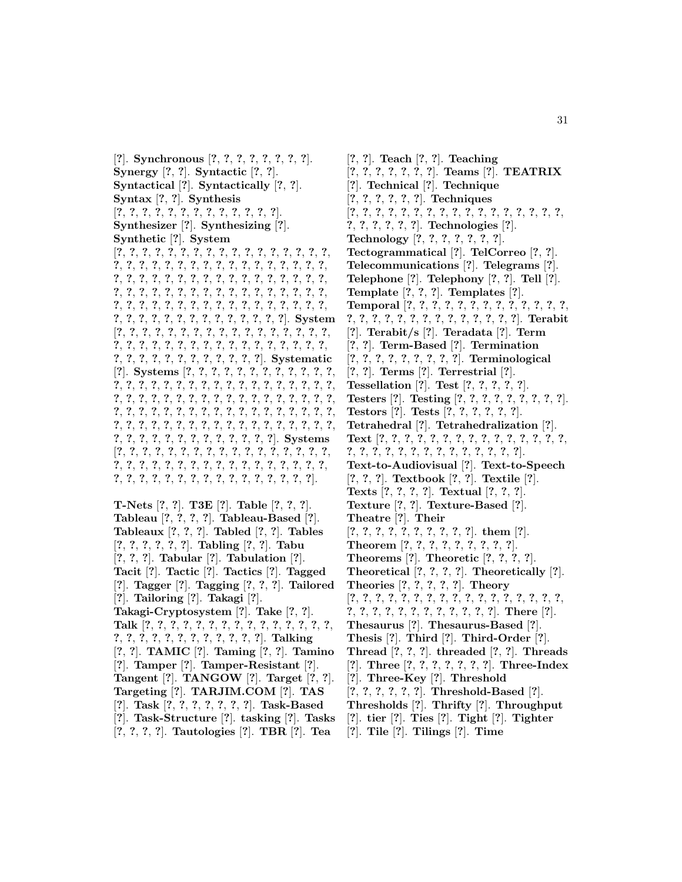[**?**]. **Synchronous** [**?**, **?**, **?**, **?**, **?**, **?**, **?**, **?**]. **Synergy** [**?**, **?**]. **Syntactic** [**?**, **?**]. **Syntactical** [**?**]. **Syntactically** [**?**, **?**]. **Syntax** [**?**, **?**]. **Synthesis** [**?**, **?**, **?**, **?**, **?**, **?**, **?**, **?**, **?**, **?**, **?**, **?**, **?**]. **Synthesizer** [**?**]. **Synthesizing** [**?**]. **Synthetic** [**?**]. **System** [**?**, **?**, **?**, **?**, **?**, **?**, **?**, **?**, **?**, **?**, **?**, **?**, **?**, **?**, **?**, **?**, **?**, **?**, **?**, **?**, **?**, **?**, **?**, **?**, **?**, **?**, **?**, **?**, **?**, **?**, **?**, **?**, **?**, **?**, **?**, **?**, **?**, **?**, **?**, **?**, **?**, **?**, **?**, **?**, **?**, **?**, **?**, **?**, **?**, **?**, **?**, **?**, **?**, **?**, **?**, **?**, **?**, **?**, **?**, **?**, **?**, **?**, **?**, **?**, **?**, **?**, **?**, **?**, **?**, **?**, **?**, **?**, **?**, **?**, **?**, **?**, **?**, **?**, **?**, **?**, **?**, **?**, **?**, **?**, **?**, **?**, **?**, **?**, **?**, **?**, **?**, **?**, **?**, **?**, **?**, **?**, **?**, **?**, **?**]. **System** [**?**, **?**, **?**, **?**, **?**, **?**, **?**, **?**, **?**, **?**, **?**, **?**, **?**, **?**, **?**, **?**, **?**, **?**, **?**, **?**, **?**, **?**, **?**, **?**, **?**, **?**, **?**, **?**, **?**, **?**, **?**, **?**, **?**, **?**, **?**, **?**, **?**, **?**, **?**, **?**, **?**, **?**, **?**, **?**, **?**, **?**]. **Systematic** [**?**]. **Systems** [**?**, **?**, **?**, **?**, **?**, **?**, **?**, **?**, **?**, **?**, **?**, **?**, **?**, **?**, **?**, **?**, **?**, **?**, **?**, **?**, **?**, **?**, **?**, **?**, **?**, **?**, **?**, **?**, **?**, **?**, **?**, **?**, **?**, **?**, **?**, **?**, **?**, **?**, **?**, **?**, **?**, **?**, **?**, **?**, **?**, **?**, **?**, **?**, **?**, **?**, **?**, **?**, **?**, **?**, **?**, **?**, **?**, **?**, **?**, **?**, **?**, **?**, **?**, **?**, **?**, **?**, **?**, **?**, **?**, **?**, **?**, **?**, **?**, **?**, **?**, **?**, **?**, **?**, **?**, **?**, **?**, **?**, **?**, **?**, **?**, **?**, **?**, **?**, **?**, **?**, **?**, **?**, **?**, **?**, **?**, **?**, **?**]. **Systems** [**?**, **?**, **?**, **?**, **?**, **?**, **?**, **?**, **?**, **?**, **?**, **?**, **?**, **?**, **?**, **?**, **?**, **?**, **?**, **?**, **?**, **?**, **?**, **?**, **?**, **?**, **?**, **?**, **?**, **?**, **?**, **?**, **?**, **?**, **?**, **?**, **?**, **?**, **?**, **?**, **?**, **?**, **?**, **?**, **?**, **?**, **?**, **?**, **?**, **?**].

**T-Nets** [**?**, **?**]. **T3E** [**?**]. **Table** [**?**, **?**, **?**]. **Tableau** [**?**, **?**, **?**, **?**]. **Tableau-Based** [**?**]. **Tableaux** [**?**, **?**, **?**]. **Tabled** [**?**, **?**]. **Tables** [**?**, **?**, **?**, **?**, **?**, **?**]. **Tabling** [**?**, **?**]. **Tabu** [**?**, **?**, **?**]. **Tabular** [**?**]. **Tabulation** [**?**]. **Tacit** [**?**]. **Tactic** [**?**]. **Tactics** [**?**]. **Tagged** [**?**]. **Tagger** [**?**]. **Tagging** [**?**, **?**, **?**]. **Tailored** [**?**]. **Tailoring** [**?**]. **Takagi** [**?**]. **Takagi-Cryptosystem** [**?**]. **Take** [**?**, **?**]. **Talk** [**?**, **?**, **?**, **?**, **?**, **?**, **?**, **?**, **?**, **?**, **?**, **?**, **?**, **?**, **?**, **?**, **?**, **?**, **?**, **?**, **?**, **?**, **?**, **?**, **?**, **?**, **?**]. **Talking** [**?**, **?**]. **TAMIC** [**?**]. **Taming** [**?**, **?**]. **Tamino** [**?**]. **Tamper** [**?**]. **Tamper-Resistant** [**?**]. **Tangent** [**?**]. **TANGOW** [**?**]. **Target** [**?**, **?**]. **Targeting** [**?**]. **TARJIM.COM** [**?**]. **TAS** [**?**]. **Task** [**?**, **?**, **?**, **?**, **?**, **?**, **?**]. **Task-Based** [**?**]. **Task-Structure** [**?**]. **tasking** [**?**]. **Tasks** [**?**, **?**, **?**, **?**]. **Tautologies** [**?**]. **TBR** [**?**]. **Tea**

[**?**, **?**]. **Teach** [**?**, **?**]. **Teaching** [**?**, **?**, **?**, **?**, **?**, **?**, **?**]. **Teams** [**?**]. **TEATRIX** [**?**]. **Technical** [**?**]. **Technique** [**?**, **?**, **?**, **?**, **?**, **?**]. **Techniques** [**?**, **?**, **?**, **?**, **?**, **?**, **?**, **?**, **?**, **?**, **?**, **?**, **?**, **?**, **?**, **?**, **?**, **?**, **?**, **?**, **?**, **?**, **?**]. **Technologies** [**?**]. **Technology** [**?**, **?**, **?**, **?**, **?**, **?**, **?**]. **Tectogrammatical** [**?**]. **TelCorreo** [**?**, **?**]. **Telecommunications** [**?**]. **Telegrams** [**?**]. **Telephone** [**?**]. **Telephony** [**?**, **?**]. **Tell** [**?**]. **Template** [**?**, **?**, **?**]. **Templates** [**?**]. **Temporal** [**?**, **?**, **?**, **?**, **?**, **?**, **?**, **?**, **?**, **?**, **?**, **?**, **?**, **?**, **?**, **?**, **?**, **?**, **?**, **?**, **?**, **?**, **?**, **?**, **?**, **?**, **?**]. **Terabit** [**?**]. **Terabit/s** [**?**]. **Teradata** [**?**]. **Term** [**?**, **?**]. **Term-Based** [**?**]. **Termination** [**?**, **?**, **?**, **?**, **?**, **?**, **?**, **?**, **?**]. **Terminological** [**?**, **?**]. **Terms** [**?**]. **Terrestrial** [**?**]. **Tessellation** [**?**]. **Test** [**?**, **?**, **?**, **?**, **?**]. **Testers** [**?**]. **Testing** [**?**, **?**, **?**, **?**, **?**, **?**, **?**, **?**, **?**]. **Testors** [**?**]. **Tests** [**?**, **?**, **?**, **?**, **?**, **?**]. **Tetrahedral** [**?**]. **Tetrahedralization** [**?**]. **Text** [**?**, **?**, **?**, **?**, **?**, **?**, **?**, **?**, **?**, **?**, **?**, **?**, **?**, **?**, **?**, **?**, **?**, **?**, **?**, **?**, **?**, **?**, **?**, **?**, **?**, **?**, **?**, **?**, **?**]. **Text-to-Audiovisual** [**?**]. **Text-to-Speech** [**?**, **?**, **?**]. **Textbook** [**?**, **?**]. **Textile** [**?**]. **Texts** [**?**, **?**, **?**, **?**]. **Textual** [**?**, **?**, **?**]. **Texture** [**?**, **?**]. **Texture-Based** [**?**]. **Theatre** [**?**]. **Their** [**?**, **?**, **?**, **?**, **?**, **?**, **?**, **?**, **?**, **?**]. **them** [**?**]. **Theorem** [**?**, **?**, **?**, **?**, **?**, **?**, **?**, **?**, **?**]. **Theorems** [**?**]. **Theoretic** [**?**, **?**, **?**, **?**]. **Theoretical** [**?**, **?**, **?**, **?**]. **Theoretically** [**?**]. **Theories** [**?**, **?**, **?**, **?**, **?**]. **Theory** [**?**, **?**, **?**, **?**, **?**, **?**, **?**, **?**, **?**, **?**, **?**, **?**, **?**, **?**, **?**, **?**, **?**, **?**, **?**, **?**, **?**, **?**, **?**, **?**, **?**, **?**, **?**, **?**, **?**]. **There** [**?**]. **Thesaurus** [**?**]. **Thesaurus-Based** [**?**]. **Thesis** [**?**]. **Third** [**?**]. **Third-Order** [**?**]. **Thread** [**?**, **?**, **?**]. **threaded** [**?**, **?**]. **Threads** [**?**]. **Three** [**?**, **?**, **?**, **?**, **?**, **?**, **?**]. **Three-Index** [**?**]. **Three-Key** [**?**]. **Threshold** [**?**, **?**, **?**, **?**, **?**, **?**]. **Threshold-Based** [**?**]. **Thresholds** [**?**]. **Thrifty** [**?**]. **Throughput** [**?**]. **tier** [**?**]. **Ties** [**?**]. **Tight** [**?**]. **Tighter**

[**?**]. **Tile** [**?**]. **Tilings** [**?**]. **Time**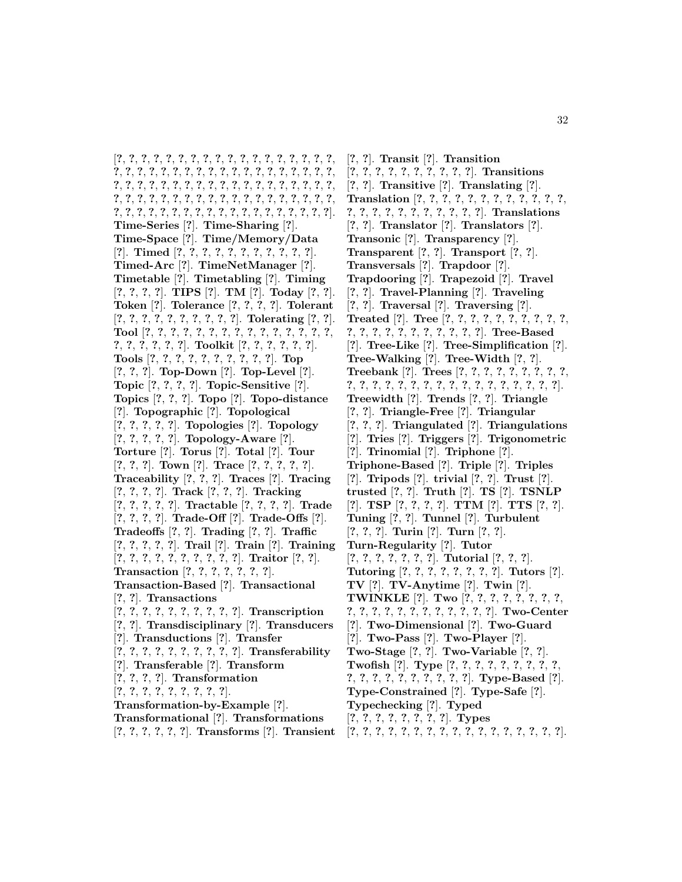[**?**, **?**, **?**, **?**, **?**, **?**, **?**, **?**, **?**, **?**, **?**, **?**, **?**, **?**, **?**, **?**, **?**, **?**, **?**, **?**, **?**, **?**, **?**, **?**, **?**, **?**, **?**, **?**, **?**, **?**, **?**, **?**, **?**, **?**, **?**, **?**, **?**, **?**, **?**, **?**, **?**, **?**, **?**, **?**, **?**, **?**, **?**, **?**, **?**, **?**, **?**, **?**, **?**, **?**, **?**, **?**, **?**, **?**, **?**, **?**, **?**, **?**, **?**, **?**, **?**, **?**, **?**, **?**, **?**, **?**, **?**, **?**, **?**, **?**, **?**, **?**, **?**, **?**, **?**, **?**, **?**, **?**, **?**, **?**, **?**, **?**, **?**, **?**, **?**, **?**, **?**, **?**, **?**, **?**]. **Time-Series** [**?**]. **Time-Sharing** [**?**]. **Time-Space** [**?**]. **Time/Memory/Data** [**?**]. **Timed** [**?**, **?**, **?**, **?**, **?**, **?**, **?**, **?**, **?**, **?**, **?**]. **Timed-Arc** [**?**]. **TimeNetManager** [**?**]. **Timetable** [**?**]. **Timetabling** [**?**]. **Timing** [**?**, **?**, **?**, **?**]. **TIPS** [**?**]. **TM** [**?**]. **Today** [**?**, **?**]. **Token** [**?**]. **Tolerance** [**?**, **?**, **?**, **?**]. **Tolerant** [**?**, **?**, **?**, **?**, **?**, **?**, **?**, **?**, **?**, **?**]. **Tolerating** [**?**, **?**]. **Tool** [**?**, **?**, **?**, **?**, **?**, **?**, **?**, **?**, **?**, **?**, **?**, **?**, **?**, **?**, **?**, **?**, **?**, **?**, **?**, **?**, **?**]. **Toolkit** [**?**, **?**, **?**, **?**, **?**, **?**]. **Tools** [**?**, **?**, **?**, **?**, **?**, **?**, **?**, **?**, **?**, **?**]. **Top** [**?**, **?**, **?**]. **Top-Down** [**?**]. **Top-Level** [**?**]. **Topic** [**?**, **?**, **?**, **?**]. **Topic-Sensitive** [**?**]. **Topics** [**?**, **?**, **?**]. **Topo** [**?**]. **Topo-distance** [**?**]. **Topographic** [**?**]. **Topological** [**?**, **?**, **?**, **?**, **?**]. **Topologies** [**?**]. **Topology** [**?**, **?**, **?**, **?**, **?**]. **Topology-Aware** [**?**]. **Torture** [**?**]. **Torus** [**?**]. **Total** [**?**]. **Tour** [**?**, **?**, **?**]. **Town** [**?**]. **Trace** [**?**, **?**, **?**, **?**, **?**]. **Traceability** [**?**, **?**, **?**]. **Traces** [**?**]. **Tracing** [**?**, **?**, **?**, **?**]. **Track** [**?**, **?**, **?**]. **Tracking** [**?**, **?**, **?**, **?**, **?**]. **Tractable** [**?**, **?**, **?**, **?**]. **Trade** [**?**, **?**, **?**, **?**]. **Trade-Off** [**?**]. **Trade-Offs** [**?**]. **Tradeoffs** [**?**, **?**]. **Trading** [**?**, **?**]. **Traffic** [**?**, **?**, **?**, **?**, **?**]. **Trail** [**?**]. **Train** [**?**]. **Training** [**?**, **?**, **?**, **?**, **?**, **?**, **?**, **?**, **?**, **?**]. **Traitor** [**?**, **?**]. **Transaction** [**?**, **?**, **?**, **?**, **?**, **?**, **?**]. **Transaction-Based** [**?**]. **Transactional** [**?**, **?**]. **Transactions** [**?**, **?**, **?**, **?**, **?**, **?**, **?**, **?**, **?**, **?**]. **Transcription** [**?**, **?**]. **Transdisciplinary** [**?**]. **Transducers** [**?**]. **Transductions** [**?**]. **Transfer** [**?**, **?**, **?**, **?**, **?**, **?**, **?**, **?**, **?**, **?**]. **Transferability** [**?**]. **Transferable** [**?**]. **Transform** [**?**, **?**, **?**, **?**]. **Transformation** [**?**, **?**, **?**, **?**, **?**, **?**, **?**, **?**, **?**]. **Transformation-by-Example** [**?**]. **Transformational** [**?**]. **Transformations** [**?**, **?**, **?**, **?**, **?**, **?**]. **Transforms** [**?**]. **Transient**

[**?**, **?**]. **Transit** [**?**]. **Transition** [**?**, **?**, **?**, **?**, **?**, **?**, **?**, **?**, **?**, **?**]. **Transitions** [**?**, **?**]. **Transitive** [**?**]. **Translating** [**?**]. **Translation** [**?**, **?**, **?**, **?**, **?**, **?**, **?**, **?**, **?**, **?**, **?**, **?**, **?**, **?**, **?**, **?**, **?**, **?**, **?**, **?**, **?**, **?**, **?**]. **Translations** [**?**, **?**]. **Translator** [**?**]. **Translators** [**?**]. **Transonic** [**?**]. **Transparency** [**?**]. **Transparent** [**?**, **?**]. **Transport** [**?**, **?**]. **Transversals** [**?**]. **Trapdoor** [**?**]. **Trapdooring** [**?**]. **Trapezoid** [**?**]. **Travel** [**?**, **?**]. **Travel-Planning** [**?**]. **Traveling** [**?**, **?**]. **Traversal** [**?**]. **Traversing** [**?**]. **Treated** [**?**]. **Tree** [**?**, **?**, **?**, **?**, **?**, **?**, **?**, **?**, **?**, **?**, **?**, **?**, **?**, **?**, **?**, **?**, **?**, **?**, **?**, **?**, **?**]. **Tree-Based** [**?**]. **Tree-Like** [**?**]. **Tree-Simplification** [**?**]. **Tree-Walking** [**?**]. **Tree-Width** [**?**, **?**]. **Treebank** [**?**]. **Trees** [**?**, **?**, **?**, **?**, **?**, **?**, **?**, **?**, **?**, **?**, **?**, **?**, **?**, **?**, **?**, **?**, **?**, **?**, **?**, **?**, **?**, **?**, **?**, **?**, **?**, **?**]. **Treewidth** [**?**]. **Trends** [**?**, **?**]. **Triangle** [**?**, **?**]. **Triangle-Free** [**?**]. **Triangular** [**?**, **?**, **?**]. **Triangulated** [**?**]. **Triangulations** [**?**]. **Tries** [**?**]. **Triggers** [**?**]. **Trigonometric** [**?**]. **Trinomial** [**?**]. **Triphone** [**?**]. **Triphone-Based** [**?**]. **Triple** [**?**]. **Triples** [**?**]. **Tripods** [**?**]. **trivial** [**?**, **?**]. **Trust** [**?**]. **trusted** [**?**, **?**]. **Truth** [**?**]. **TS** [**?**]. **TSNLP** [**?**]. **TSP** [**?**, **?**, **?**, **?**]. **TTM** [**?**]. **TTS** [**?**, **?**]. **Tuning** [**?**, **?**]. **Tunnel** [**?**]. **Turbulent** [**?**, **?**, **?**]. **Turin** [**?**]. **Turn** [**?**, **?**]. **Turn-Regularity** [**?**]. **Tutor** [**?**, **?**, **?**, **?**, **?**, **?**, **?**]. **Tutorial** [**?**, **?**, **?**]. **Tutoring** [**?**, **?**, **?**, **?**, **?**, **?**, **?**, **?**]. **Tutors** [**?**]. **TV** [**?**]. **TV-Anytime** [**?**]. **Twin** [**?**]. **TWINKLE** [**?**]. **Two** [**?**, **?**, **?**, **?**, **?**, **?**, **?**, **?**, **?**, **?**, **?**, **?**, **?**, **?**, **?**, **?**, **?**, **?**, **?**, **?**]. **Two-Center** [**?**]. **Two-Dimensional** [**?**]. **Two-Guard** [**?**]. **Two-Pass** [**?**]. **Two-Player** [**?**]. **Two-Stage** [**?**, **?**]. **Two-Variable** [**?**, **?**]. **Twofish** [**?**]. **Type** [**?**, **?**, **?**, **?**, **?**, **?**, **?**, **?**, **?**, **?**, **?**, **?**, **?**, **?**, **?**, **?**, **?**, **?**, **?**]. **Type-Based** [**?**]. **Type-Constrained** [**?**]. **Type-Safe** [**?**]. **Typechecking** [**?**]. **Typed** [**?**, **?**, **?**, **?**, **?**, **?**, **?**, **?**]. **Types** [**?**, **?**, **?**, **?**, **?**, **?**, **?**, **?**, **?**, **?**, **?**, **?**, **?**, **?**, **?**, **?**, **?**].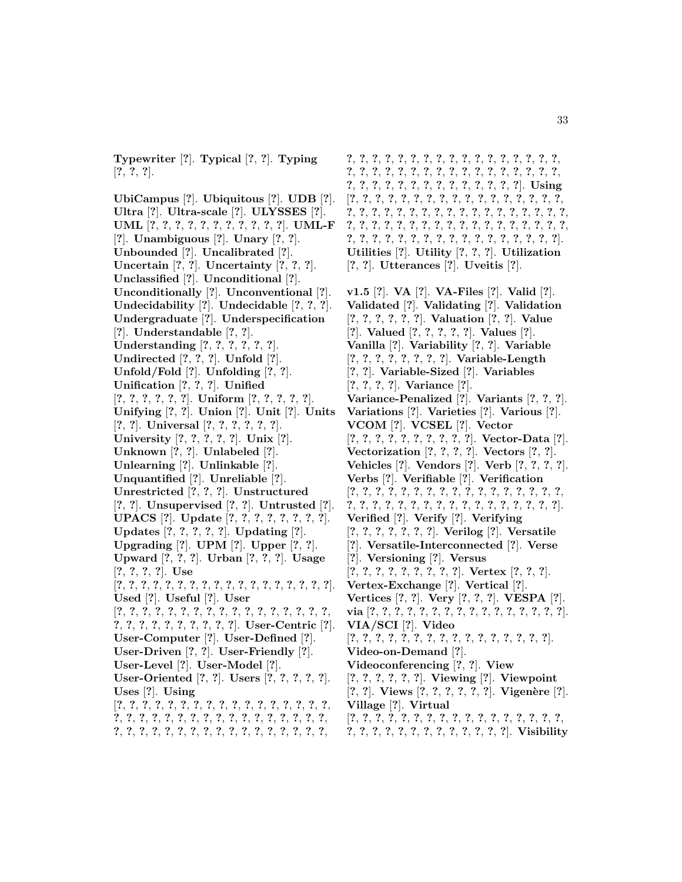**Typewriter** [**?**]. **Typical** [**?**, **?**]. **Typing** [**?**, **?**, **?**].

**UbiCampus** [**?**]. **Ubiquitous** [**?**]. **UDB** [**?**]. **Ultra** [**?**]. **Ultra-scale** [**?**]. **ULYSSES** [**?**]. **UML** [**?**, **?**, **?**, **?**, **?**, **?**, **?**, **?**, **?**, **?**, **?**]. **UML-F** [**?**]. **Unambiguous** [**?**]. **Unary** [**?**, **?**]. **Unbounded** [**?**]. **Uncalibrated** [**?**]. **Uncertain** [**?**, **?**]. **Uncertainty** [**?**, **?**, **?**]. **Unclassified** [**?**]. **Unconditional** [**?**]. **Unconditionally** [**?**]. **Unconventional** [**?**]. **Undecidability** [**?**]. **Undecidable** [**?**, **?**, **?**]. **Undergraduate** [**?**]. **Underspecification** [**?**]. **Understandable** [**?**, **?**]. **Understanding** [**?**, **?**, **?**, **?**, **?**, **?**]. **Undirected** [**?**, **?**, **?**]. **Unfold** [**?**]. **Unfold/Fold** [**?**]. **Unfolding** [**?**, **?**]. **Unification** [**?**, **?**, **?**]. **Unified** [**?**, **?**, **?**, **?**, **?**, **?**]. **Uniform** [**?**, **?**, **?**, **?**, **?**]. **Unifying** [**?**, **?**]. **Union** [**?**]. **Unit** [**?**]. **Units** [**?**, **?**]. **Universal** [**?**, **?**, **?**, **?**, **?**, **?**]. **University** [**?**, **?**, **?**, **?**, **?**]. **Unix** [**?**]. **Unknown** [**?**, **?**]. **Unlabeled** [**?**]. **Unlearning** [**?**]. **Unlinkable** [**?**]. **Unquantified** [**?**]. **Unreliable** [**?**]. **Unrestricted** [**?**, **?**, **?**]. **Unstructured** [**?**, **?**]. **Unsupervised** [**?**, **?**]. **Untrusted** [**?**]. **UPACS** [**?**]. **Update** [**?**, **?**, **?**, **?**, **?**, **?**, **?**, **?**]. **Updates** [**?**, **?**, **?**, **?**, **?**]. **Updating** [**?**]. **Upgrading** [**?**]. **UPM** [**?**]. **Upper** [**?**, **?**]. **Upward** [**?**, **?**, **?**]. **Urban** [**?**, **?**, **?**]. **Usage** [**?**, **?**, **?**, **?**]. **Use** [**?**, **?**, **?**, **?**, **?**, **?**, **?**, **?**, **?**, **?**, **?**, **?**, **?**, **?**, **?**, **?**, **?**, **?**]. **Used** [**?**]. **Useful** [**?**]. **User** [**?**, **?**, **?**, **?**, **?**, **?**, **?**, **?**, **?**, **?**, **?**, **?**, **?**, **?**, **?**, **?**, **?**, **?**, **?**, **?**, **?**, **?**, **?**, **?**, **?**, **?**, **?**]. **User-Centric** [**?**]. **User-Computer** [**?**]. **User-Defined** [**?**]. **User-Driven** [**?**, **?**]. **User-Friendly** [**?**]. **User-Level** [**?**]. **User-Model** [**?**]. **User-Oriented** [**?**, **?**]. **Users** [**?**, **?**, **?**, **?**, **?**]. **Uses** [**?**]. **Using** [**?**, **?**, **?**, **?**, **?**, **?**, **?**, **?**, **?**, **?**, **?**, **?**, **?**, **?**, **?**, **?**, **?**, **?**, **?**, **?**, **?**, **?**, **?**, **?**, **?**, **?**, **?**, **?**, **?**, **?**, **?**, **?**, **?**, **?**, **?**, **?**, **?**, **?**, **?**, **?**, **?**, **?**, **?**, **?**, **?**, **?**, **?**, **?**, **?**, **?**, **?**,

**?**, **?**, **?**, **?**, **?**, **?**, **?**, **?**, **?**, **?**, **?**, **?**, **?**, **?**, **?**, **?**, **?**, **?**, **?**, **?**, **?**, **?**, **?**, **?**, **?**, **?**, **?**, **?**, **?**, **?**, **?**, **?**, **?**, **?**, **?**, **?**, **?**, **?**, **?**, **?**, **?**, **?**, **?**, **?**, **?**, **?**, **?**, **?**]. **Using** [**?**, **?**, **?**, **?**, **?**, **?**, **?**, **?**, **?**, **?**, **?**, **?**, **?**, **?**, **?**, **?**, **?**, **?**, **?**, **?**, **?**, **?**, **?**, **?**, **?**, **?**, **?**, **?**, **?**, **?**, **?**, **?**, **?**, **?**, **?**, **?**, **?**, **?**, **?**, **?**, **?**, **?**, **?**, **?**, **?**, **?**, **?**, **?**, **?**, **?**, **?**, **?**, **?**, **?**, **?**, **?**, **?**, **?**, **?**, **?**, **?**, **?**, **?**, **?**, **?**, **?**, **?**, **?**, **?**, **?**]. **Utilities** [**?**]. **Utility** [**?**, **?**, **?**]. **Utilization** [**?**, **?**]. **Utterances** [**?**]. **Uveitis** [**?**].

**v1.5** [**?**]. **VA** [**?**]. **VA-Files** [**?**]. **Valid** [**?**]. **Validated** [**?**]. **Validating** [**?**]. **Validation** [**?**, **?**, **?**, **?**, **?**, **?**]. **Valuation** [**?**, **?**]. **Value** [**?**]. **Valued** [**?**, **?**, **?**, **?**, **?**]. **Values** [**?**]. **Vanilla** [**?**]. **Variability** [**?**, **?**]. **Variable** [**?**, **?**, **?**, **?**, **?**, **?**, **?**, **?**]. **Variable-Length** [**?**, **?**]. **Variable-Sized** [**?**]. **Variables** [**?**, **?**, **?**, **?**]. **Variance** [**?**]. **Variance-Penalized** [**?**]. **Variants** [**?**, **?**, **?**]. **Variations** [**?**]. **Varieties** [**?**]. **Various** [**?**]. **VCOM** [**?**]. **VCSEL** [**?**]. **Vector** [**?**, **?**, **?**, **?**, **?**, **?**, **?**, **?**, **?**, **?**]. **Vector-Data** [**?**]. **Vectorization** [**?**, **?**, **?**, **?**]. **Vectors** [**?**, **?**]. **Vehicles** [**?**]. **Vendors** [**?**]. **Verb** [**?**, **?**, **?**, **?**]. **Verbs** [**?**]. **Verifiable** [**?**]. **Verification** [**?**, **?**, **?**, **?**, **?**, **?**, **?**, **?**, **?**, **?**, **?**, **?**, **?**, **?**, **?**, **?**, **?**, **?**, **?**, **?**, **?**, **?**, **?**, **?**, **?**, **?**, **?**, **?**, **?**, **?**, **?**, **?**, **?**, **?**]. **Verified** [**?**]. **Verify** [**?**]. **Verifying** [**?**, **?**, **?**, **?**, **?**, **?**, **?**]. **Verilog** [**?**]. **Versatile** [**?**]. **Versatile-Interconnected** [**?**]. **Verse** [**?**]. **Versioning** [**?**]. **Versus** [**?**, **?**, **?**, **?**, **?**, **?**, **?**, **?**, **?**]. **Vertex** [**?**, **?**, **?**]. **Vertex-Exchange** [**?**]. **Vertical** [**?**]. **Vertices** [**?**, **?**]. **Very** [**?**, **?**, **?**]. **VESPA** [**?**]. **via** [**?**, **?**, **?**, **?**, **?**, **?**, **?**, **?**, **?**, **?**, **?**, **?**, **?**, **?**, **?**, **?**]. **VIA/SCI** [**?**]. **Video** [**?**, **?**, **?**, **?**, **?**, **?**, **?**, **?**, **?**, **?**, **?**, **?**, **?**, **?**, **?**, **?**]. **Video-on-Demand** [**?**]. **Videoconferencing** [**?**, **?**]. **View** [**?**, **?**, **?**, **?**, **?**, **?**]. **Viewing** [**?**]. **Viewpoint** [**?**, **?**]. **Views** [**?**, **?**, **?**, **?**, **?**, **?**]. **Vigen`ere** [**?**]. **Village** [**?**]. **Virtual** [**?**, **?**, **?**, **?**, **?**, **?**, **?**, **?**, **?**, **?**, **?**, **?**, **?**, **?**, **?**, **?**, **?**,

**?**, **?**, **?**, **?**, **?**, **?**, **?**, **?**, **?**, **?**, **?**, **?**, **?**]. **Visibility**